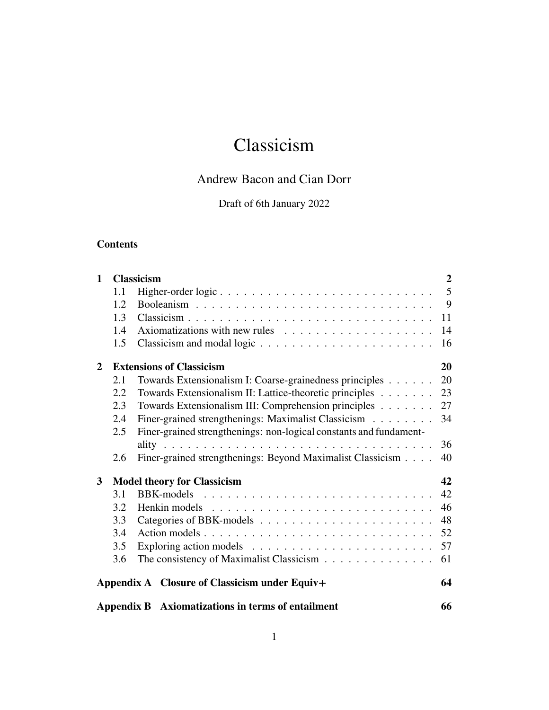# Classicism

# Andrew Bacon and Cian Dorr

# Draft of 6th January 2022

# **Contents**

| $\mathbf{1}$                                       |     | <b>Classicism</b>                                                  | $\overline{2}$ |
|----------------------------------------------------|-----|--------------------------------------------------------------------|----------------|
|                                                    | 1.1 | Higher-order logic                                                 | 5              |
|                                                    | 1.2 |                                                                    | - 9            |
|                                                    | 1.3 |                                                                    | 11             |
|                                                    | 1.4 |                                                                    | 14             |
|                                                    | 1.5 |                                                                    | 16             |
| $\overline{2}$                                     |     | <b>Extensions of Classicism</b>                                    | 20             |
|                                                    | 2.1 | Towards Extensionalism I: Coarse-grainedness principles            | 20             |
|                                                    | 2.2 | Towards Extensionalism II: Lattice-theoretic principles            | 23             |
|                                                    | 2.3 | Towards Extensionalism III: Comprehension principles               | 27             |
|                                                    | 2.4 | Finer-grained strengthenings: Maximalist Classicism                | 34             |
|                                                    | 2.5 | Finer-grained strengthenings: non-logical constants and fundament- |                |
|                                                    |     |                                                                    | 36             |
|                                                    | 2.6 | Finer-grained strengthenings: Beyond Maximalist Classicism         | 40             |
| <b>Model theory for Classicism</b><br>$\mathbf{3}$ |     |                                                                    | 42             |
|                                                    | 3.1 |                                                                    | 42             |
|                                                    | 3.2 |                                                                    | 46             |
|                                                    | 3.3 |                                                                    | 48             |
|                                                    | 3.4 | Action models                                                      | 52             |
|                                                    | 3.5 |                                                                    | 57             |
|                                                    | 3.6 | The consistency of Maximalist Classicism                           | 61             |
|                                                    |     | Appendix A Closure of Classicism under Equiv+                      | 64             |
|                                                    |     | Appendix B Axiomatizations in terms of entailment                  | 66             |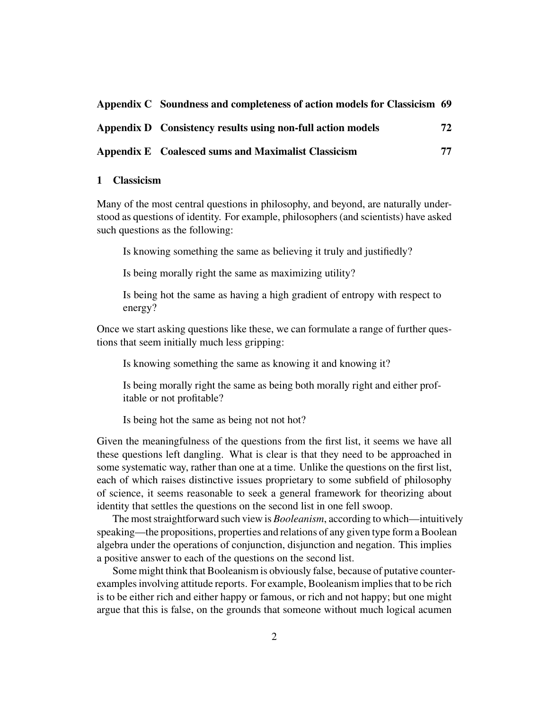| Appendix C Soundness and completeness of action models for Classicism 69 |    |
|--------------------------------------------------------------------------|----|
| Appendix D Consistency results using non-full action models              | 72 |
| Appendix E Coalesced sums and Maximalist Classicism                      | 77 |

# <span id="page-1-0"></span>**1 Classicism**

Many of the most central questions in philosophy, and beyond, are naturally understood as questions of identity. For example, philosophers (and scientists) have asked such questions as the following:

Is knowing something the same as believing it truly and justifiedly?

Is being morally right the same as maximizing utility?

Is being hot the same as having a high gradient of entropy with respect to energy?

Once we start asking questions like these, we can formulate a range of further questions that seem initially much less gripping:

Is knowing something the same as knowing it and knowing it?

Is being morally right the same as being both morally right and either profitable or not profitable?

Is being hot the same as being not not hot?

Given the meaningfulness of the questions from the first list, it seems we have all these questions left dangling. What is clear is that they need to be approached in some systematic way, rather than one at a time. Unlike the questions on the first list, each of which raises distinctive issues proprietary to some subfield of philosophy of science, it seems reasonable to seek a general framework for theorizing about identity that settles the questions on the second list in one fell swoop.

The most straightforward such view is *Booleanism*, according to which—intuitively speaking—the propositions, properties and relations of any given type form a Boolean algebra under the operations of conjunction, disjunction and negation. This implies a positive answer to each of the questions on the second list.

Some might think that Booleanism is obviously false, because of putative counterexamples involving attitude reports. For example, Booleanism implies that to be rich is to be either rich and either happy or famous, or rich and not happy; but one might argue that this is false, on the grounds that someone without much logical acumen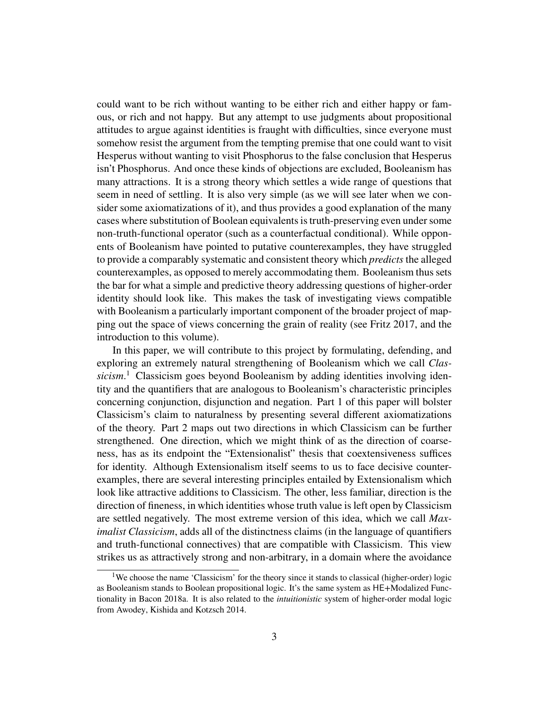could want to be rich without wanting to be either rich and either happy or famous, or rich and not happy. But any attempt to use judgments about propositional attitudes to argue against identities is fraught with difficulties, since everyone must somehow resist the argument from the tempting premise that one could want to visit Hesperus without wanting to visit Phosphorus to the false conclusion that Hesperus isn't Phosphorus. And once these kinds of objections are excluded, Booleanism has many attractions. It is a strong theory which settles a wide range of questions that seem in need of settling. It is also very simple (as we will see later when we consider some axiomatizations of it), and thus provides a good explanation of the many cases where substitution of Boolean equivalents is truth-preserving even under some non-truth-functional operator (such as a counterfactual conditional). While opponents of Booleanism have pointed to putative counterexamples, they have struggled to provide a comparably systematic and consistent theory which *predicts* the alleged counterexamples, as opposed to merely accommodating them. Booleanism thus sets the bar for what a simple and predictive theory addressing questions of higher-order identity should look like. This makes the task of investigating views compatible with Booleanism a particularly important component of the broader project of mapping out the space of views concerning the grain of reality (see Fritz [2017,](#page-82-0) and the introduction to this volume).

In this paper, we will contribute to this project by formulating, defending, and exploring an extremely natural strengthening of Booleanism which we call *Classicism*. [1](#page-2-0) Classicism goes beyond Booleanism by adding identities involving identity and the quantifiers that are analogous to Booleanism's characteristic principles concerning conjunction, disjunction and negation. Part 1 of this paper will bolster Classicism's claim to naturalness by presenting several different axiomatizations of the theory. Part 2 maps out two directions in which Classicism can be further strengthened. One direction, which we might think of as the direction of coarseness, has as its endpoint the "Extensionalist" thesis that coextensiveness suffices for identity. Although Extensionalism itself seems to us to face decisive counterexamples, there are several interesting principles entailed by Extensionalism which look like attractive additions to Classicism. The other, less familiar, direction is the direction of fineness, in which identities whose truth value is left open by Classicism are settled negatively. The most extreme version of this idea, which we call *Maximalist Classicism*, adds all of the distinctness claims (in the language of quantifiers and truth-functional connectives) that are compatible with Classicism. This view strikes us as attractively strong and non-arbitrary, in a domain where the avoidance

<span id="page-2-0"></span><sup>&</sup>lt;sup>1</sup>We choose the name 'Classicism' for the theory since it stands to classical (higher-order) logic as Booleanism stands to Boolean propositional logic. It's the same system as HE+Modalized Functionality in Bacon [2018a.](#page-81-0) It is also related to the *intuitionistic* system of higher-order modal logic from Awodey, Kishida and Kotzsch [2014.](#page-81-1)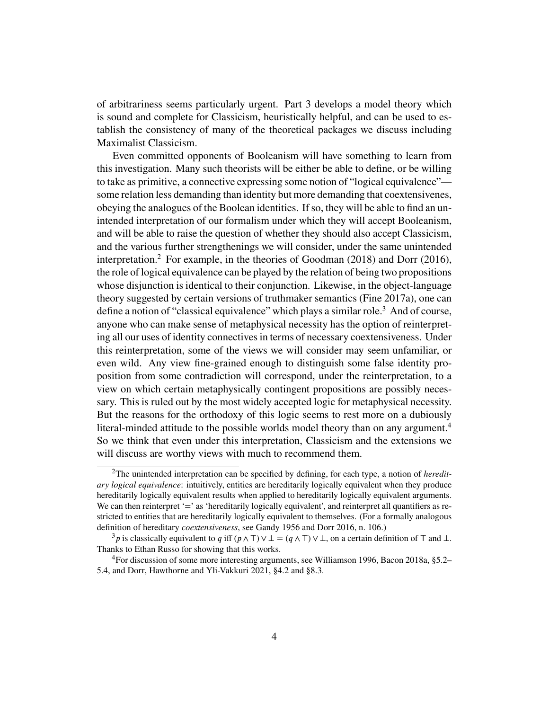of arbitrariness seems particularly urgent. Part 3 develops a model theory which is sound and complete for Classicism, heuristically helpful, and can be used to establish the consistency of many of the theoretical packages we discuss including Maximalist Classicism.

Even committed opponents of Booleanism will have something to learn from this investigation. Many such theorists will be either be able to define, or be willing to take as primitive, a connective expressing some notion of "logical equivalence" some relation less demanding than identity but more demanding that coextensivenes, obeying the analogues of the Boolean identities. If so, they will be able to find an unintended interpretation of our formalism under which they will accept Booleanism, and will be able to raise the question of whether they should also accept Classicism, and the various further strengthenings we will consider, under the same unintended interpretation.[2](#page-3-0) For example, in the theories of Goodman [\(2018\)](#page-83-0) and Dorr [\(2016\)](#page-82-1), the role of logical equivalence can be played by the relation of being two propositions whose disjunction is identical to their conjunction. Likewise, in the object-language theory suggested by certain versions of truthmaker semantics (Fine [2017a\)](#page-82-2), one can define a notion of "classical equivalence" which plays a similar role.<sup>[3](#page-3-1)</sup> And of course, anyone who can make sense of metaphysical necessity has the option of reinterpreting all our uses of identity connectives in terms of necessary coextensiveness. Under this reinterpretation, some of the views we will consider may seem unfamiliar, or even wild. Any view fine-grained enough to distinguish some false identity proposition from some contradiction will correspond, under the reinterpretation, to a view on which certain metaphysically contingent propositions are possibly necessary. This is ruled out by the most widely accepted logic for metaphysical necessity. But the reasons for the orthodoxy of this logic seems to rest more on a dubiously literal-minded attitude to the possible worlds model theory than on any argument.<sup>[4](#page-3-2)</sup> So we think that even under this interpretation, Classicism and the extensions we will discuss are worthy views with much to recommend them.

<span id="page-3-0"></span><sup>2</sup>The unintended interpretation can be specified by defining, for each type, a notion of *hereditary logical equivalence*: intuitively, entities are hereditarily logically equivalent when they produce hereditarily logically equivalent results when applied to hereditarily logically equivalent arguments. We can then reinterpret '=' as 'hereditarily logically equivalent', and reinterpret all quantifiers as restricted to entities that are hereditarily logically equivalent to themselves. (For a formally analogous definition of hereditary *coextensiveness*, see Gandy [1956](#page-83-1) and Dorr [2016,](#page-82-1) n. 106.)

<span id="page-3-1"></span> $3p$  is classically equivalent to *q* iff  $(p \wedge T) \vee \perp = (q \wedge T) \vee \perp$ , on a certain definition of  $T$  and  $\perp$ . Thanks to Ethan Russo for showing that this works.

<span id="page-3-2"></span><sup>4</sup>For discussion of some more interesting arguments, see Williamson [1996,](#page-84-0) Bacon [2018a,](#page-81-0) §5.2– 5.4, and Dorr, Hawthorne and Yli-Vakkuri [2021,](#page-82-3) §4.2 and §8.3.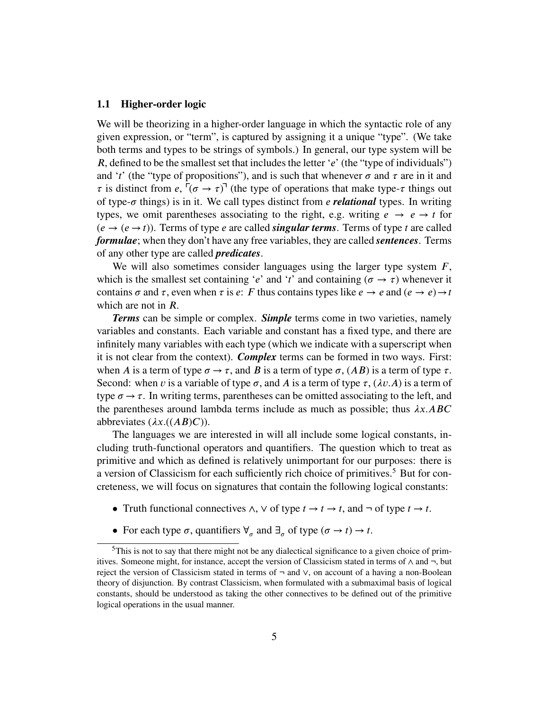# <span id="page-4-0"></span>**1.1 Higher-order logic**

We will be theorizing in a higher-order language in which the syntactic role of any given expression, or "term", is captured by assigning it a unique "type". (We take both terms and types to be strings of symbols.) In general, our type system will be *R*, defined to be the smallest set that includes the letter '*e*' (the "type of individuals") and '*t*' (the "type of propositions"), and is such that whenever  $\sigma$  and  $\tau$  are in it and  $\tau$  is distinct from *e*,  $(\sigma \to \tau)$ <sup> $\tau$ </sup> (the type of operations that make type- $\tau$  things out of type- $\sigma$  things) is in it. We call types distinct from *e relational* types. In writing types, we omit parentheses associating to the right, e.g. writing  $e \rightarrow e \rightarrow t$  for  $(e \rightarrow (e \rightarrow t))$ . Terms of type *e* are called *singular terms*. Terms of type *t* are called *formulae*; when they don't have any free variables, they are called *sentences*. Terms of any other type are called *predicates*.

We will also sometimes consider languages using the larger type system  $F$ , which is the smallest set containing '*e*' and '*t*' and containing ( $\sigma \rightarrow \tau$ ) whenever it contains  $\sigma$  and  $\tau$ , even when  $\tau$  is  $e$ :  $F$  thus contains types like  $e \to e$  and  $(e \to e) \to t$ which are not in *R*.

*Terms* can be simple or complex. *Simple* terms come in two varieties, namely variables and constants. Each variable and constant has a fixed type, and there are infinitely many variables with each type (which we indicate with a superscript when it is not clear from the context). *Complex* terms can be formed in two ways. First: when *A* is a term of type  $\sigma \rightarrow \tau$ , and *B* is a term of type  $\sigma$ ,  $(AB)$  is a term of type  $\tau$ . Second: when *v* is a variable of type  $\sigma$ , and *A* is a term of type  $\tau$ , ( $\lambda v.A$ ) is a term of type  $\sigma \rightarrow \tau$ . In writing terms, parentheses can be omitted associating to the left, and the parentheses around lambda terms include as much as possible; thus  $\lambda x. ABC$ abbreviates  $(\lambda x.((AB)C))$ .

The languages we are interested in will all include some logical constants, including truth-functional operators and quantifiers. The question which to treat as primitive and which as defined is relatively unimportant for our purposes: there is a version of Classicism for each sufficiently rich choice of primitives.<sup>[5](#page-4-1)</sup> But for concreteness, we will focus on signatures that contain the following logical constants:

- Truth functional connectives  $\wedge$ ,  $\vee$  of type  $t \to t$ , and  $\neg$  of type  $t \to t$ .
- <span id="page-4-1"></span>• For each type  $\sigma$ , quantifiers  $\forall_{\sigma}$  and  $\exists_{\sigma}$  of type  $(\sigma \to t) \to t$ .

<sup>&</sup>lt;sup>5</sup>This is not to say that there might not be any dialectical significance to a given choice of primitives. Someone might, for instance, accept the version of Classicism stated in terms of ∧ and ¬, but reject the version of Classicism stated in terms of  $\neg$  and  $\vee$ , on account of a having a non-Boolean theory of disjunction. By contrast Classicism, when formulated with a submaximal basis of logical constants, should be understood as taking the other connectives to be defined out of the primitive logical operations in the usual manner.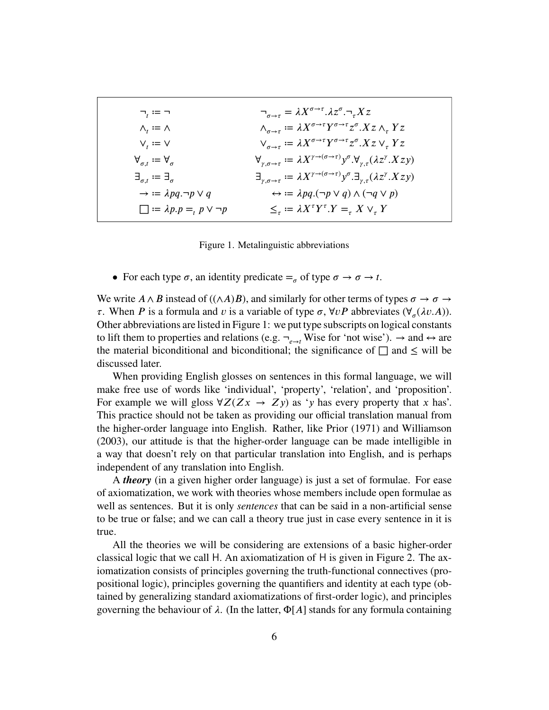<span id="page-5-0"></span>

| $\neg_{t} := \neg$                                         | $\neg_{\sigma \to \tau} = \lambda X^{\sigma \to \tau} . \lambda z^{\sigma} . \neg_{\tau} X z$                              |
|------------------------------------------------------------|----------------------------------------------------------------------------------------------------------------------------|
| $\Lambda_t := \Lambda$                                     | $\wedge_{\sigma\rightarrow\tau}:=\lambda X^{\sigma\rightarrow\tau}Y^{\sigma\rightarrow\tau}z^{\sigma}.Xz\wedge_{\tau}YZ$   |
| $V_t := V$                                                 | $V_{\sigma \to \tau} \coloneqq \lambda X^{\sigma \to \tau} Y^{\sigma \to \tau} z^{\sigma} . X z V_{\tau} Y z$              |
| $\forall_{\sigma t} := \forall_{\sigma}$                   | $\forall_{\gamma,\sigma\to\tau}:=\lambda X^{\gamma\to(\sigma\to\tau)}y^\sigma.\forall_{\gamma,\tau}(\lambda z^\gamma.Xzy)$ |
| $\exists_{\sigma t} \coloneqq \exists_{\sigma}$            | $\exists_{\gamma,\sigma\to\tau}:=\lambda X^{\gamma\to(\sigma\to\tau)}y^\sigma.\exists_{\gamma,\tau}(\lambda z^\gamma.Xzy)$ |
| $\rightarrow \mathrel{\mathop:}= \lambda pq \neg p \vee q$ | $\leftrightarrow \equiv \lambda pq.(\neg p \vee q) \wedge (\neg q \vee p)$                                                 |
| $\Box := \lambda p.p =_p p \vee \neg p$                    | $\leq_{\tau} := \lambda X^{\tau} Y^{\tau} . Y =_{\tau} X \vee_{\tau} Y$                                                    |

Figure 1. Metalinguistic abbreviations

• For each type  $\sigma$ , an identity predicate  $=_{\sigma}$  of type  $\sigma \to \sigma \to t$ .

We write  $A \wedge B$  instead of (( $\wedge A$ ) $B$ ), and similarly for other terms of types  $\sigma \rightarrow \sigma \rightarrow$  $\tau$ . When *P* is a formula and *v* is a variable of type  $\sigma$ ,  $\forall v P$  abbreviates ( $\forall_{\sigma}(\lambda v.A)$ ). Other abbreviations are listed in [Figure 1:](#page-5-0) we put type subscripts on logical constants to lift them to properties and relations (e.g.  $\neg_{e\rightarrow t}$  Wise for 'not wise').  $\rightarrow$  and  $\leftrightarrow$  are the material biconditional and biconditional; the significance of  $\Box$  and  $\leq$  will be discussed later.

When providing English glosses on sentences in this formal language, we will make free use of words like 'individual', 'property', 'relation', and 'proposition'. For example we will gloss  $\forall Z(Zx \rightarrow Zy)$  as 'y has every property that x has'. This practice should not be taken as providing our official translation manual from the higher-order language into English. Rather, like Prior [\(1971\)](#page-83-2) and Williamson [\(2003\)](#page-84-1), our attitude is that the higher-order language can be made intelligible in a way that doesn't rely on that particular translation into English, and is perhaps independent of any translation into English.

A *theory* (in a given higher order language) is just a set of formulae. For ease of axiomatization, we work with theories whose members include open formulae as well as sentences. But it is only *sentences* that can be said in a non-artificial sense to be true or false; and we can call a theory true just in case every sentence in it is true.

All the theories we will be considering are extensions of a basic higher-order classical logic that we call H. An axiomatization of H is given in Figure [2.](#page-7-0) The axiomatization consists of principles governing the truth-functional connectives (propositional logic), principles governing the quantifiers and identity at each type (obtained by generalizing standard axiomatizations of first-order logic), and principles governing the behaviour of  $\lambda$ . (In the latter,  $\Phi[A]$  stands for any formula containing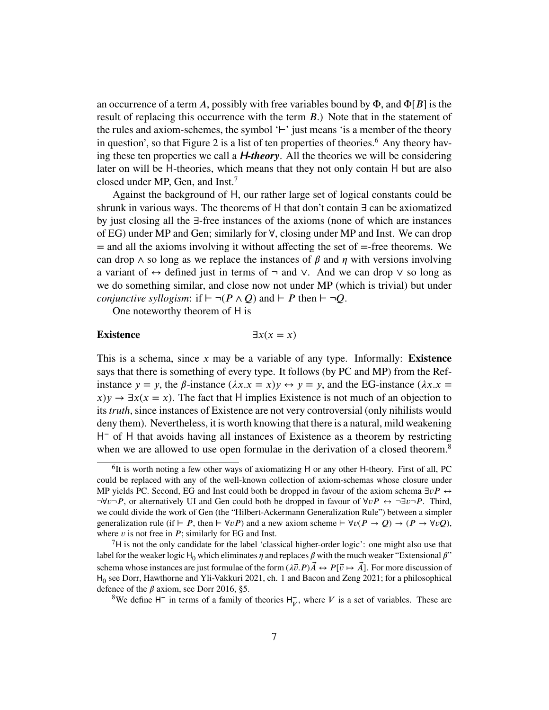an occurrence of a term A, possibly with free variables bound by  $\Phi$ , and  $\Phi[B]$  is the result of replacing this occurrence with the term *B*.) Note that in the statement of the rules and axiom-schemes, the symbol '*⊢*' just means 'is a member of the theory in question', so that Figure [2](#page-7-0) is a list of ten properties of theories.<sup>[6](#page-6-0)</sup> Any theory having these ten properties we call a H*-theory*. All the theories we will be considering later on will be H-theories, which means that they not only contain H but are also closed under MP, Gen, and Inst.<sup>[7](#page-6-1)</sup>

Against the background of H, our rather large set of logical constants could be shrunk in various ways. The theorems of H that don't contain ∃ can be axiomatized by just closing all the ∃-free instances of the axioms (none of which are instances of EG) under MP and Gen; similarly for ∀, closing under MP and Inst. We can drop  $=$  and all the axioms involving it without affecting the set of  $=$ -free theorems. We can drop  $\wedge$  so long as we replace the instances of  $\beta$  and  $\eta$  with versions involving a variant of ↔ defined just in terms of ¬ and ∨. And we can drop ∨ so long as we do something similar, and close now not under MP (which is trivial) but under *conjunctive syllogism*: if  $\vdash \neg (P \land Q)$  and  $\vdash P$  then  $\vdash \neg Q$ .

One noteworthy theorem of H is

# <span id="page-6-2"></span>**Existence**  $\exists x(x = x)$

This is a schema, since *x* may be a variable of any type. Informally: **[Existence](#page-6-2)** says that there is something of every type. It follows (by PC and MP) from the Refinstance  $y = y$ , the  $\beta$ -instance  $(\lambda x.x = x)y \leftrightarrow y = y$ , and the EG-instance  $(\lambda x.x = x)y$  $(x)y \rightarrow \exists x (x = x)$ . The fact that H implies Existence is not much of an objection to its *truth*, since instances of Existence are not very controversial (only nihilists would deny them). Nevertheless, it is worth knowing that there is a natural, mild weakening H <sup>−</sup> of H that avoids having all instances of Existence as a theorem by restricting when we are allowed to use open formulae in the derivation of a closed theorem.<sup>[8](#page-6-3)</sup>

<span id="page-6-3"></span><sup>8</sup>We define  $H^-$  in terms of a family of theories  $H^{\text{--}}_V$ , where V is a set of variables. These are

<span id="page-6-0"></span><sup>&</sup>lt;sup>6</sup>It is worth noting a few other ways of axiomatizing H or any other H-theory. First of all, PC could be replaced with any of the well-known collection of axiom-schemas whose closure under MP yields PC. Second, EG and Inst could both be dropped in favour of the axiom schema ∃*vP* ↔ ¬∀*𝑣*¬*𝑃* , or alternatively UI and Gen could both be dropped in favour of ∀*𝑣𝑃* ↔ ¬∃*𝑣*¬*𝑃* . Third, we could divide the work of Gen (the "Hilbert-Ackermann Generalization Rule") between a simpler generalization rule (if *⊢ P*, then  $\vdash \forall v P$ ) and a new axiom scheme  $\vdash \forall v (P \rightarrow Q) \rightarrow (P \rightarrow \forall v Q)$ , where  $\nu$  is not free in  $P$ ; similarly for EG and Inst.

<span id="page-6-1"></span> $7H$  is not the only candidate for the label 'classical higher-order logic': one might also use that label for the weaker logic  $H_0$  which eliminates  $\eta$  and replaces  $\beta$  with the much weaker "Extensional  $\beta$ " schema whose instances are just formulae of the form  $(\lambda \vec{v} \cdot P) \vec{A} \leftrightarrow P[\vec{v} \mapsto \vec{A}]$ . For more discussion of  $H_0$  see Dorr, Hawthorne and Yli-Vakkuri [2021,](#page-82-3) ch. 1 and Bacon and Zeng [2021;](#page-81-2) for a philosophical defence of the  $\beta$  axiom, see Dorr [2016,](#page-82-1) §5.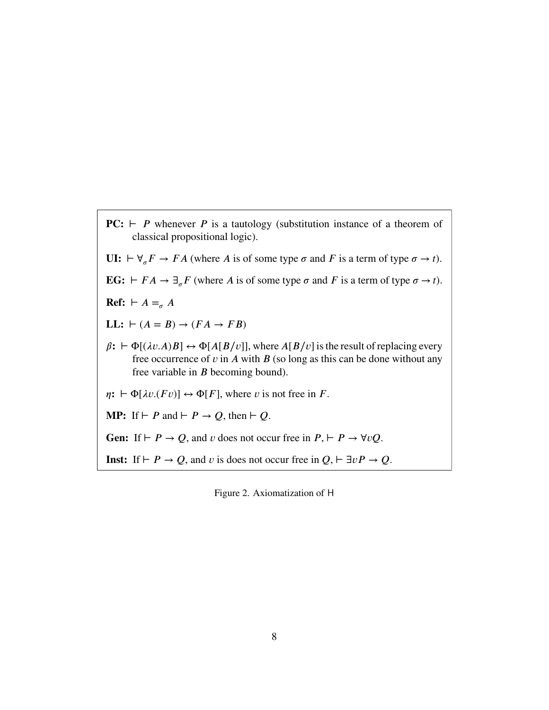<span id="page-7-0"></span>**PC:**  $⊢$  *P* whenever *P* is a tautology (substitution instance of a theorem of classical propositional logic).

**UI:**  $\vdash \forall_{\sigma} F \rightarrow FA$  (where *A* is of some type  $\sigma$  and *F* is a term of type  $\sigma \rightarrow t$ ).

**EG:**  $\vdash$  *FA* → ∃<sub>*σ*</sub> *F* (where *A* is of some type *σ* and *F* is a term of type *σ* → *t*).

**Ref:**  $\vdash$  *A* =<sub>*σ*</sub> *A* 

**LL:**  $\vdash$  (*A* = *B*) → (*FA* → *FB*)

 $\beta$ :  $\vdash \Phi[(\lambda v.A)B] \leftrightarrow \Phi[A[B/v]]$ , where  $A[B/v]$  is the result of replacing every free occurrence of  $v$  in  $A$  with  $B$  (so long as this can be done without any free variable in *B* becoming bound).

 $\eta$ **:**  $\vdash \Phi[\lambda v.(Fv)] \leftrightarrow \Phi[F]$ , where *v* is not free in *F*.

**MP:** If  $\vdash$  *P* and  $\vdash$  *P*  $\rightarrow$  *Q*, then  $\vdash$  *Q*.

Gen: If  $\vdash$  *P* → *Q*, and *v* does not occur free in *P*,  $\vdash$  *P* →  $\forall vQ$ .

**Inst:** If *⊢ P* → *Q*, and *v* is does not occur free in  $Q$ ,  $\vdash \exists vP \rightarrow Q$ .

Figure 2. Axiomatization of H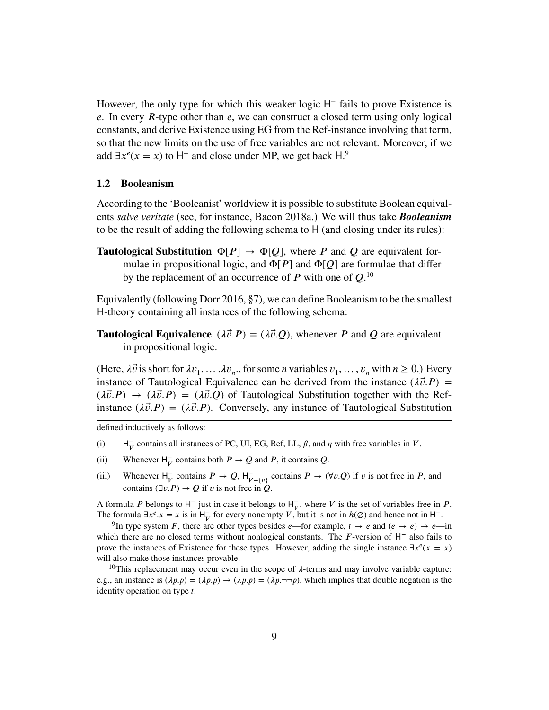However, the only type for which this weaker logic H<sup>-</sup> fails to prove Existence is *e*. In every *R*-type other than *e*, we can construct a closed term using only logical constants, and derive Existence using EG from the Ref-instance involving that term, so that the new limits on the use of free variables are not relevant. Moreover, if we add  $\exists x^e(x = x)$  to H<sup>-</sup> and close under MP, we get back H.<sup>[9](#page-8-1)</sup>

## <span id="page-8-0"></span>**1.2 Booleanism**

According to the 'Booleanist' worldview it is possible to substitute Boolean equivalents *salve veritate* (see, for instance, Bacon [2018a.](#page-81-0)) We will thus take *Booleanism* to be the result of adding the following schema to H (and closing under its rules):

<span id="page-8-4"></span>**Tautological Substitution**  $\Phi[P] \rightarrow \Phi[Q]$ , where *P* and *Q* are equivalent formulae in propositional logic, and  $\Phi[P]$  and  $\Phi[Q]$  are formulae that differ by the replacement of an occurrence of  $P$  with one of  $Q$ .<sup>[10](#page-8-2)</sup>

Equivalently (following Dorr [2016,](#page-82-1) §7), we can define Booleanism to be the smallest H-theory containing all instances of the following schema:

<span id="page-8-3"></span>**Tautological Equivalence**  $(\lambda \vec{v} \cdot P) = (\lambda \vec{v} \cdot Q)$ , whenever *P* and *Q* are equivalent in propositional logic.

(Here,  $\lambda \vec{v}$  is short for  $\lambda v_1$ ....  $\lambda v_n$ , for some *n* variables  $v_1, \ldots, v_n$  with  $n \ge 0$ .) Every instance of [Tautological Equivalence](#page-8-3) can be derived from the instance  $(\lambda \vec{v} \cdot P)$  =  $(\lambda \vec{v}.P) \rightarrow (\lambda \vec{v}.P) = (\lambda \vec{v}.Q)$  of [Tautological Substitution](#page-8-4) together with the Refinstance  $(\lambda \vec{v} \cdot P) = (\lambda \vec{v} \cdot P)$ . Conversely, any instance of [Tautological Substitution](#page-8-4)

defined inductively as follows:

- $(i)$  $\bar{V}$  contains all instances of PC, UI, EG, Ref, LL,  $\beta$ , and  $\eta$  with free variables in *V*.
- (ii) Whenever  $H_V^-$  contains both  $P \to Q$  and  $P$ , it contains  $Q$ .
- (iii) Whenever  $H_V^-$  contains  $P \to Q$ ,  $H_{V-(v)}^-$  contains  $P \to (\forall v \cdot Q)$  if *v* is not free in *P*, and contains  $(\exists v.P) \rightarrow Q$  if *v* is not free in *O*.

A formula *P* belongs to  $H^-$  just in case it belongs to  $H^-_V$ , where *V* is the set of variables free in *P*. The formula  $\exists x^e \cdot x = x$  is in  $H_V^-$  for every nonempty *V*, but it is not in *h*( $\emptyset$ ) and hence not in H<sup>-</sup>.

<span id="page-8-1"></span><sup>9</sup>In type system *F*, there are other types besides *e*—for example,  $t \to e$  and  $(e \to e) \to e$ —in which there are no closed terms without nonlogical constants. The *𝐹*-version of H<sup>−</sup> also fails to prove the instances of Existence for these types. However, adding the single instance  $\exists x^e(x = x)$ will also make those instances provable.

<span id="page-8-2"></span><sup>10</sup>This replacement may occur even in the scope of  $\lambda$ -terms and may involve variable capture: e.g., an instance is  $(\lambda p.p) = (\lambda p.p) \rightarrow (\lambda p.p) = (\lambda p.\neg\neg p)$ , which implies that double negation is the identity operation on type *t*.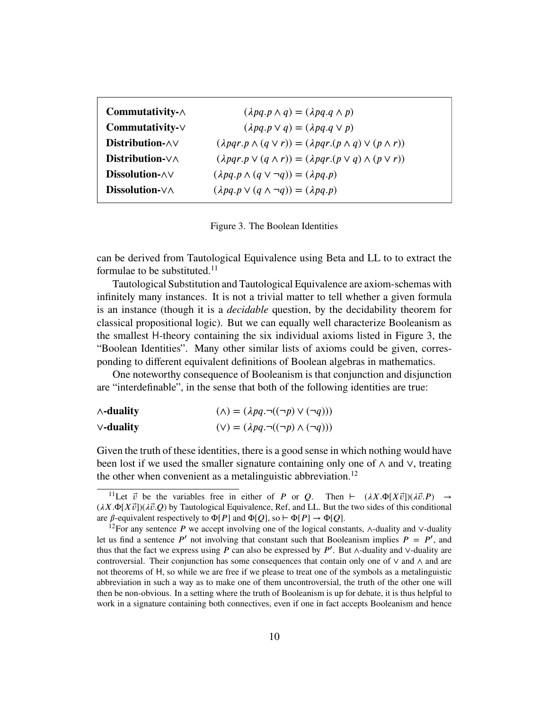<span id="page-9-1"></span>

| Commutativity- $\wedge$      | $(\lambda pq \cdot p \wedge q) = (\lambda pq \cdot q \wedge p)$                  |
|------------------------------|----------------------------------------------------------------------------------|
| $Commutativity-\vee$         | $(\lambda pq \cdot p \vee q) = (\lambda pq \cdot q \vee p)$                      |
| Distribution- $\wedge \vee$  | $(\lambda pqr.p \land (q \lor r)) = (\lambda pqr.(p \land q) \lor (p \land r))$  |
| Distribution- $\nabla\wedge$ | $(\lambda pqr.p \vee (q \wedge r)) = (\lambda pqr.(p \vee q) \wedge (p \vee r))$ |
| Dissolution- $\wedge \vee$   | $(\lambda pq. p \wedge (q \vee \neg q)) = (\lambda pq. p)$                       |
| Dissolution- $\vee \wedge$   | $(\lambda pq.p \vee (q \wedge \neg q)) = (\lambda pq.p)$                         |

Figure 3. The Boolean Identities

can be derived from [Tautological Equivalence](#page-8-3) using Beta and LL to to extract the formulae to be substituted. $11$ 

Tautological Substitution and Tautological Equivalence are axiom-schemas with infinitely many instances. It is not a trivial matter to tell whether a given formula is an instance (though it is a *decidable* question, by the decidability theorem for classical propositional logic). But we can equally well characterize Booleanism as the smallest H-theory containing the six individual axioms listed in Figure [3,](#page-9-1) the "Boolean Identities". Many other similar lists of axioms could be given, corresponding to different equivalent definitions of Boolean algebras in mathematics.

One noteworthy consequence of Booleanism is that conjunction and disjunction are "interdefinable", in the sense that both of the following identities are true:

| $\wedge$ -duality | $(\wedge) = (\lambda pq \cdot \neg ((\neg p) \vee (\neg q)))$ |
|-------------------|---------------------------------------------------------------|
| $\vee$ -duality   | $(V) = (\lambda pq \cdot \neg((\neg p) \wedge (\neg q)))$     |

Given the truth of these identities, there is a good sense in which nothing would have been lost if we used the smaller signature containing only one of ∧ and ∨, treating the other when convenient as a metalinguistic abbreviation.<sup>[12](#page-9-2)</sup>

<span id="page-9-0"></span><sup>&</sup>lt;sup>11</sup>Let  $\vec{v}$  be the variables free in either of *P* or *Q*. Then  $\vdash (\lambda X.\Phi[X\vec{v}]) (\lambda \vec{v}.P) \rightarrow$ (*𝜆𝑋.*Φ[*𝑋 ⃗𝑣*])(*𝜆⃗𝑣.𝑄*) by [Tautological Equivalence,](#page-8-3) Ref, and LL. But the two sides of this conditional are  $\beta$ -equivalent respectively to  $\Phi[P]$  and  $\Phi[Q]$ , so  $\vdash \Phi[P] \rightarrow \Phi[Q]$ .

<span id="page-9-2"></span><sup>&</sup>lt;sup>12</sup>For any sentence *P* we accept involving one of the logical constants,  $\wedge$ -duality and ∨-duality let us find a sentence  $P'$  not involving that constant such that Booleanism implies  $P = P'$ , and thus that the fact we express using *P* can also be expressed by *P'*. But ∧-duality and ∨-duality are controversial. Their conjunction has some consequences that contain only one of ∨ and ∧ and are not theorems of H, so while we are free if we please to treat one of the symbols as a metalinguistic abbreviation in such a way as to make one of them uncontroversial, the truth of the other one will then be non-obvious. In a setting where the truth of Booleanism is up for debate, it is thus helpful to work in a signature containing both connectives, even if one in fact accepts Booleanism and hence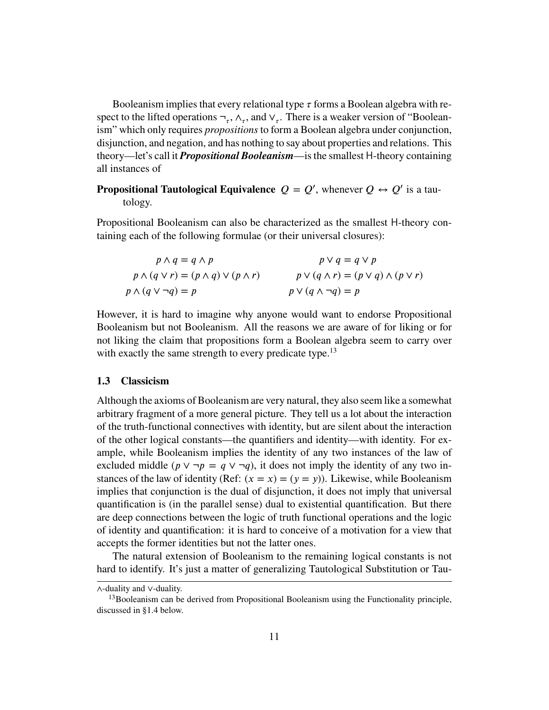Booleanism implies that every relational type  $\tau$  forms a Boolean algebra with respect to the lifted operations  $\neg_\tau$ ,  $\wedge_\tau$ , and  $\vee_\tau$ . There is a weaker version of "Booleanism" which only requires *propositions* to form a Boolean algebra under conjunction, disjunction, and negation, and has nothing to say about properties and relations. This theory—let's call it *Propositional Booleanism*—is the smallest H-theory containing all instances of

**Propositional Tautological Equivalence**  $Q = Q'$ , whenever  $Q \leftrightarrow Q'$  is a tautology.

Propositional Booleanism can also be characterized as the smallest H-theory containing each of the following formulae (or their universal closures):

| $p \wedge q = q \wedge p$                              | $p \vee q = q \vee p$                                |
|--------------------------------------------------------|------------------------------------------------------|
| $p \wedge (q \vee r) = (p \wedge q) \vee (p \wedge r)$ | $p \vee (q \wedge r) = (p \vee q) \wedge (p \vee r)$ |
| $p \wedge (q \vee \neg q) = p$                         | $p \vee (q \wedge \neg q) = p$                       |

However, it is hard to imagine why anyone would want to endorse Propositional Booleanism but not Booleanism. All the reasons we are aware of for liking or for not liking the claim that propositions form a Boolean algebra seem to carry over with exactly the same strength to every predicate type.<sup>[13](#page-10-1)</sup>

#### <span id="page-10-0"></span>**1.3 Classicism**

Although the axioms of Booleanism are very natural, they also seem like a somewhat arbitrary fragment of a more general picture. They tell us a lot about the interaction of the truth-functional connectives with identity, but are silent about the interaction of the other logical constants—the quantifiers and identity—with identity. For example, while Booleanism implies the identity of any two instances of the law of excluded middle ( $p \lor \neg p = q \lor \neg q$ ), it does not imply the identity of any two instances of the law of identity (Ref:  $(x = x) = (y = y)$ ). Likewise, while Booleanism implies that conjunction is the dual of disjunction, it does not imply that universal quantification is (in the parallel sense) dual to existential quantification. But there are deep connections between the logic of truth functional operations and the logic of identity and quantification: it is hard to conceive of a motivation for a view that accepts the former identities but not the latter ones.

The natural extension of Booleanism to the remaining logical constants is not hard to identify. It's just a matter of generalizing Tautological Substitution or Tau-

<sup>∧</sup>-duality and ∨-duality.

<span id="page-10-1"></span> $<sup>13</sup>$ Booleanism can be derived from Propositional Booleanism using the Functionality principle,</sup> discussed in [§1.4](#page-13-0) below.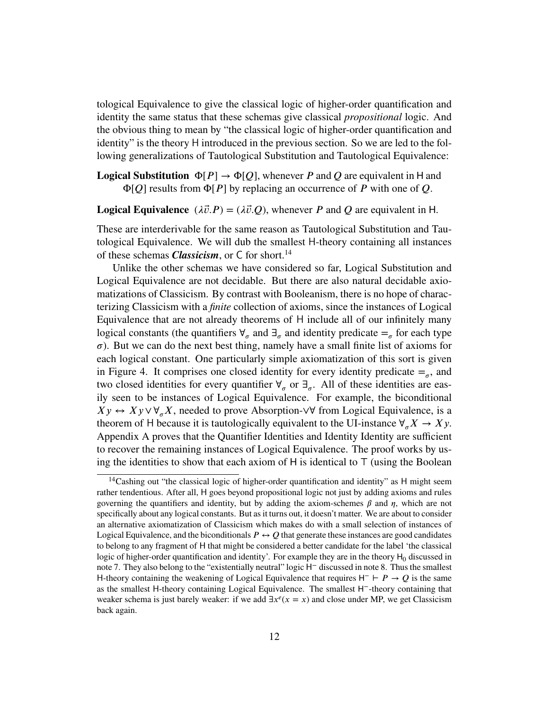tological Equivalence to give the classical logic of higher-order quantification and identity the same status that these schemas give classical *propositional* logic. And the obvious thing to mean by "the classical logic of higher-order quantification and identity" is the theory H introduced in the previous section. So we are led to the following generalizations of Tautological Substitution and Tautological Equivalence:

**Logical Substitution**  $\Phi[P] \rightarrow \Phi[Q]$ , whenever *P* and *Q* are equivalent in H and Φ[*𝑄*] results from Φ[*𝑃* ] by replacing an occurrence of *𝑃* with one of *𝑄*.

# **Logical Equivalence**  $(\lambda \vec{v} \cdot P) = (\lambda \vec{v} \cdot Q)$ , whenever *P* and *Q* are equivalent in H.

These are interderivable for the same reason as Tautological Substitution and Tautological Equivalence. We will dub the smallest H-theory containing all instances of these schemas *Classicism*, or C for short.<sup>[14](#page-11-0)</sup>

Unlike the other schemas we have considered so far, Logical Substitution and Logical Equivalence are not decidable. But there are also natural decidable axiomatizations of Classicism. By contrast with Booleanism, there is no hope of characterizing Classicism with a *finite* collection of axioms, since the instances of Logical Equivalence that are not already theorems of H include all of our infinitely many logical constants (the quantifiers  $\forall_{\sigma}$  and  $\exists_{\sigma}$  and identity predicate  $=_{\sigma}$  for each type  $\sigma$ ). But we can do the next best thing, namely have a small finite list of axioms for each logical constant. One particularly simple axiomatization of this sort is given in [Figure 4.](#page-12-0) It comprises one closed identity for every identity predicate  $=_{\sigma}$ , and two closed identities for every quantifier  $\forall_{\sigma}$  or  $\exists_{\sigma}$ . All of these identities are easily seen to be instances of Logical Equivalence. For example, the biconditional *Xy* ↔ *Xy* ∨ $\forall_{\sigma}$ *X*, needed to prove Absorption-∨∀ from Logical Equivalence, is a theorem of H because it is tautologically equivalent to the UI-instance  $\forall_{\sigma} X \to X y$ . [Appendix A](#page-63-0) proves that the Quantifier Identities and Identity Identity are sufficient to recover the remaining instances of Logical Equivalence. The proof works by using the identities to show that each axiom of 𝖧 is identical to *⊤* (using the Boolean

<span id="page-11-0"></span> $14$ Cashing out "the classical logic of higher-order quantification and identity" as H might seem rather tendentious. After all, H goes beyond propositional logic not just by adding axioms and rules governing the quantifiers and identity, but by adding the axiom-schemes  $\beta$  and  $\eta$ , which are not specifically about any logical constants. But as it turns out, it doesn't matter. We are about to consider an alternative axiomatization of Classicism which makes do with a small selection of instances of Logical Equivalence, and the biconditionals  $P \leftrightarrow Q$  that generate these instances are good candidates to belong to any fragment of H that might be considered a better candidate for the label 'the classical logic of higher-order quantification and identity'. For example they are in the theory  $H_0$  discussed in [note 7.](#page-6-1) They also belong to the "existentially neutral" logic H<sup>−</sup> discussed in [note 8.](#page-6-3) Thus the smallest H-theory containing the weakening of Logical Equivalence that requires  $H^- \vdash P \rightarrow Q$  is the same as the smallest H-theory containing Logical Equivalence. The smallest H<sup>-</sup>-theory containing that weaker schema is just barely weaker: if we add  $\exists x^e(x = x)$  and close under MP, we get Classicism back again.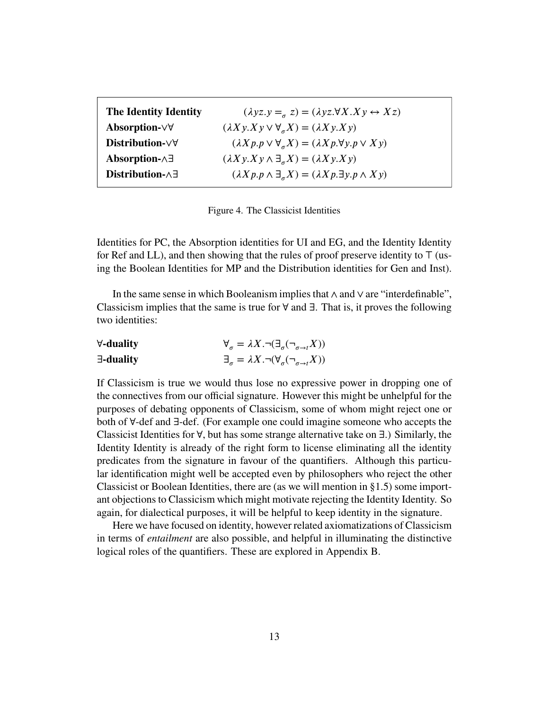<span id="page-12-0"></span>

| The Identity Identity           | $(\lambda yz.y =_{\alpha} z) = (\lambda yz.\forall X.Xy \leftrightarrow Xz)$          |
|---------------------------------|---------------------------------------------------------------------------------------|
| Absorption- $\forall \forall$   | $(\lambda X y.X y \vee \forall_{\sigma} X) = (\lambda X y.X y)$                       |
| Distribution- $\forall \forall$ | $(\lambda X p. p \vee \forall_{\sigma} X) = (\lambda X p. \forall y. p \vee X y)$     |
| Absorption- $\wedge \exists$    | $(\lambda X y.X y \wedge \exists_{\sigma} X) = (\lambda X y.X y)$                     |
| Distribution- $\wedge \exists$  | $(\lambda X p. p \wedge \exists_{\sigma} X) = (\lambda X p. \exists y. p \wedge X y)$ |

Figure 4. The Classicist Identities

Identities for PC, the Absorption identities for UI and EG, and the Identity Identity for Ref and LL), and then showing that the rules of proof preserve identity to *⊤* (using the Boolean Identities for MP and the Distribution identities for Gen and Inst).

In the same sense in which Booleanism implies that ∧ and ∨ are "interdefinable", Classicism implies that the same is true for  $\forall$  and  $\exists$ . That is, it proves the following two identities:

| $\forall$ -duality | $\forall_{\sigma} = \lambda X . \neg (\exists_{\sigma} (\neg_{\sigma \rightarrow t} X))$ |
|--------------------|------------------------------------------------------------------------------------------|
| $\exists$ -duality | $\exists_{\sigma} = \lambda X. \neg(\forall_{\sigma} (\neg_{\sigma \to t} X))$           |

If Classicism is true we would thus lose no expressive power in dropping one of the connectives from our official signature. However this might be unhelpful for the purposes of debating opponents of Classicism, some of whom might reject one or both of ∀-def and ∃-def. (For example one could imagine someone who accepts the Classicist Identities for ∀, but has some strange alternative take on ∃.) Similarly, the Identity Identity is already of the right form to license eliminating all the identity predicates from the signature in favour of the quantifiers. Although this particular identification might well be accepted even by philosophers who reject the other Classicist or Boolean Identities, there are (as we will mention in [§1.5\)](#page-15-0) some important objections to Classicism which might motivate rejecting the Identity Identity. So again, for dialectical purposes, it will be helpful to keep identity in the signature.

Here we have focused on identity, however related axiomatizations of Classicism in terms of *entailment* are also possible, and helpful in illuminating the distinctive logical roles of the quantifiers. These are explored in [Appendix B.](#page-65-0)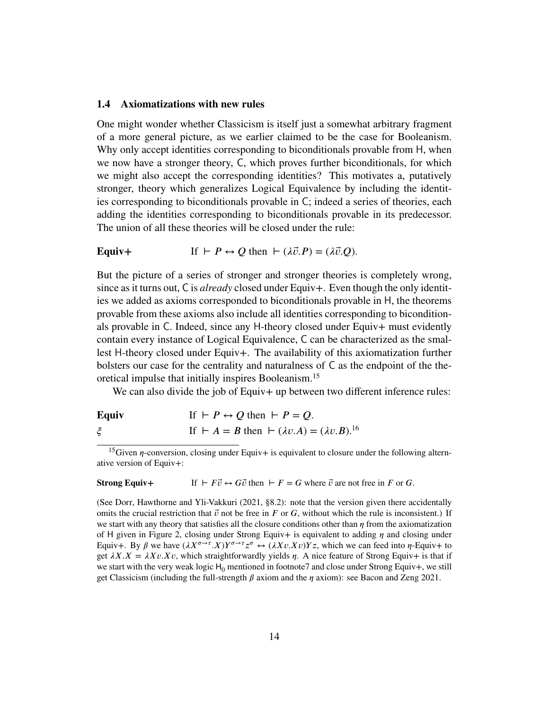## <span id="page-13-0"></span>**1.4 Axiomatizations with new rules**

One might wonder whether Classicism is itself just a somewhat arbitrary fragment of a more general picture, as we earlier claimed to be the case for Booleanism. Why only accept identities corresponding to biconditionals provable from H, when we now have a stronger theory, C, which proves further biconditionals, for which we might also accept the corresponding identities? This motivates a, putatively stronger, theory which generalizes Logical Equivalence by including the identities corresponding to biconditionals provable in C; indeed a series of theories, each adding the identities corresponding to biconditionals provable in its predecessor. The union of all these theories will be closed under the rule:

**Equiv+** If 
$$
\vdash P \leftrightarrow Q
$$
 then  $\vdash (\lambda \vec{v}.P) = (\lambda \vec{v}.Q)$ .

But the picture of a series of stronger and stronger theories is completely wrong, since as it turns out, C is *already* closed under Equiv+. Even though the only identities we added as axioms corresponded to biconditionals provable in H, the theorems provable from these axioms also include all identities corresponding to biconditionals provable in C. Indeed, since any H-theory closed under Equiv+ must evidently contain every instance of Logical Equivalence, C can be characterized as the smallest H-theory closed under Equiv+. The availability of this axiomatization further bolsters our case for the centrality and naturalness of C as the endpoint of the theoretical impulse that initially inspires Booleanism.[15](#page-13-1)

We can also divide the job of Equiv+ up between two different inference rules:

| <b>Equiv</b> | If $\vdash P \leftrightarrow Q$ then $\vdash P = Q$ .               |
|--------------|---------------------------------------------------------------------|
|              | If $\vdash A = B$ then $\vdash (\lambda v.A) = (\lambda v.B).^{16}$ |

<span id="page-13-1"></span><sup>15</sup>Given  $\eta$ -conversion, closing under Equiv+ is equivalent to closure under the following alternative version of Equiv+:

#### **Strong Equiv+** If  $\vdash F\vec{v} \leftrightarrow G\vec{v}$  then  $\vdash F = G$  where  $\vec{v}$  are not free in *F* or *G*.

(See Dorr, Hawthorne and Yli-Vakkuri [\(2021,](#page-82-3) §8.2): note that the version given there accidentally omits the crucial restriction that  $\vec{v}$  not be free in *F* or *G*, without which the rule is inconsistent.) If we start with any theory that satisfies all the closure conditions other than  $\eta$  from the axiomatization of H given in [Figure 2,](#page-7-0) closing under Strong Equiv $+$  is equivalent to adding  $\eta$  and closing under Equiv+. By  $\beta$  we have  $(\lambda X^{\sigma \to \tau}.X)Y^{\sigma \to \tau} z^{\sigma} \leftrightarrow (\lambda X v.X v)Y z$ , which we can feed into  $\eta$ -Equiv+ to get  $\lambda X.X = \lambda Xv.Xv$ , which straightforwardly yields *n*. A nice feature of Strong Equiv+ is that if we start with the very weak logic  $H_0$  mentioned in footnot[e7](#page-6-1) and close under Strong Equiv+, we still get Classicism (including the full-strength  $\beta$  axiom and the  $\eta$  axiom): see Bacon and Zeng [2021.](#page-81-2)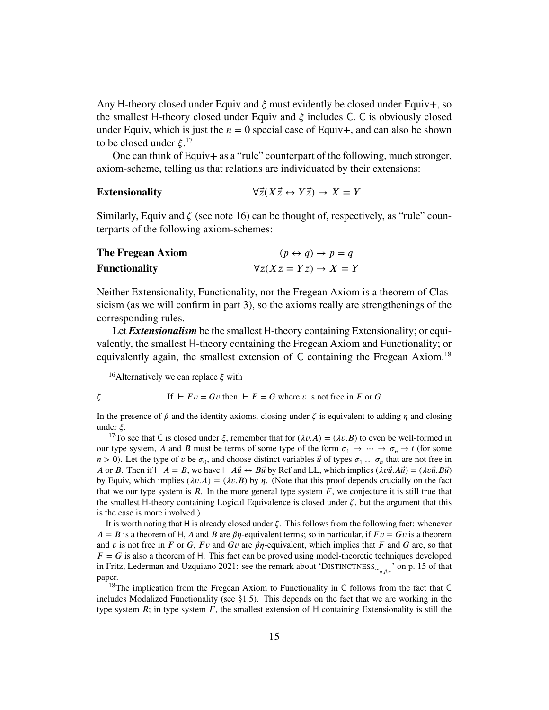Any H-theory closed under Equiv and  $\xi$  must evidently be closed under Equiv+, so the smallest H-theory closed under Equiv and  $\xi$  includes C. C is obviously closed under Equiv, which is just the  $n = 0$  special case of Equiv+, and can also be shown to be closed under *ξ*.<sup>[17](#page-14-1)</sup>

One can think of Equiv+ as a "rule" counterpart of the following, much stronger, axiom-scheme, telling us that relations are individuated by their extensions:

**Extensionality** 
$$
\forall \vec{z}(X\vec{z} \leftrightarrow Y\vec{z}) \rightarrow X = Y
$$

Similarly, Equiv and  $\zeta$  (see [note 16\)](#page-14-0) can be thought of, respectively, as "rule" counterparts of the following axiom-schemes:

| The Fregean Axiom    | $(p \leftrightarrow q) \rightarrow p = q$ |
|----------------------|-------------------------------------------|
| <b>Functionality</b> | $\forall z (Xz = Yz) \rightarrow X = Y$   |

Neither Extensionality, Functionality, nor the Fregean Axiom is a theorem of Classicism (as we will confirm in part 3), so the axioms really are strengthenings of the corresponding rules.

Let *Extensionalism* be the smallest H-theory containing Extensionality; or equivalently, the smallest H-theory containing the Fregean Axiom and Functionality; or equivalently again, the smallest extension of  $C$  containing the Fregean Axiom.<sup>[18](#page-14-2)</sup>

# $\zeta$  If  $\vdash Fv = Gv$  then  $\vdash F = G$  where *v* is not free in *F* or *G*

In the presence of  $\beta$  and the identity axioms, closing under  $\zeta$  is equivalent to adding  $\eta$  and closing under  $\xi$ .

<span id="page-14-1"></span><sup>17</sup>To see that C is closed under  $\xi$ , remember that for  $(\lambda v.A) = (\lambda v.B)$  to even be well-formed in our type system, *A* and *B* must be terms of some type of the form  $\sigma_1 \to \cdots \to \sigma_n \to t$  (for some  $n > 0$ ). Let the type of *v* be  $\sigma_0$ , and choose distinct variables  $\vec{u}$  of types  $\sigma_1 \dots \sigma_n$  that are not free in *<i>A* or *B*. Then if  $\vdash A = B$ , we have  $\vdash A\vec{u} \leftrightarrow B\vec{u}$  by Ref and LL, which implies  $(\lambda v\vec{u}.A\vec{u}) = (\lambda v\vec{u}.B\vec{u})$ . by Equiv, which implies  $(\lambda v.A) = (\lambda v.B)$  by  $\eta$ . (Note that this proof depends crucially on the fact that we our type system is  $\overline{R}$ . In the more general type system  $\overline{F}$ , we conjecture it is still true that the smallest H-theory containing Logical Equivalence is closed under  $\zeta$ , but the argument that this is the case is more involved.)

It is worth noting that  $H$  is already closed under  $\zeta$ . This follows from the following fact: whenever  $A = B$  is a theorem of H, A and B are  $\beta \eta$ -equivalent terms; so in particular, if  $Fv = Gv$  is a theorem and *v* is not free in *F* or *G*, *Fv* and *Gv* are  $\beta\eta$ -equivalent, which implies that *F* and *G* are, so that  $F = G$  is also a theorem of H. This fact can be proved using model-theoretic techniques developed in Fritz, Lederman and Uzquiano [2021:](#page-82-4) see the remark about 'DISTINCTNESS<sub>∼<sub>α,β,η</sub>' on p. 15 of that</sub> paper.

<span id="page-14-2"></span><sup>18</sup>The implication from the Fregean Axiom to Functionality in  $\mathsf C$  follows from the fact that  $\mathsf C$ includes Modalized Functionality (see [§1.5\)](#page-15-0). This depends on the fact that we are working in the type system *; in type system*  $*F*$ *, the smallest extension of*  $H$  *containing Extensionality is still the* 

<span id="page-14-0"></span><sup>&</sup>lt;sup>16</sup>Alternatively we can replace  $\xi$  with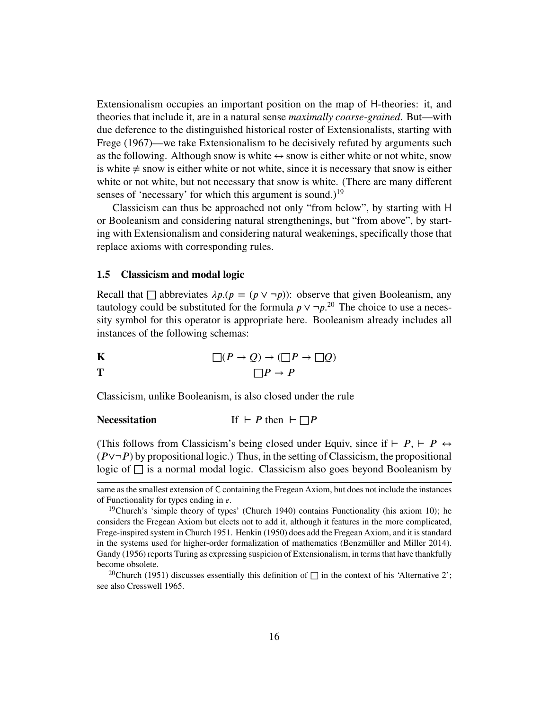Extensionalism occupies an important position on the map of H-theories: it, and theories that include it, are in a natural sense *maximally coarse-grained*. But—with due deference to the distinguished historical roster of Extensionalists, starting with Frege [\(1967\)](#page-82-5)—we take Extensionalism to be decisively refuted by arguments such as the following. Although snow is white  $\leftrightarrow$  snow is either white or not white, snow is white  $\neq$  snow is either white or not white, since it is necessary that snow is either white or not white, but not necessary that snow is white. (There are many different senses of 'necessary' for which this argument is sound.)<sup>[19](#page-15-1)</sup>

Classicism can thus be approached not only "from below", by starting with H or Booleanism and considering natural strengthenings, but "from above", by starting with Extensionalism and considering natural weakenings, specifically those that replace axioms with corresponding rules.

#### <span id="page-15-0"></span>**1.5 Classicism and modal logic**

Recall that  $\Box$  abbreviates  $\lambda p.(p = (p \lor \neg p))$ : observe that given Booleanism, any tautology could be substituted for the formula  $p \vee \neg p$ <sup>[20](#page-15-2)</sup>. The choice to use a necessity symbol for this operator is appropriate here. Booleanism already includes all instances of the following schemas:

**K**  
\n**T**  
\n
$$
\Box(P \to Q) \to (\Box P \to \Box Q)
$$
\n
$$
\Box P \to P
$$

Classicism, unlike Booleanism, is also closed under the rule

**Necessitation** If 
$$
\vdash P
$$
 then  $\vdash \Box P$ 

(This follows from Classicism's being closed under Equiv, since if *⊢ P*, *⊢ P* ↔  $(P\vee\neg P)$  by propositional logic.) Thus, in the setting of Classicism, the propositional logic of  $\Box$  is a normal modal logic. Classicism also goes beyond Booleanism by

same as the smallest extension of C containing the Fregean Axiom, but does not include the instances of Functionality for types ending in *e*.

<span id="page-15-1"></span><sup>&</sup>lt;sup>19</sup>Church's 'simple theory of types' (Church [1940\)](#page-81-3) contains Functionality (his axiom 10); he considers the Fregean Axiom but elects not to add it, although it features in the more complicated, Frege-inspired system in Church [1951.](#page-81-4) Henkin [\(1950\)](#page-83-3) does add the Fregean Axiom, and it is standard in the systems used for higher-order formalization of mathematics (Benzmüller and Miller [2014\)](#page-81-5). Gandy [\(1956\)](#page-83-1) reports Turing as expressing suspicion of Extensionalism, in terms that have thankfully become obsolete.

<span id="page-15-2"></span><sup>&</sup>lt;sup>20</sup>Church [\(1951\)](#page-81-4) discusses essentially this definition of  $\Box$  in the context of his 'Alternative 2'; see also Cresswell [1965.](#page-82-6)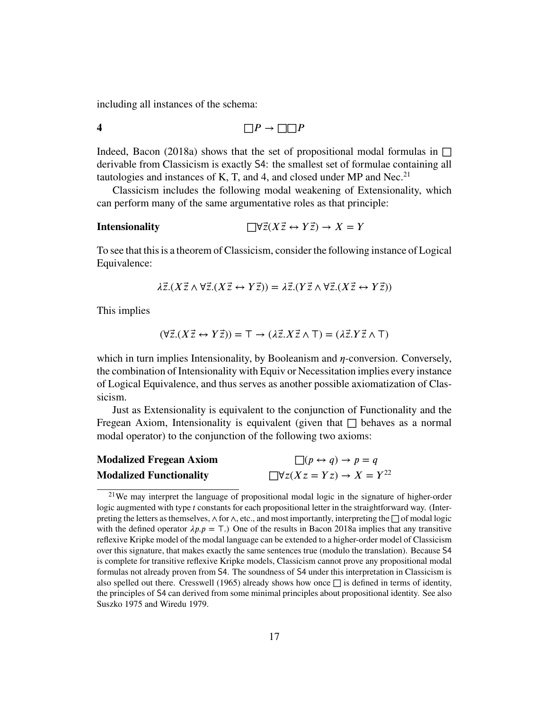including all instances of the schema:

4 
$$
\Box P \rightarrow \Box \Box P
$$

Indeed, Bacon [\(2018a\)](#page-81-0) shows that the set of propositional modal formulas in  $\Box$ derivable from Classicism is exactly S4: the smallest set of formulae containing all tautologies and instances of K, T, and 4, and closed under MP and Nec.<sup>[21](#page-16-0)</sup>

Classicism includes the following modal weakening of Extensionality, which can perform many of the same argumentative roles as that principle:

**Intensionality** 
$$
\Box \forall \vec{z} (X \vec{z} \leftrightarrow Y \vec{z}) \rightarrow X = Y
$$

To see that this is a theorem of Classicism, consider the following instance of Logical Equivalence:

$$
\lambda \vec{z}.(X\vec{z} \wedge \forall \vec{z}.(X\vec{z} \leftrightarrow Y\vec{z})) = \lambda \vec{z}.(Y\vec{z} \wedge \forall \vec{z}.(X\vec{z} \leftrightarrow Y\vec{z}))
$$

This implies

$$
(\forall \vec{z}. (X\vec{z} \leftrightarrow Y\vec{z})) = \top \rightarrow (\lambda \vec{z}. X\vec{z} \wedge \top) = (\lambda \vec{z}. Y\vec{z} \wedge \top)
$$

which in turn implies Intensionality, by Booleanism and *η*-conversion. Conversely, the combination of Intensionality with Equiv or Necessitation implies every instance of Logical Equivalence, and thus serves as another possible axiomatization of Classicism.

Just as Extensionality is equivalent to the conjunction of Functionality and the Fregean Axiom, Intensionality is equivalent (given that  $\Box$  behaves as a normal modal operator) to the conjunction of the following two axioms:

| <b>Modalized Fregean Axiom</b> | $\Box(p \leftrightarrow q) \rightarrow p = q$     |
|--------------------------------|---------------------------------------------------|
| <b>Modalized Functionality</b> | $\Box \forall z (Xz = Yz) \rightarrow X = Y^{22}$ |

<span id="page-16-0"></span><sup>&</sup>lt;sup>21</sup>We may interpret the language of propositional modal logic in the signature of higher-order logic augmented with type *t* constants for each propositional letter in the straightforward way. (Interpreting the letters as themselves,  $\land$  for  $\land$ , etc., and most importantly, interpreting the  $□$  of modal logic with the defined operator  $\lambda p.p = T$ .) One of the results in Bacon [2018a](#page-81-0) implies that any transitive reflexive Kripke model of the modal language can be extended to a higher-order model of Classicism over this signature, that makes exactly the same sentences true (modulo the translation). Because S4 is complete for transitive reflexive Kripke models, Classicism cannot prove any propositional modal formulas not already proven from S4. The soundness of S4 under this interpretation in Classicism is also spelled out there. Cresswell [\(1965\)](#page-82-6) already shows how once  $\Box$  is defined in terms of identity, the principles of S4 can derived from some minimal principles about propositional identity. See also Suszko [1975](#page-84-2) and Wiredu [1979.](#page-84-3)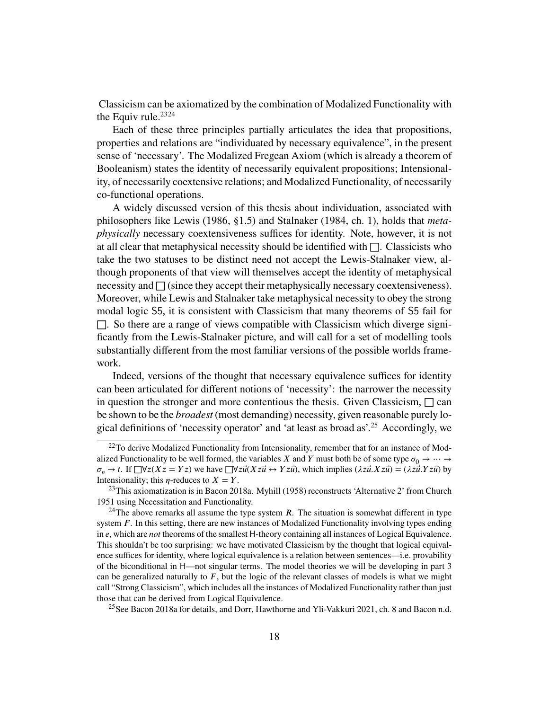Classicism can be axiomatized by the combination of Modalized Functionality with the Equiv rule. $2324$  $2324$ 

Each of these three principles partially articulates the idea that propositions, properties and relations are "individuated by necessary equivalence", in the present sense of 'necessary'. The Modalized Fregean Axiom (which is already a theorem of Booleanism) states the identity of necessarily equivalent propositions; Intensionality, of necessarily coextensive relations; and Modalized Functionality, of necessarily co-functional operations.

A widely discussed version of this thesis about individuation, associated with philosophers like Lewis [\(1986,](#page-83-4) §1.5) and Stalnaker [\(1984,](#page-84-4) ch. 1), holds that *metaphysically* necessary coextensiveness suffices for identity. Note, however, it is not at all clear that metaphysical necessity should be identified with  $\Box$ . Classicists who take the two statuses to be distinct need not accept the Lewis-Stalnaker view, although proponents of that view will themselves accept the identity of metaphysical necessity and  $\Box$  (since they accept their metaphysically necessary coextensiveness). Moreover, while Lewis and Stalnaker take metaphysical necessity to obey the strong modal logic S5, it is consistent with Classicism that many theorems of S5 fail for  $\Box$ . So there are a range of views compatible with Classicism which diverge significantly from the Lewis-Stalnaker picture, and will call for a set of modelling tools substantially different from the most familiar versions of the possible worlds framework.

Indeed, versions of the thought that necessary equivalence suffices for identity can been articulated for different notions of 'necessity': the narrower the necessity in question the stronger and more contentious the thesis. Given Classicism,  $\Box$  can be shown to be the *broadest* (most demanding) necessity, given reasonable purely logical definitions of 'necessity operator' and 'at least as broad as'.[25](#page-17-3) Accordingly, we

<span id="page-17-3"></span><sup>25</sup>See Bacon [2018a](#page-81-0) for details, and Dorr, Hawthorne and Yli-Vakkuri [2021,](#page-82-3) ch. 8 and Bacon [n.d.](#page-81-6)

<span id="page-17-0"></span><sup>&</sup>lt;sup>22</sup>To derive Modalized Functionality from Intensionality, remember that for an instance of Modalized Functionality to be well formed, the variables *X* and *Y* must both be of some type  $\sigma_0 \rightarrow \cdots \rightarrow$  $\sigma_n \to t$ . If  $\Box \forall z (Xz = Yz)$  we have  $\Box \forall z \vec{u} (Xz \vec{u} \leftrightarrow Yz \vec{u})$ , which implies  $(\lambda z \vec{u} \cdot Xz \vec{u}) = (\lambda z \vec{u} \cdot Yz \vec{u})$  by Intensionality; this  $\eta$ -reduces to  $X = Y$ .

<span id="page-17-1"></span><sup>23</sup>This axiomatization is in Bacon [2018a.](#page-81-0) Myhill [\(1958\)](#page-83-5) reconstructs 'Alternative 2' from Church [1951](#page-81-4) using Necessitation and Functionality.

<span id="page-17-2"></span><sup>&</sup>lt;sup>24</sup>The above remarks all assume the type system *. The situation is somewhat different in type* system *F*. In this setting, there are new instances of Modalized Functionality involving types ending in *e*, which are *not* theorems of the smallest H-theory containing all instances of Logical Equivalence. This shouldn't be too surprising: we have motivated Classicism by the thought that logical equivalence suffices for identity, where logical equivalence is a relation between sentences—i.e. provability of the biconditional in H—not singular terms. The model theories we will be developing in part 3 can be generalized naturally to  $F$ , but the logic of the relevant classes of models is what we might call "Strong Classicism", which includes all the instances of Modalized Functionality rather than just those that can be derived from Logical Equivalence.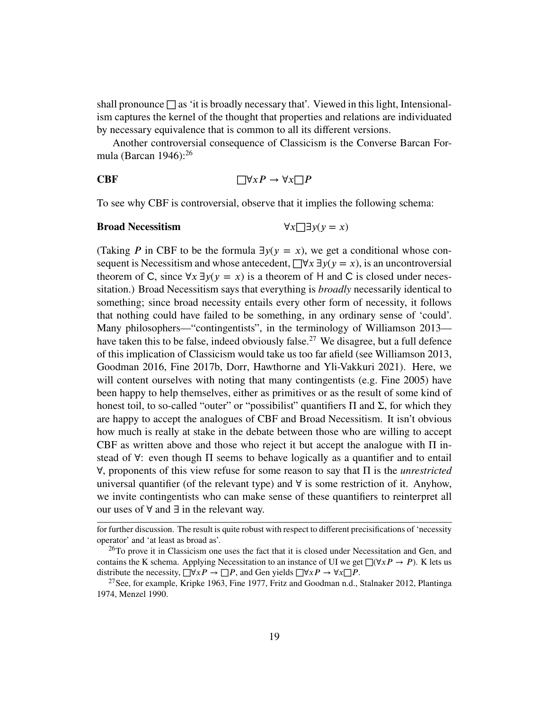shall pronounce  $\square$  as 'it is broadly necessary that'. Viewed in this light, Intensionalism captures the kernel of the thought that properties and relations are individuated by necessary equivalence that is common to all its different versions.

Another controversial consequence of Classicism is the Converse Barcan Formula (Barcan  $1946$ ):<sup>[26](#page-18-0)</sup>

**CBF** 
$$
\Box \forall x P \rightarrow \forall x \Box P
$$

To see why CBF is controversial, observe that it implies the following schema:

# **Broad Necessitism**  $\forall x \Box \exists y (y = x)$

(Taking *P* in CBF to be the formula  $\exists y(y = x)$ , we get a conditional whose consequent is Necessitism and whose antecedent,  $\Box \forall x \exists y (y = x)$ , is an uncontroversial theorem of C, since  $\forall x \exists y (y = x)$  is a theorem of H and C is closed under necessitation.) Broad Necessitism says that everything is *broadly* necessarily identical to something; since broad necessity entails every other form of necessity, it follows that nothing could have failed to be something, in any ordinary sense of 'could'. Many philosophers—"contingentists", in the terminology of Williamson [2013—](#page-84-5) have taken this to be false, indeed obviously false.<sup>[27](#page-18-1)</sup> We disagree, but a full defence of this implication of Classicism would take us too far afield (see Williamson [2013,](#page-84-5) Goodman [2016,](#page-83-6) Fine [2017b,](#page-82-7) Dorr, Hawthorne and Yli-Vakkuri [2021\)](#page-82-3). Here, we will content ourselves with noting that many contingentists (e.g. Fine [2005\)](#page-82-8) have been happy to help themselves, either as primitives or as the result of some kind of honest toil, to so-called "outer" or "possibilist" quantifiers  $\Pi$  and  $\Sigma$ , for which they are happy to accept the analogues of CBF and Broad Necessitism. It isn't obvious how much is really at stake in the debate between those who are willing to accept CBF as written above and those who reject it but accept the analogue with  $\Pi$  instead of ∀: even though Π seems to behave logically as a quantifier and to entail ∀, proponents of this view refuse for some reason to say that Π is the *unrestricted* universal quantifier (of the relevant type) and ∀ is some restriction of it. Anyhow, we invite contingentists who can make sense of these quantifiers to reinterpret all our uses of ∀ and ∃ in the relevant way.

for further discussion. The result is quite robust with respect to different precisifications of 'necessity operator' and 'at least as broad as'.

<span id="page-18-0"></span> $^{26}$ To prove it in Classicism one uses the fact that it is closed under Necessitation and Gen, and contains the K schema. Applying Necessitation to an instance of UI we get  $\Box(\forall x P \rightarrow P)$ . K lets us distribute the necessity,  $\Box \forall x P \rightarrow \Box P$ , and Gen yields  $\Box \forall x P \rightarrow \forall x \Box P$ .

<span id="page-18-1"></span><sup>&</sup>lt;sup>27</sup>See, for example, Kripke [1963,](#page-83-7) Fine [1977,](#page-82-9) Fritz and Goodman [n.d.,](#page-82-10) Stalnaker [2012,](#page-84-6) Plantinga [1974,](#page-83-8) Menzel [1990.](#page-83-9)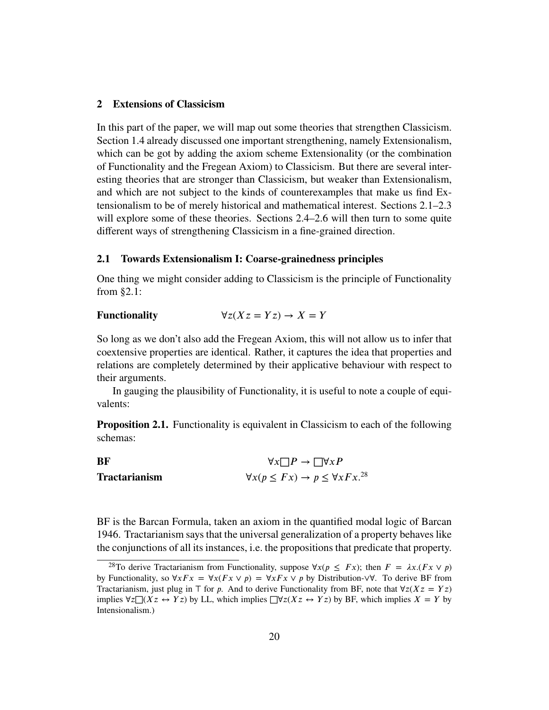# <span id="page-19-0"></span>**2 Extensions of Classicism**

In this part of the paper, we will map out some theories that strengthen Classicism. [Section 1.4](#page-13-0) already discussed one important strengthening, namely Extensionalism, which can be got by adding the axiom scheme Extensionality (or the combination of Functionality and the Fregean Axiom) to Classicism. But there are several interesting theories that are stronger than Classicism, but weaker than Extensionalism, and which are not subject to the kinds of counterexamples that make us find Extensionalism to be of merely historical and mathematical interest. Sections [2.1](#page-19-1)[–2.3](#page-26-0) will explore some of these theories. Sections [2.4](#page-33-0)[–2.6](#page-39-0) will then turn to some quite different ways of strengthening Classicism in a fine-grained direction.

# <span id="page-19-1"></span>**2.1 Towards Extensionalism I: Coarse-grainedness principles**

One thing we might consider adding to Classicism is the principle of Functionality from [§2.1:](#page-19-1)

# Functionality  $\forall z (Xz = Yz) \rightarrow X = Y$

So long as we don't also add the Fregean Axiom, this will not allow us to infer that coextensive properties are identical. Rather, it captures the idea that properties and relations are completely determined by their applicative behaviour with respect to their arguments.

In gauging the plausibility of Functionality, it is useful to note a couple of equivalents:

**Proposition 2.1.** Functionality is equivalent in Classicism to each of the following schemas:

**BF**  
\n
$$
\forall x \Box P \rightarrow \Box \forall x P
$$
\n**Tractarianism**  
\n
$$
\forall x (p \leq Fx) \rightarrow p \leq \forall x Fx.^{28}
$$

BF is the Barcan Formula, taken an axiom in the quantified modal logic of Barcan [1946.](#page-81-7) Tractarianism says that the universal generalization of a property behaves like the conjunctions of all its instances, i.e. the propositions that predicate that property.

<span id="page-19-2"></span><sup>&</sup>lt;sup>28</sup>To derive Tractarianism from Functionality, suppose  $\forall x (p \leq Fx)$ ; then  $F = \lambda x . (Fx \vee p)$ by Functionality, so  $\forall x F x = \forall x (F x \lor p) = \forall x F x \lor p$  by Distribution-∨ $\forall$ . To derive BF from Tractarianism, just plug in *⊤* for *p*. And to derive Functionality from BF, note that  $\forall z(Xz = Yz)$ implies ∀*𝑧*□(*𝑋𝑧* ↔ *𝑌 𝑧*) by LL, which implies □∀*𝑧*(*𝑋𝑧* ↔ *𝑌 𝑧*) by BF, which implies *𝑋* = *𝑌* by Intensionalism.)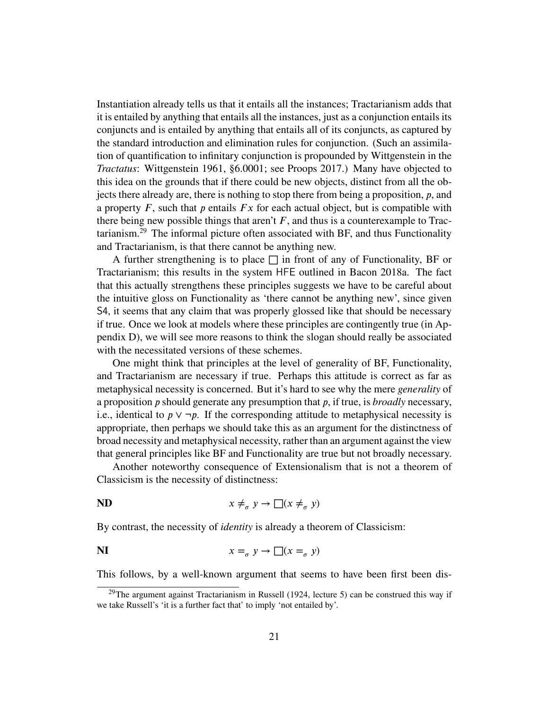Instantiation already tells us that it entails all the instances; Tractarianism adds that it is entailed by anything that entails all the instances, just as a conjunction entails its conjuncts and is entailed by anything that entails all of its conjuncts, as captured by the standard introduction and elimination rules for conjunction. (Such an assimilation of quantification to infinitary conjunction is propounded by Wittgenstein in the *Tractatus*: Wittgenstein [1961,](#page-84-7) §6.0001; see Proops [2017.](#page-83-10)) Many have objected to this idea on the grounds that if there could be new objects, distinct from all the objects there already are, there is nothing to stop there from being a proposition,  $\dot{p}$ , and a property  $F$ , such that  $p$  entails  $Fx$  for each actual object, but is compatible with there being new possible things that aren't  $F$ , and thus is a counterexample to Tractarianism.[29](#page-20-0) The informal picture often associated with BF, and thus Functionality and Tractarianism, is that there cannot be anything new.

A further strengthening is to place  $\Box$  in front of any of Functionality, BF or Tractarianism; this results in the system HFE outlined in Bacon [2018a.](#page-81-0) The fact that this actually strengthens these principles suggests we have to be careful about the intuitive gloss on Functionality as 'there cannot be anything new', since given S4, it seems that any claim that was properly glossed like that should be necessary if true. Once we look at models where these principles are contingently true (in [Ap](#page-71-0)[pendix D\)](#page-71-0), we will see more reasons to think the slogan should really be associated with the necessitated versions of these schemes.

One might think that principles at the level of generality of BF, Functionality, and Tractarianism are necessary if true. Perhaps this attitude is correct as far as metaphysical necessity is concerned. But it's hard to see why the mere *generality* of a proposition *p* should generate any presumption that *p*, if true, is *broadly* necessary, i.e., identical to  $p \vee \neg p$ . If the corresponding attitude to metaphysical necessity is appropriate, then perhaps we should take this as an argument for the distinctness of broad necessity and metaphysical necessity, rather than an argument against the view that general principles like BF and Functionality are true but not broadly necessary.

Another noteworthy consequence of Extensionalism that is not a theorem of Classicism is the necessity of distinctness:

$$
ND \t x \neq_{\sigma} y \to \Box (x \neq_{\sigma} y)
$$

By contrast, the necessity of *identity* is already a theorem of Classicism:

**NI** 
$$
x =_{\sigma} y \rightarrow \Box(x =_{\sigma} y)
$$

This follows, by a well-known argument that seems to have been first been dis-

<span id="page-20-0"></span><sup>&</sup>lt;sup>29</sup>The argument against Tractarianism in Russell [\(1924,](#page-83-11) lecture 5) can be construed this way if we take Russell's 'it is a further fact that' to imply 'not entailed by'.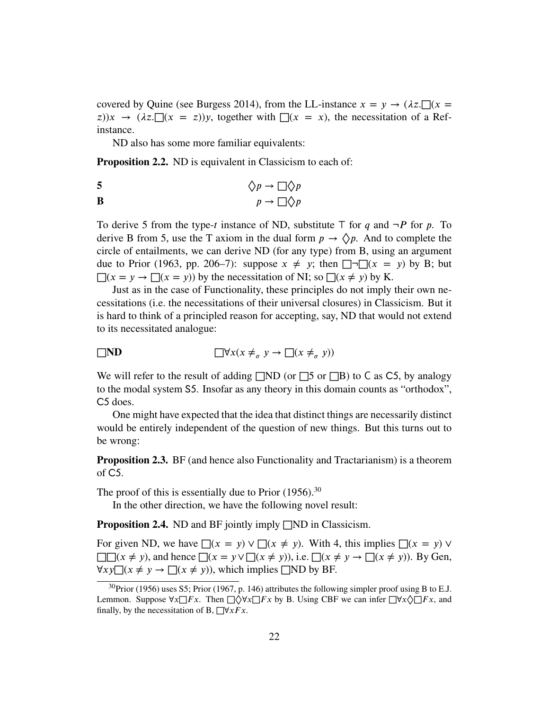covered by Quine (see Burgess [2014\)](#page-81-8), from the LL-instance  $x = y \rightarrow (\lambda z) \cdot \prod (x =$  $(z)$ ) $x \to (\lambda z. \Box(x = z))y$ , together with  $\Box(x = x)$ , the necessitation of a Refinstance.

ND also has some more familiar equivalents:

**Proposition 2.2.** ND is equivalent in Classicism to each of:

5 
$$
\Diamond p \to \Box \Diamond p
$$

$$
p \to \Box \Diamond p
$$

To derive 5 from the type-*𝑡* instance of ND, substitute *⊤* for *𝑞* and ¬*𝑃* for *𝑝*. To derive B from 5, use the T axiom in the dual form  $p \to \Diamond p$ . And to complete the circle of entailments, we can derive ND (for any type) from B, using an argument due to Prior [\(1963,](#page-83-12) pp. 206–7): suppose  $x \neq y$ ; then  $\Box \Box (x = y)$  by B; but  $\Box(x = y \rightarrow \Box(x = y))$  by the necessitation of NI; so  $\Box(x \neq y)$  by K.

Just as in the case of Functionality, these principles do not imply their own necessitations (i.e. the necessitations of their universal closures) in Classicism. But it is hard to think of a principled reason for accepting, say, ND that would not extend to its necessitated analogue:

$$
\Box \mathbf{ND} \qquad \Box \forall x (x \neq_{\sigma} y \to \Box (x \neq_{\sigma} y))
$$

We will refer to the result of adding  $\Box$ ND (or  $\Box$ 5 or  $\Box$ B) to C as C5, by analogy to the modal system S5. Insofar as any theory in this domain counts as "orthodox", C5 does.

One might have expected that the idea that distinct things are necessarily distinct would be entirely independent of the question of new things. But this turns out to be wrong:

<span id="page-21-1"></span>**Proposition 2.3.** BF (and hence also Functionality and Tractarianism) is a theorem of C<sub>5</sub>.

The proof of this is essentially due to Prior  $(1956)^{30}$  $(1956)^{30}$  $(1956)^{30}$  $(1956)^{30}$ 

In the other direction, we have the following novel result:

**Proposition 2.4.** ND and BF jointly imply □ND in Classicism.

For given ND, we have  $\Box(x = y) \lor \Box(x \neq y)$ . With 4, this implies  $\Box(x = y) \lor \Box(x \neq y)$ □□( $x \neq y$ ), and hence □( $x = y \lor \Box(x \neq y)$ ), i.e. □( $x \neq y \rightarrow \Box(x \neq y)$ ). By Gen,  $\forall xy \square (x \neq y \rightarrow \square (x \neq y))$ , which implies □ND by BF.

<span id="page-21-0"></span> $30$ Prior [\(1956\)](#page-83-13) uses S5; Prior [\(1967,](#page-83-14) p. 146) attributes the following simpler proof using B to E.J. Lemmon. Suppose  $\forall x \Box Fx$ . Then  $\Box \Diamond \forall x \Box Fx$  by B. Using CBF we can infer  $\Box \forall x \Diamond \Box Fx$ , and finally, by the necessitation of B,  $\Box \forall x Fx$ .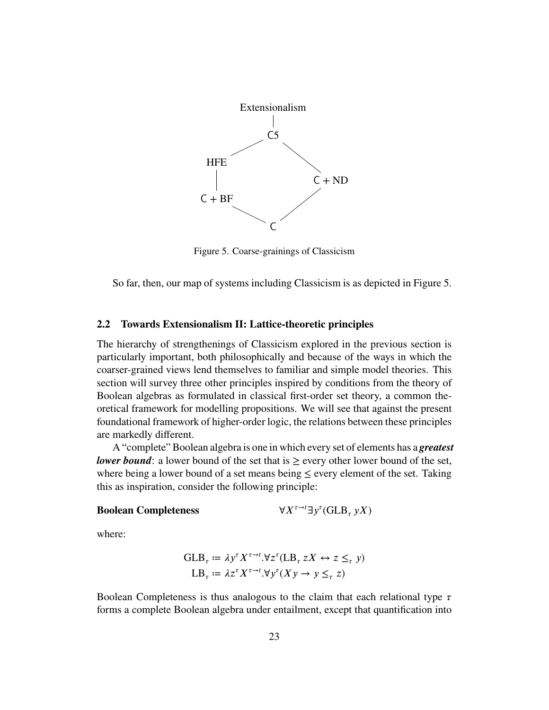<span id="page-22-1"></span>

Figure 5. Coarse-grainings of Classicism

So far, then, our map of systems including Classicism is as depicted in [Figure 5.](#page-22-1)

#### <span id="page-22-0"></span>**2.2 Towards Extensionalism II: Lattice-theoretic principles**

The hierarchy of strengthenings of Classicism explored in the previous section is particularly important, both philosophically and because of the ways in which the coarser-grained views lend themselves to familiar and simple model theories. This section will survey three other principles inspired by conditions from the theory of Boolean algebras as formulated in classical first-order set theory, a common theoretical framework for modelling propositions. We will see that against the present foundational framework of higher-order logic, the relations between these principles are markedly different.

A "complete" Boolean algebra is one in which every set of elements has a *greatest lower bound*: a lower bound of the set that is  $\geq$  every other lower bound of the set, where being a lower bound of a set means being  $\leq$  every element of the set. Taking this as inspiration, consider the following principle:

#### **Boolean Completeness**

 $\tau$ <sup>→*t*</sup>∃ $y^{\tau}$ (GLB<sub> $_{\tau}$ </sub>  $yX$ )

where:

$$
\begin{aligned} \n\text{GLB}_{\tau} &:= \lambda y^{\tau} X^{\tau \to t} . \forall z^{\tau} (\text{LB}_{\tau} zX \leftrightarrow z \leq_{\tau} y) \\ \n\text{LB}_{\tau} &:= \lambda z^{\tau} X^{\tau \to t} . \forall y^{\tau} (Xy \to y \leq_{\tau} z) \n\end{aligned}
$$

Boolean Completeness is thus analogous to the claim that each relational type  $\tau$ forms a complete Boolean algebra under entailment, except that quantification into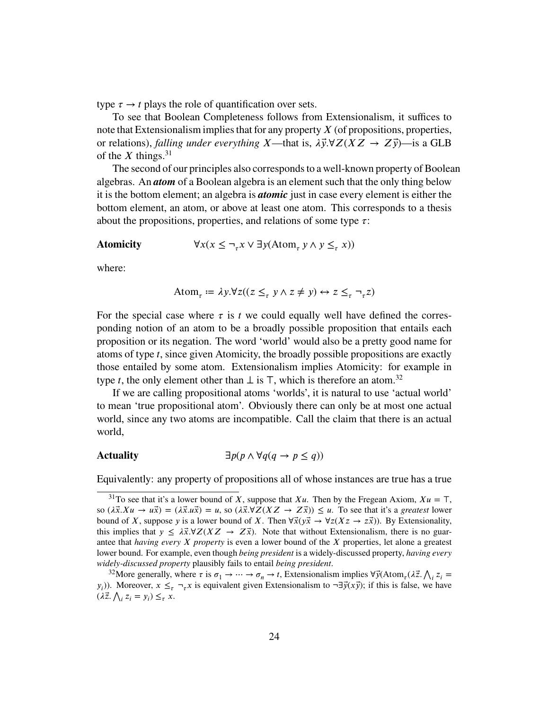type  $\tau \rightarrow t$  plays the role of quantification over sets.

To see that Boolean Completeness follows from Extensionalism, it suffices to note that Extensionalism implies that for any property *X* (of propositions, properties, or relations), *falling under everything X*—that is,  $\lambda \vec{y} \cdot \forall Z (XZ \rightarrow Z\vec{y})$ —is a GLB of the *X* things.<sup>[31](#page-23-0)</sup>

The second of our principles also corresponds to a well-known property of Boolean algebras. An *atom* of a Boolean algebra is an element such that the only thing below it is the bottom element; an algebra is *atomic* just in case every element is either the bottom element, an atom, or above at least one atom. This corresponds to a thesis about the propositions, properties, and relations of some type  $\tau$ :

### **Atomicity** ∀*𝑥*(*𝑥* ≤ ¬*𝜏𝑥* ∨ ∃*𝑦*(Atom*<sup>𝜏</sup>*

$$
\forall x (x \leq \neg_\tau x \lor \exists y (\text{Atom}_\tau \ y \land y \leq_\tau x))
$$

where:

$$
\text{Atom}_{\tau} := \lambda y. \forall z ((z \leq_{\tau} y \land z \neq y) \leftrightarrow z \leq_{\tau} \neg_{\tau} z)
$$

For the special case where  $\tau$  is  $t$  we could equally well have defined the corresponding notion of an atom to be a broadly possible proposition that entails each proposition or its negation. The word 'world' would also be a pretty good name for atoms of type *𝑡*, since given Atomicity, the broadly possible propositions are exactly those entailed by some atom. Extensionalism implies Atomicity: for example in type *t*, the only element other than  $\perp$  is  $\top$ , which is therefore an atom.<sup>[32](#page-23-1)</sup>

If we are calling propositional atoms 'worlds', it is natural to use 'actual world' to mean 'true propositional atom'. Obviously there can only be at most one actual world, since any two atoms are incompatible. Call the claim that there is an actual world,

# Actuality  $\exists p(p \land \forall q(q \rightarrow p \leq q))$

Equivalently: any property of propositions all of whose instances are true has a true

<span id="page-23-0"></span><sup>&</sup>lt;sup>31</sup>To see that it's a lower bound of *X*, suppose that *Xu*. Then by the Fregean Axiom,  $Xu = T$ , so  $(\lambda \vec{x}. Xu \to u\vec{x}) = (\lambda \vec{x}.u\vec{x}) = u$ , so  $(\lambda \vec{x}.\forall Z(XZ \to Z\vec{x})) \leq u$ . To see that it's a *greatest* lower bound of *X*, suppose *y* is a lower bound of *X*. Then  $\forall \vec{x} (y \vec{x} \rightarrow \forall z (Xz \rightarrow z \vec{x}))$ . By Extensionality, this implies that  $y \leq \lambda \vec{x} \cdot \forall Z(XZ \rightarrow Z\vec{x})$ . Note that without Extensionalism, there is no guarantee that *having every X* property is even a lower bound of the *X* properties, let alone a greatest lower bound. For example, even though *being president* is a widely-discussed property, *having every widely-discussed property* plausibly fails to entail *being president*.

<span id="page-23-1"></span><sup>32</sup> More generally, where  $\tau$  is  $\sigma_1 \to \cdots \to \sigma_n \to t$ , Extensionalism implies  $\forall \vec{y}$ (Atom<sub> $\tau$ </sub>( $\lambda \vec{z}$ ,  $\Lambda_i z_i$ ) *y*<sub>*i*</sub>)). Moreover,  $x \leq_\tau \neg_\tau x$  is equivalent given Extensionalism to  $\neg \exists \vec{y}(x\vec{y})$ ; if this is false, we have  $(\lambda \vec{z}, \bigwedge_i z_i = y_i) \leq_\tau x.$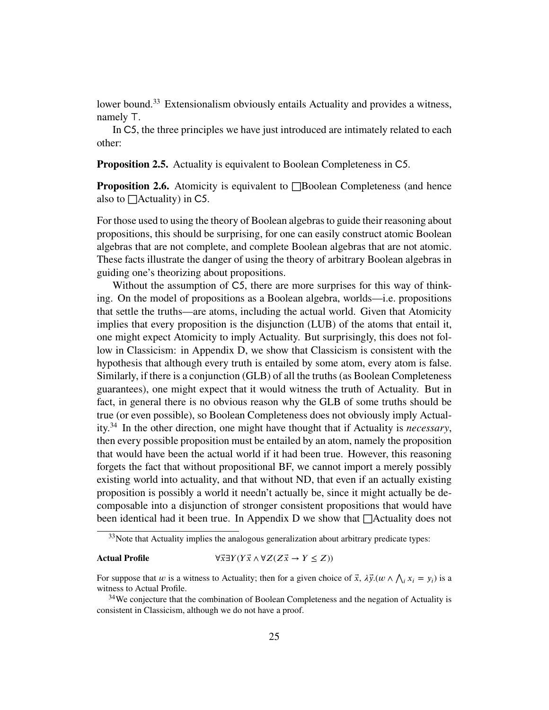lower bound.<sup>[33](#page-24-0)</sup> Extensionalism obviously entails Actuality and provides a witness, namely *⊤*.

In C5, the three principles we have just introduced are intimately related to each other:

<span id="page-24-2"></span>**Proposition 2.5.** Actuality is equivalent to Boolean Completeness in C5.

<span id="page-24-3"></span>**Proposition 2.6.** Atomicity is equivalent to □Boolean Completeness (and hence also to  $\Box$ Actuality) in C5.

For those used to using the theory of Boolean algebras to guide their reasoning about propositions, this should be surprising, for one can easily construct atomic Boolean algebras that are not complete, and complete Boolean algebras that are not atomic. These facts illustrate the danger of using the theory of arbitrary Boolean algebras in guiding one's theorizing about propositions.

Without the assumption of C5, there are more surprises for this way of thinking. On the model of propositions as a Boolean algebra, worlds—i.e. propositions that settle the truths—are atoms, including the actual world. Given that Atomicity implies that every proposition is the disjunction (LUB) of the atoms that entail it, one might expect Atomicity to imply Actuality. But surprisingly, this does not follow in Classicism: in [Appendix D,](#page-71-0) we show that Classicism is consistent with the hypothesis that although every truth is entailed by some atom, every atom is false. Similarly, if there is a conjunction (GLB) of all the truths (as Boolean Completeness guarantees), one might expect that it would witness the truth of Actuality. But in fact, in general there is no obvious reason why the GLB of some truths should be true (or even possible), so Boolean Completeness does not obviously imply Actuality.[34](#page-24-1) In the other direction, one might have thought that if Actuality is *necessary*, then every possible proposition must be entailed by an atom, namely the proposition that would have been the actual world if it had been true. However, this reasoning forgets the fact that without propositional BF, we cannot import a merely possibly existing world into actuality, and that without ND, that even if an actually existing proposition is possibly a world it needn't actually be, since it might actually be decomposable into a disjunction of stronger consistent propositions that would have been identical had it been true. In [Appendix D](#page-71-0) we show that  $\Box$ Actuality does not

# Actual Profile  $\forall \vec{x} \exists Y (Y \vec{x} \land \forall Z (Z \vec{x} \rightarrow Y \leq Z))$

For suppose that *w* is a witness to Actuality; then for a given choice of  $\vec{x}$ ,  $\lambda \vec{y}$ .(*w*  $\wedge \bigwedge_i x_i = y_i$ ) is a witness to Actual Profile.

<span id="page-24-0"></span> $33$ Note that Actuality implies the analogous generalization about arbitrary predicate types:

<span id="page-24-1"></span><sup>&</sup>lt;sup>34</sup>We conjecture that the combination of Boolean Completeness and the negation of Actuality is consistent in Classicism, although we do not have a proof.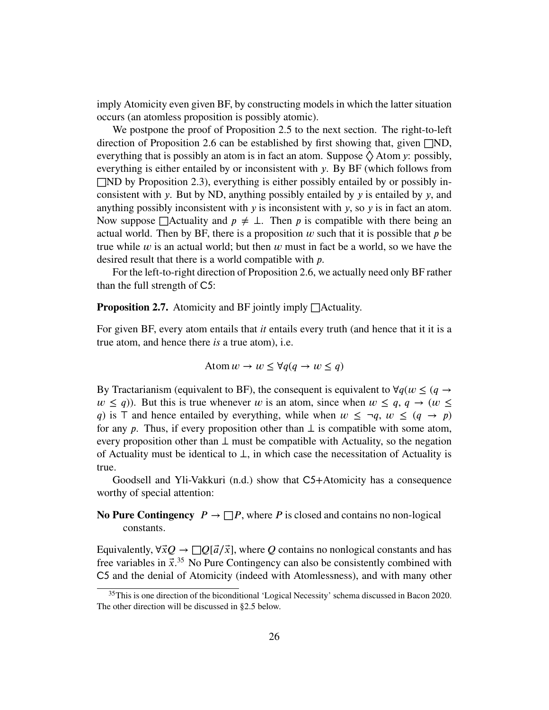imply Atomicity even given BF, by constructing models in which the latter situation occurs (an atomless proposition is possibly atomic).

We postpone the proof of [Proposition 2.5](#page-24-2) to the next section. The right-to-left direction of [Proposition 2.6](#page-24-3) can be established by first showing that, given  $\Box$ ND, everything that is possibly an atom is in fact an atom. Suppose  $\Diamond$  Atom *y*: possibly, everything is either entailed by or inconsistent with *y*. By BF (which follows from  $\Box$ ND by [Proposition 2.3\)](#page-21-1), everything is either possibly entailed by or possibly inconsistent with *𝑦*. But by ND, anything possibly entailed by *𝑦* is entailed by *𝑦*, and anything possibly inconsistent with *y* is inconsistent with *y*, so *y* is in fact an atom. Now suppose  $\Box$ Actuality and  $p \neq \bot$ . Then p is compatible with there being an actual world. Then by BF, there is a proposition  $w$  such that it is possible that  $p$  be true while  $w$  is an actual world; but then  $w$  must in fact be a world, so we have the desired result that there is a world compatible with *p*.

For the left-to-right direction of [Proposition 2.6,](#page-24-3) we actually need only BF rather than the full strength of C5:

**Proposition 2.7.** Atomicity and BF jointly imply □Actuality.

For given BF, every atom entails that *it* entails every truth (and hence that it it is a true atom, and hence there *is* a true atom), i.e.

$$
\text{Atom } w \to w \leq \forall q (q \to w \leq q)
$$

By Tractarianism (equivalent to BF), the consequent is equivalent to  $\forall q(w \leq (q \rightarrow$  $w \leq q$ )). But this is true whenever *w* is an atom, since when  $w \leq q$ ,  $q \to (w \leq q)$ *q*) is  $\top$  and hence entailed by everything, while when  $w \leq \neg q, w \leq (q \rightarrow p)$ for any *p*. Thus, if every proposition other than  $\perp$  is compatible with some atom, every proposition other than *⊥* must be compatible with Actuality, so the negation of Actuality must be identical to *⊥*, in which case the necessitation of Actuality is true.

Goodsell and Yli-Vakkuri [\(n.d.\)](#page-83-15) show that C5+Atomicity has a consequence worthy of special attention:

# <span id="page-25-1"></span>**No Pure Contingency**  $P \to \Box P$ , where *P* is closed and contains no non-logical constants.

Equivalently,  $\forall \vec{x} Q \rightarrow \Box Q[\vec{a}/\vec{x}]$ , where *Q* contains no nonlogical constants and has free variables in  $\vec{x}$ <sup>[35](#page-25-0)</sup> [No Pure Contingency](#page-25-1) can also be consistently combined with C5 and the denial of Atomicity (indeed with Atomlessness), and with many other

<span id="page-25-0"></span><sup>&</sup>lt;sup>35</sup>This is one direction of the biconditional 'Logical Necessity' schema discussed in Bacon [2020.](#page-81-9) The other direction will be discussed in [§2.5](#page-35-0) below.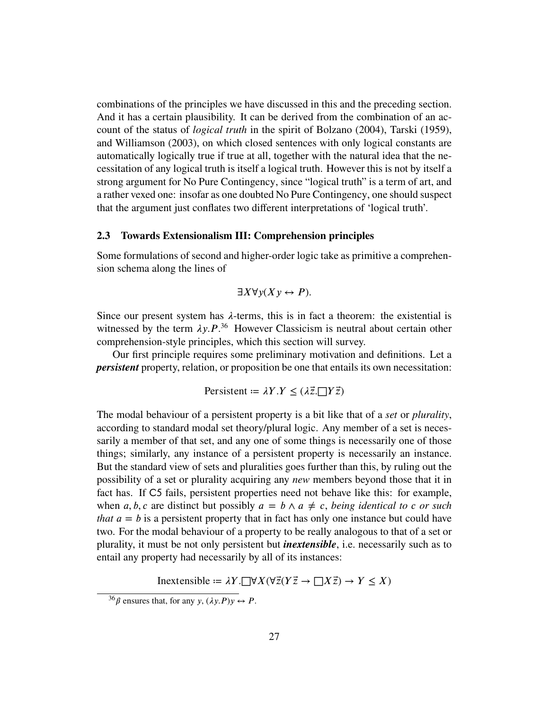combinations of the principles we have discussed in this and the preceding section. And it has a certain plausibility. It can be derived from the combination of an account of the status of *logical truth* in the spirit of Bolzano [\(2004\)](#page-81-10), Tarski [\(1959\)](#page-84-8), and Williamson [\(2003\)](#page-84-1), on which closed sentences with only logical constants are automatically logically true if true at all, together with the natural idea that the necessitation of any logical truth is itself a logical truth. However this is not by itself a strong argument for [No Pure Contingency,](#page-25-1) since "logical truth" is a term of art, and a rather vexed one: insofar as one doubted [No Pure Contingency,](#page-25-1) one should suspect that the argument just conflates two different interpretations of 'logical truth'.

# <span id="page-26-0"></span>**2.3 Towards Extensionalism III: Comprehension principles**

Some formulations of second and higher-order logic take as primitive a comprehension schema along the lines of

$$
\exists X \forall y (X y \leftrightarrow P).
$$

Since our present system has  $\lambda$ -terms, this is in fact a theorem: the existential is witnessed by the term  $\lambda y.P.^{36}$  $\lambda y.P.^{36}$  $\lambda y.P.^{36}$  However Classicism is neutral about certain other comprehension-style principles, which this section will survey.

Our first principle requires some preliminary motivation and definitions. Let a *persistent* property, relation, or proposition be one that entails its own necessitation:

$$
Persistent := \lambda Y. Y \leq (\lambda \vec{z}.\Box Y \vec{z})
$$

The modal behaviour of a persistent property is a bit like that of a *set* or *plurality*, according to standard modal set theory/plural logic. Any member of a set is necessarily a member of that set, and any one of some things is necessarily one of those things; similarly, any instance of a persistent property is necessarily an instance. But the standard view of sets and pluralities goes further than this, by ruling out the possibility of a set or plurality acquiring any *new* members beyond those that it in fact has. If C5 fails, persistent properties need not behave like this: for example, when *a*, *b*, *c* are distinct but possibly  $a = b \land a \neq c$ , *being identical to c or such that*  $a = b$  is a persistent property that in fact has only one instance but could have two. For the modal behaviour of a property to be really analogous to that of a set or plurality, it must be not only persistent but *inextensible*, i.e. necessarily such as to entail any property had necessarily by all of its instances:

Inextensible =  $\lambda Y$ .  $\Box \forall X (\forall \vec{z} (Y \vec{z} \rightarrow \Box X \vec{z}) \rightarrow Y \leq X)$ 

<span id="page-26-1"></span> $^{36}\beta$  ensures that, for any *y*,  $(\lambda y.P)y \leftrightarrow P$ .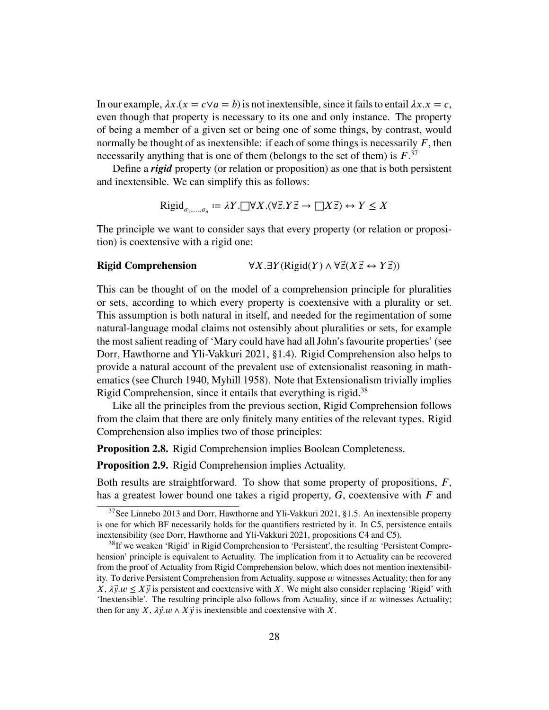In our example,  $\lambda x.(x = c \vee a = b)$  is not inextensible, since it fails to entail  $\lambda x.x = c$ , even though that property is necessary to its one and only instance. The property of being a member of a given set or being one of some things, by contrast, would normally be thought of as inextensible: if each of some things is necessarily  $F$ , then necessarily anything that is one of them (belongs to the set of them) is  $F^{37}$  $F^{37}$  $F^{37}$ 

Define a *rigid* property (or relation or proposition) as one that is both persistent and inextensible. We can simplify this as follows:

$$
\text{Rigid}_{\sigma_1,\dots,\sigma_n} := \lambda Y. \Box \forall X. (\forall \vec{z}. Y \vec{z} \to \Box X \vec{z}) \leftrightarrow Y \le X
$$

The principle we want to consider says that every property (or relation or proposition) is coextensive with a rigid one:

# **Rigid Comprehension**  $\forall X. \exists Y (\text{Rigid}(Y) \land \forall \vec{z}(X\vec{z} \leftrightarrow Y\vec{z}))$

This can be thought of on the model of a comprehension principle for pluralities or sets, according to which every property is coextensive with a plurality or set. This assumption is both natural in itself, and needed for the regimentation of some natural-language modal claims not ostensibly about pluralities or sets, for example the most salient reading of 'Mary could have had all John's favourite properties' (see Dorr, Hawthorne and Yli-Vakkuri [2021,](#page-82-3) §1.4). Rigid Comprehension also helps to provide a natural account of the prevalent use of extensionalist reasoning in mathematics (see Church [1940,](#page-81-3) Myhill [1958\)](#page-83-5). Note that Extensionalism trivially implies Rigid Comprehension, since it entails that everything is rigid.<sup>[38](#page-27-1)</sup>

Like all the principles from the previous section, Rigid Comprehension follows from the claim that there are only finitely many entities of the relevant types. Rigid Comprehension also implies two of those principles:

<span id="page-27-2"></span>**Proposition 2.8.** Rigid Comprehension implies Boolean Completeness.

**Proposition 2.9.** Rigid Comprehension implies Actuality.

Both results are straightforward. To show that some property of propositions, *F*, has a greatest lower bound one takes a rigid property, *G*, coextensive with *F* and

<span id="page-27-0"></span> $37$ See Linnebo [2013](#page-83-16) and Dorr, Hawthorne and Yli-Vakkuri [2021,](#page-82-3) §1.5. An inextensible property is one for which BF necessarily holds for the quantifiers restricted by it. In C5, persistence entails inextensibility (see Dorr, Hawthorne and Yli-Vakkuri [2021,](#page-82-3) propositions C4 and C5).

<span id="page-27-1"></span><sup>&</sup>lt;sup>38</sup>If we weaken 'Rigid' in Rigid Comprehension to 'Persistent', the resulting 'Persistent Comprehension' principle is equivalent to Actuality. The implication from it to Actuality can be recovered from the proof of Actuality from Rigid Comprehension below, which does not mention inextensibility. To derive Persistent Comprehension from Actuality, suppose  $w$  witnesses Actuality; then for any  $X, \lambda \vec{v}$ ,  $w \leq X \vec{v}$  is persistent and coextensive with X. We might also consider replacing 'Rigid' with 'Inextensible'. The resulting principle also follows from Actuality, since if  $w$  witnesses Actuality; then for any *X*,  $\lambda \vec{y} \cdot w \wedge X \vec{y}$  is inextensible and coextensive with *X*.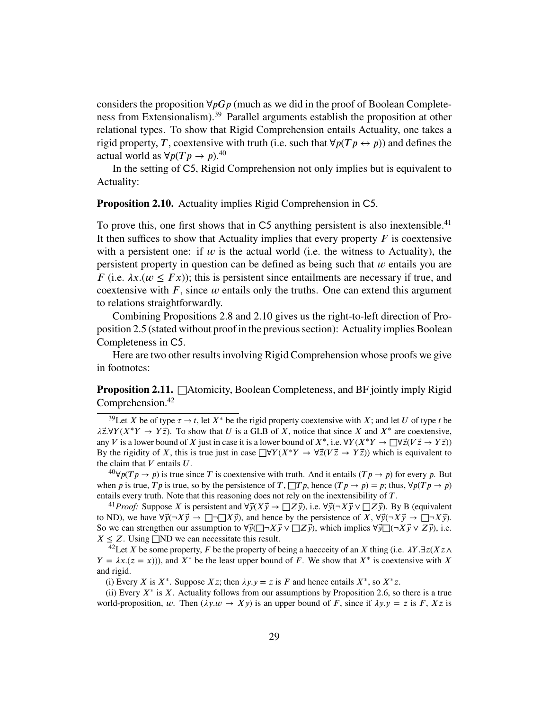considers the proposition  $\forall p G p$  (much as we did in the proof of Boolean Completeness from Extensionalism).[39](#page-28-0) Parallel arguments establish the proposition at other relational types. To show that Rigid Comprehension entails Actuality, one takes a rigid property, *T*, coextensive with truth (i.e. such that  $\forall p(Tp \leftrightarrow p)$ ) and defines the actual world as  $\forall p(Tp \rightarrow p)$ .<sup>[40](#page-28-1)</sup>

In the setting of C5, Rigid Comprehension not only implies but is equivalent to Actuality:

<span id="page-28-3"></span>**Proposition 2.10.** Actuality implies Rigid Comprehension in C5.

To prove this, one first shows that in  $C5$  anything persistent is also inextensible.<sup>[41](#page-28-2)</sup> It then suffices to show that Actuality implies that every property  $F$  is coextensive with a persistent one: if  $w$  is the actual world (i.e. the witness to Actuality), the persistent property in question can be defined as being such that  $w$  entails you are *F* (i.e.  $\lambda x.(w \leq Fx)$ ); this is persistent since entailments are necessary if true, and coextensive with  $F$ , since  $w$  entails only the truths. One can extend this argument to relations straightforwardly.

Combining Propositions [2.8](#page-27-2) and [2.10](#page-28-3) gives us the right-to-left direction of [Pro](#page-24-2)[position 2.5](#page-24-2) (stated without proof in the previous section): Actuality implies Boolean Completeness in C5.

Here are two other results involving Rigid Comprehension whose proofs we give in footnotes:

**Proposition 2.11.** □Atomicity, Boolean Completeness, and BF jointly imply Rigid Comprehension.<sup>[42](#page-28-4)</sup>

<span id="page-28-1"></span><sup>40</sup> $\forall p(T p \rightarrow p)$  is true since *T* is coextensive with truth. And it entails  $(T p \rightarrow p)$  for every *p*. But when *p* is true, *T p* is true, so by the persistence of *T*,  $\Box$ *Tp*, hence  $(Tp \rightarrow p) = p$ ; thus,  $\forall p(Tp \rightarrow p)$ entails every truth. Note that this reasoning does not rely on the inextensibility of *T*.

<span id="page-28-2"></span><sup>41</sup>*Proof:* Suppose *X* is persistent and  $\forall \vec{y}(X\vec{y}) \rightarrow \Box Z\vec{y}$ , i.e.  $\forall \vec{y}(\neg X\vec{y}) \vee \Box Z\vec{y}$ . By B (equivalent to ND), we have  $\forall \vec{y}(\neg X \vec{y} \rightarrow \Box \neg \Box X \vec{y})$ , and hence by the persistence of *X*,  $\forall \vec{y}(\neg X \vec{y} \rightarrow \Box \neg X \vec{y})$ . So we can strengthen our assumption to  $\forall \vec{y}(\exists \neg X \vec{y} \lor \exists \vec{z} \vec{y})$ , which implies  $\forall \vec{y}(\neg X \vec{y} \lor Z \vec{y})$ , i.e.  $X \leq Z$ . Using  $\square$ ND we can necessitate this result.

<span id="page-28-4"></span><sup>42</sup>Let *𝑋* be some property, *𝐹* be the property of being a haecceity of an *𝑋* thing (i.e. *𝜆𝑌 .*∃*𝑧*(*𝑋𝑧*∧  $Y = \lambda x . (z = x)$ )), and  $X^*$  be the least upper bound of *F*. We show that  $X^*$  is coextensive with *X* and rigid.

(i) Every *X* is  $X^*$ . Suppose  $Xz$ ; then  $\lambda y \cdot y = z$  is *F* and hence entails  $X^*$ , so  $X^*z$ .

(ii) Every  $X^*$  is  $X$ . Actuality follows from our assumptions by [Proposition 2.6,](#page-24-3) so there is a true world-proposition, *w*. Then  $(\lambda y. w \rightarrow X y)$  is an upper bound of *F*, since if  $\lambda y. y = z$  is *F*, *Xz* is

<span id="page-28-0"></span><sup>&</sup>lt;sup>39</sup>Let *X* be of type  $\tau \to t$ , let  $X^*$  be the rigid property coextensive with *X*; and let *U* of type *t* be  $\lambda \bar{z}. \forall Y (X^*Y \rightarrow Y\bar{z})$ . To show that *U* is a GLB of *X*, notice that since *X* and  $X^*$  are coextensive, any *V* is a lower bound of *X* just in case it is a lower bound of  $X^*$ , i.e.  $\forall Y(X^*Y \to \Box \forall \vec{z}(V\vec{z} \to Y\vec{z}))$ By the rigidity of *X*, this is true just in case  $\Box \forall Y(X^*Y \rightarrow \forall \vec{z}(V\vec{z} \rightarrow Y\vec{z}))$  which is equivalent to the claim that  $V$  entails  $U$ .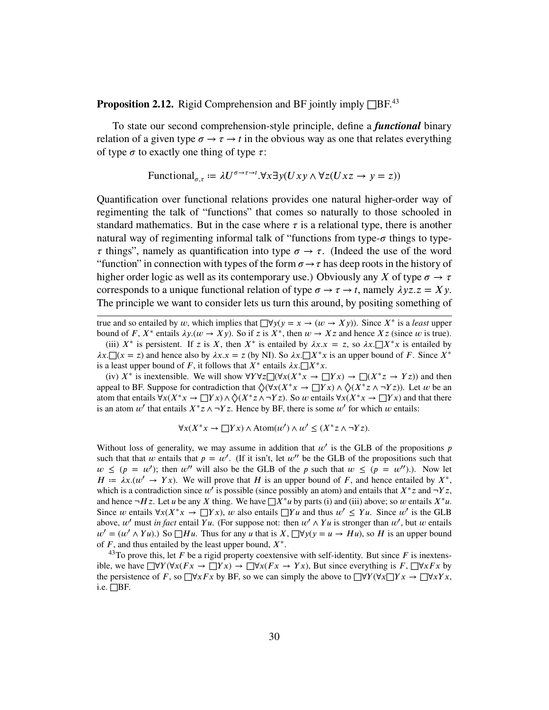**Proposition 2.12.** Rigid Comprehension and BF jointly imply  $\Box$ BF.<sup>[43](#page-29-0)</sup>

To state our second comprehension-style principle, define a *functional* binary relation of a given type  $\sigma \rightarrow \tau \rightarrow t$  in the obvious way as one that relates everything of type  $\sigma$  to exactly one thing of type  $\tau$ :

$$
\text{Functional}_{\sigma,\tau} \coloneqq \lambda U^{\sigma \to \tau \to t}.\forall x \exists y (Uxy \land \forall z (Uxz \to y = z))
$$

Quantification over functional relations provides one natural higher-order way of regimenting the talk of "functions" that comes so naturally to those schooled in standard mathematics. But in the case where  $\tau$  is a relational type, there is another natural way of regimenting informal talk of "functions from type- $\sigma$  things to type- $\tau$  things", namely as quantification into type  $\sigma \rightarrow \tau$ . (Indeed the use of the word "function" in connection with types of the form  $\sigma \rightarrow \tau$  has deep roots in the history of higher order logic as well as its contemporary use.) Obviously any *X* of type  $\sigma \to \tau$ corresponds to a unique functional relation of type  $\sigma \rightarrow \tau \rightarrow t$ , namely  $\lambda yz.z = Xy$ . The principle we want to consider lets us turn this around, by positing something of

true and so entailed by *w*, which implies that  $\Box \forall y (y = x \rightarrow (w \rightarrow Xy))$ . Since  $X^*$  is a *least* upper bound of *F*,  $X^*$  entails  $\lambda y \cdot (w \to X y)$ . So if *z* is  $X^*$ , then  $w \to Xz$  and hence  $Xz$  (since *w* is true). (iii)  $X^*$  is persistent. If *z* is *X*, then  $X^*$  is entailed by  $\lambda x.x = z$ , so  $\lambda x.\Box X^*x$  is entailed by  $\lambda x.$   $\Box(x = z)$  and hence also by  $\lambda x. x = z$  (by NI). So  $\lambda x. \Box X^* x$  is an upper bound of *F*. Since  $X^*$ is a least upper bound of *F*, it follows that  $X^*$  entails  $\lambda x. \Box X^* x$ .

(iv)  $X^*$  is inextensible. We will show  $\forall Y \forall z \Box (\forall x (X^*x \rightarrow \Box Yx) \rightarrow \Box (X^*z \rightarrow Yz))$  and then appeal to BF. Suppose for contradiction that  $\Diamond(\forall x(X^*x \rightarrow \Box Yx) \land \Diamond(X^*z \land \neg Yz))$ . Let *w* be an atom that entails ∀*x*(*X*<sup>\*</sup>*x* → □*Yx*) ∧  $\Diamond$ (*X*<sup>\*</sup>*z* ∧ ¬*Yz*). So *w* entails ∀*x*(*X*<sup>\*</sup>*x* → □*Yx*) and that there is an atom  $w'$  that entails  $X^*z \wedge \neg Yz$ . Hence by BF, there is some  $w'$  for which  $w$  entails:

$$
\forall x (X^*x \to \Box Yx) \land \text{Atom}(w') \land w' \le (X^*z \land \neg Yz).
$$

Without loss of generality, we may assume in addition that  $w'$  is the GLB of the propositions  $p$ such that that *w* entails that  $p = w'$ . (If it isn't, let w'' be the GLB of the propositions such that  $w \leq (p = w')$ ; then *w''* will also be the GLB of the *p* such that  $w \leq (p = w'')$ .). Now let  $H = \lambda x. (w' \rightarrow Yx)$ . We will prove that *H* is an upper bound of *F*, and hence entailed by  $X^*$ , which is a contradiction since  $w'$  is possible (since possibly an atom) and entails that  $X^*z$  and  $\neg Yz$ , and hence  $\neg Hz$ . Let *u* be any *X* thing. We have  $\Box X^*$ *u* by parts (i) and (iii) above; so *w* entails  $X^*$ *u*. Since *w* entails  $\forall x(X^*x \to \Box Yx)$ , *w* also entails  $\Box Yu$  and thus  $w' \leq Yu$ . Since  $w'$  is the GLB above,  $w'$  must *in fact* entail  $Yu$ . (For suppose not: then  $w' \wedge Yu$  is stronger than  $w'$ , but  $w$  entails  $w' = (w' \wedge Yu)$ .) So  $\Box Hu$ . Thus for any *u* that is *X*,  $\Box \forall y(y = u \rightarrow Hu)$ , so *H* is an upper bound of  $F$ , and thus entailed by the least upper bound,  $X^*$ .

<span id="page-29-0"></span> $^{43}$ To prove this, let *F* be a rigid property coextensive with self-identity. But since *F* is inextensible, we have  $□∀Y(∀x(Fx → □Yx) → □∀x(Fx → Yx)$ , But since everything is *F*,  $□∀xFx$  by the persistence of *F*, so  $\Box \forall x Fx$  by BF, so we can simply the above to  $\Box \forall Y (\forall x \Box Yx \rightarrow \Box \forall x Yx$ , i.e.  $\Box$ BF.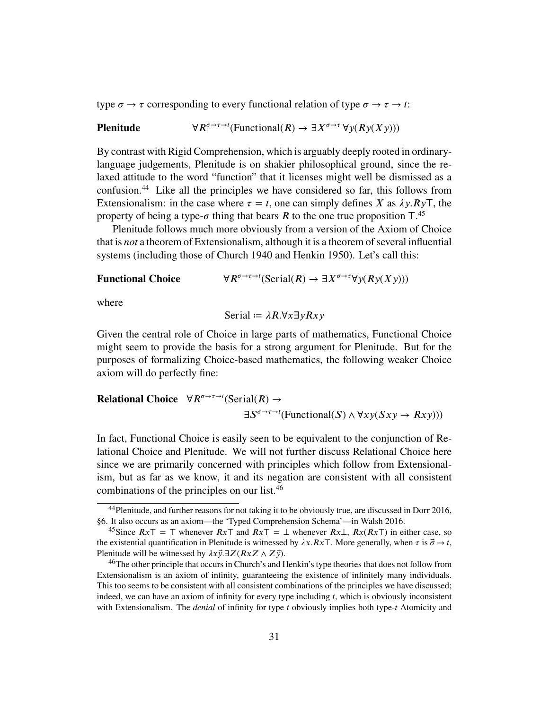type  $\sigma \to \tau$  corresponding to every functional relation of type  $\sigma \to \tau \to t$ :

**Plenitude** 
$$
\forall R^{\sigma \to \tau \to t}(\text{Functional}(R) \to \exists X^{\sigma \to \tau} \forall y (Ry(Xy)))
$$

By contrast with Rigid Comprehension, which is arguably deeply rooted in ordinarylanguage judgements, Plenitude is on shakier philosophical ground, since the relaxed attitude to the word "function" that it licenses might well be dismissed as a confusion.[44](#page-30-0) Like all the principles we have considered so far, this follows from Extensionalism: in the case where  $\tau = t$ , one can simply defines *X* as  $\lambda y \cdot R y$ , the property of being a type-*σ* thing that bears *R* to the one true proposition  $T^{45}$  $T^{45}$  $T^{45}$ .

Plenitude follows much more obviously from a version of the Axiom of Choice that is *not* a theorem of Extensionalism, although it is a theorem of several influential systems (including those of Church [1940](#page-81-3) and Henkin [1950\)](#page-83-3). Let's call this:

**Functional Choice**  $\sigma \rightarrow \tau \rightarrow t$  (Serial(*R*)  $\rightarrow \exists X^{\sigma \rightarrow \tau} \forall y (Ry(Xy)))$ 

where

$$
Serial := \lambda R. \forall x \exists y Rxy
$$

Given the central role of Choice in large parts of mathematics, Functional Choice might seem to provide the basis for a strong argument for Plenitude. But for the purposes of formalizing Choice-based mathematics, the following weaker Choice axiom will do perfectly fine:

**Relational Choice** 
$$
\forall R^{\sigma \to \tau \to t}(\text{Serial}(R) \to \exists S^{\sigma \to \tau \to t}(\text{Functional}(S) \land \forall xy(Sxy \to Rxy)))
$$

In fact, Functional Choice is easily seen to be equivalent to the conjunction of Relational Choice and Plenitude. We will not further discuss Relational Choice here since we are primarily concerned with principles which follow from Extensionalism, but as far as we know, it and its negation are consistent with all consistent combinations of the principles on our list.[46](#page-30-2)

<span id="page-30-0"></span><sup>44</sup>Plenitude, and further reasons for not taking it to be obviously true, are discussed in Dorr [2016,](#page-82-1) §6. It also occurs as an axiom—the 'Typed Comprehension Schema'—in Walsh [2016.](#page-84-9)

<span id="page-30-1"></span><sup>&</sup>lt;sup>45</sup>Since  $RxT = T$  whenever  $RxT$  and  $RxT = \perp$  whenever  $Rx\perp, Rx(RxT)$  in either case, so the existential quantification in Plenitude is witnessed by  $\lambda x.RxT$ . More generally, when  $\tau$  is  $\vec{\sigma} \to t$ , Plenitude will be witnessed by  $\lambda x \vec{y} \cdot \exists Z (RxZ \wedge Z \vec{y})$ .

<span id="page-30-2"></span><sup>&</sup>lt;sup>46</sup>The other principle that occurs in Church's and Henkin's type theories that does not follow from Extensionalism is an axiom of infinity, guaranteeing the existence of infinitely many individuals. This too seems to be consistent with all consistent combinations of the principles we have discussed; indeed, we can have an axiom of infinity for every type including *t*, which is obviously inconsistent with Extensionalism. The *denial* of infinity for type *t* obviously implies both type-*t* Atomicity and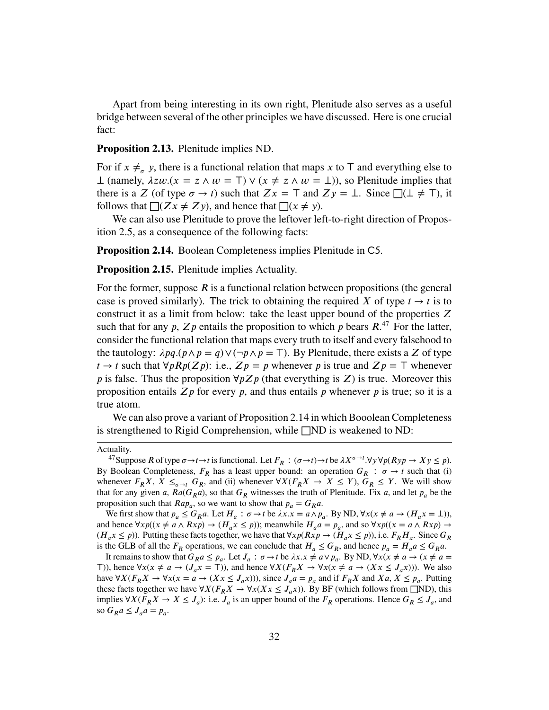Apart from being interesting in its own right, Plenitude also serves as a useful bridge between several of the other principles we have discussed. Here is one crucial fact:

**Proposition 2.13.** Plenitude implies ND.

For if  $x \neq_{\sigma} y$ , there is a functional relation that maps  $x$  to  $\top$  and everything else to  $⊥$  (namely,  $λzw.(x = z ∧ w = T) ∨ (x ≠ z ∧ w = ⊥)$ ), so Plenitude implies that there is a *Z* (of type  $\sigma \to t$ ) such that  $Zx = T$  and  $Zy = \bot$ . Since  $\Box(\bot \neq T)$ , it follows that  $\Box(Zx \neq Zy)$ , and hence that  $\Box(x \neq y)$ .

We can also use Plenitude to prove the leftover left-to-right direction of [Propos](#page-24-2)[ition 2.5,](#page-24-2) as a consequence of the following facts:

<span id="page-31-1"></span>**Proposition 2.14.** Boolean Completeness implies Plenitude in C5.

**Proposition 2.15.** Plenitude implies Actuality.

For the former, suppose  $\vec{R}$  is a functional relation between propositions (the general case is proved similarly). The trick to obtaining the required X of type  $t \to t$  is to construct it as a limit from below: take the least upper bound of the properties  $Z$ such that for any  $p$ ,  $Zp$  entails the proposition to which  $p$  bears  $R$ <sup>[47](#page-31-0)</sup>. For the latter, consider the functional relation that maps every truth to itself and every falsehood to the tautology:  $\lambda pq.(p \wedge p = q) \vee (\neg p \wedge p = \top)$ . By Plenitude, there exists a *Z* of type *t* → *t* such that  $∀pRp(Zp)$ : i.e.,  $Zp = p$  whenever *p* is true and  $Zp = T$  whenever *p* is false. Thus the proposition  $\forall p Z p$  (that everything is *Z*) is true. Moreover this proposition entails  $Zp$  for every  $p$ , and thus entails  $p$  whenever  $p$  is true; so it is a true atom.

We can also prove a variant of [Proposition 2.14](#page-31-1) in which Booolean Completeness is strengthened to Rigid Comprehension, while  $\square$ ND is weakened to ND:

We first show that  $p_a \leq G_R a$ . Let  $H_a$ :  $\sigma \to t$  be  $\lambda x.x = a \wedge p_a$ . By ND,  $\forall x (x \neq a \to (H_a x = \bot))$ , and hence  $\forall x p((x \neq a \land Rx p) \rightarrow (H_a x \leq p))$ ; meanwhile  $H_a a = p_a$ , and so  $\forall x p((x = a \land Rx p) \rightarrow$  $(H_a x \leq p)$ ). Putting these facts together, we have that  $\forall x p (Rx p \rightarrow (\tilde{H}_a x \leq p))$ , i.e.  $F_R H_a$ . Since  $G_R$ is the GLB of all the  $F_R$  operations, we can conclude that  $H_a \leq G_R$ , and hence  $p_a = H_a a \leq G_R a$ .

It remains to show that  $G_R a \leq p_a$ . Let  $J_a : \sigma \to t$  be  $\lambda x. x \neq a \lor p_a$ . By ND,  $\forall x (x \neq a \to (x \neq a \to t)$ *⊤*)), hence  $\forall x (x \neq a \rightarrow (J_a x = T))$ , and hence  $\forall X (F_R X \rightarrow \forall x (x \neq a \rightarrow (X x \leq J_a x))$ ). We also have  $\forall X (F_R X \to \forall x (x = a \to (X x \leq J_a x)))$ , since  $J_a a = p_a$  and if  $F_R X$  and  $X a, X \leq p_a$ . Putting these facts together we have  $\forall X (F_R X \to \forall x (X x \leq J_a x))$ . By BF (which follows from □ND), this implies ∀*X*( $F_R X \to X \leq J_a$ ): i.e.  $J_a$  is an upper bound of the  $F_R$  operations. Hence  $G_R \leq J_a$ , and so  $G_R a \leq J_a a = p_a$ .

Actuality.

<span id="page-31-0"></span><sup>&</sup>lt;sup>47</sup>Suppose *R* of type  $\sigma \to t \to t$  is functional. Let  $F_R : (\sigma \to t) \to t$  be  $\lambda X^{\sigma \to t}$ .  $\forall y \forall p (Ryp \to Xy \le p)$ . By Boolean Completeness,  $F_R$  has a least upper bound: an operation  $G_R$ :  $\sigma \rightarrow t$  such that (i) whenever  $F_R X$ ,  $X \leq_{\sigma \to t} G_R$ , and (ii) whenever  $\forall X (F_R X \to X \leq Y)$ ,  $G_R \leq Y$ . We will show that for any given *a*,  $Ra(G_R a)$ , so that  $G_R$  witnesses the truth of Plenitude. Fix *a*, and let  $p_a$  be the proposition such that  $Ra p_a$ , so we want to show that  $p_a = G_R a$ .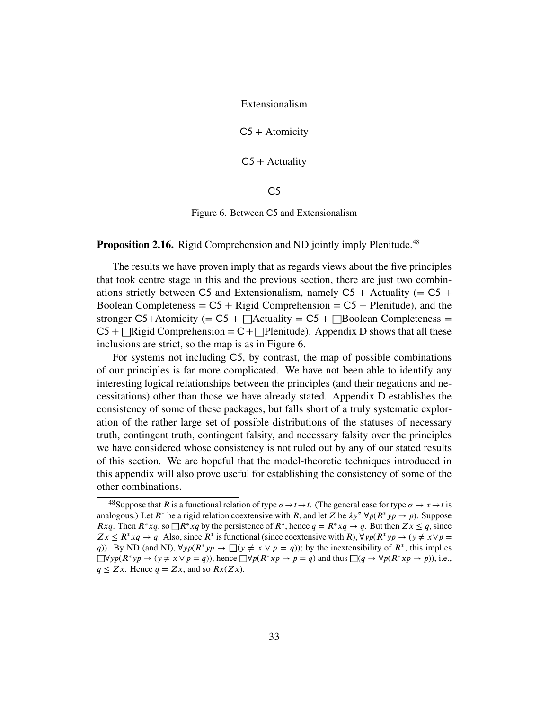<span id="page-32-1"></span>

| Extensionalism                                                                                      |
|-----------------------------------------------------------------------------------------------------|
| $\begin{array}{c}\n C5 + \text{Atomicity} \\   \\ C5 + \text{Actually} \\   \\ C5\n \end{array}$ \n |

Figure 6. Between C5 and Extensionalism

# **Proposition 2.16.** Rigid Comprehension and ND jointly imply Plenitude.<sup>[48](#page-32-0)</sup>

The results we have proven imply that as regards views about the five principles that took centre stage in this and the previous section, there are just two combinations strictly between C5 and Extensionalism, namely C5 + Actuality (=  $C5 +$ Boolean Completeness =  $C5$  + Rigid Comprehension =  $C5$  + Plenitude), and the stronger  $C5+$ Atomicity (=  $C5 + \Box$ Actuality =  $C5 + \Box$ Boolean Completeness =  $C5 + \square$ Rigid Comprehension =  $C + \square$ Plenitude). Appendix [D](#page-71-0) shows that all these inclusions are strict, so the map is as in [Figure 6.](#page-32-1)

For systems not including C5, by contrast, the map of possible combinations of our principles is far more complicated. We have not been able to identify any interesting logical relationships between the principles (and their negations and necessitations) other than those we have already stated. [Appendix D](#page-71-0) establishes the consistency of some of these packages, but falls short of a truly systematic exploration of the rather large set of possible distributions of the statuses of necessary truth, contingent truth, contingent falsity, and necessary falsity over the principles we have considered whose consistency is not ruled out by any of our stated results of this section. We are hopeful that the model-theoretic techniques introduced in this appendix will also prove useful for establishing the consistency of some of the other combinations.

<span id="page-32-0"></span><sup>&</sup>lt;sup>48</sup>Suppose that *R* is a functional relation of type  $\sigma \to t \to t$ . (The general case for type  $\sigma \to \tau \to t$  is analogous.) Let  $R^*$  be a rigid relation coextensive with  $R$ , and let  $Z$  be  $\lambda y^{\sigma} \cdot \forall p(R^* y p \rightarrow p)$ . Suppose *Rxq*. Then  $R^* x q$ , so  $\Box R^* x q$  by the persistence of  $R^*$ , hence  $q = R^* x q \rightarrow q$ . But then  $Zx ≤ q$ , since *Z x* ≤ *R*<sup>∗</sup>*xq* → *q*. Also, since *R*<sup>∗</sup> is functional (since coextensive with *R*),  $\forall y p (R^* y p \rightarrow (y \neq x \lor p = x \land y)$ *q*)). By ND (and NI),  $\forall y p (R^* y p \rightarrow \Box(y \neq x \lor p = q))$ ; by the inextensibility of  $R^*$ , this implies  $\Box \forall y p(R^* y p \rightarrow (y \neq x \lor p = q))$ , hence  $\Box \forall p(R^* x p \rightarrow p = q)$  and thus  $\Box (q \rightarrow \forall p(R^* x p \rightarrow p))$ , i.e.,  $q \leq Zx$ . Hence  $q = Zx$ , and so  $Rx(Zx)$ .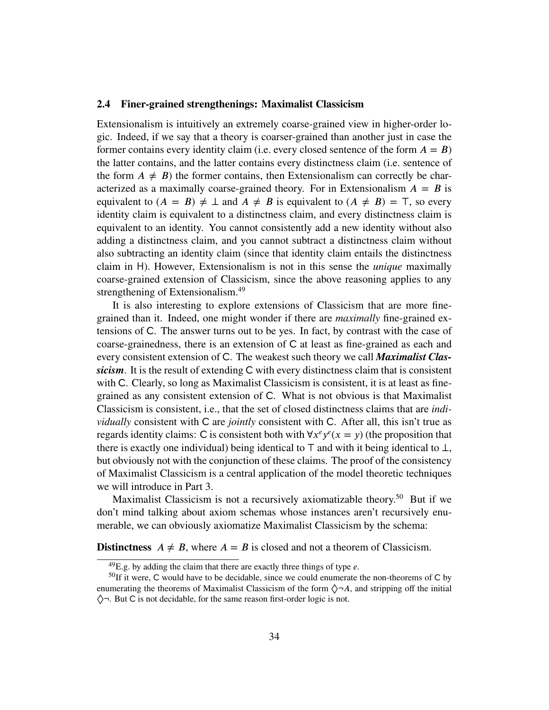## <span id="page-33-0"></span>**2.4 Finer-grained strengthenings: Maximalist Classicism**

Extensionalism is intuitively an extremely coarse-grained view in higher-order logic. Indeed, if we say that a theory is coarser-grained than another just in case the former contains every identity claim (i.e. every closed sentence of the form  $A = B$ ) the latter contains, and the latter contains every distinctness claim (i.e. sentence of the form  $A \neq B$ ) the former contains, then Extensionalism can correctly be characterized as a maximally coarse-grained theory. For in Extensionalism  $A = B$  is equivalent to  $(A = B) \neq \bot$  and  $A \neq B$  is equivalent to  $(A \neq B) = \top$ , so every identity claim is equivalent to a distinctness claim, and every distinctness claim is equivalent to an identity. You cannot consistently add a new identity without also adding a distinctness claim, and you cannot subtract a distinctness claim without also subtracting an identity claim (since that identity claim entails the distinctness claim in H). However, Extensionalism is not in this sense the *unique* maximally coarse-grained extension of Classicism, since the above reasoning applies to any strengthening of Extensionalism.<sup>[49](#page-33-1)</sup>

It is also interesting to explore extensions of Classicism that are more finegrained than it. Indeed, one might wonder if there are *maximally* fine-grained extensions of C. The answer turns out to be yes. In fact, by contrast with the case of coarse-grainedness, there is an extension of  $C$  at least as fine-grained as each and every consistent extension of C. The weakest such theory we call *Maximalist Clas*sicism. It is the result of extending C with every distinctness claim that is consistent with C. Clearly, so long as Maximalist Classicism is consistent, it is at least as finegrained as any consistent extension of C. What is not obvious is that Maximalist Classicism is consistent, i.e., that the set of closed distinctness claims that are *individually* consistent with C are *jointly* consistent with C. After all, this isn't true as regards identity claims: C is consistent both with  $\forall x^e y^e (x = y)$  (the proposition that there is exactly one individual) being identical to *⊤* and with it being identical to *⊥*, but obviously not with the conjunction of these claims. The proof of the consistency of Maximalist Classicism is a central application of the model theoretic techniques we will introduce in Part 3.

Maximalist Classicism is not a recursively axiomatizable theory.<sup>[50](#page-33-2)</sup> But if we don't mind talking about axiom schemas whose instances aren't recursively enumerable, we can obviously axiomatize Maximalist Classicism by the schema:

**Distinctness**  $A \neq B$ , where  $A = B$  is closed and not a theorem of Classicism.

<span id="page-33-2"></span><span id="page-33-1"></span> $^{49}$ E.g. by adding the claim that there are exactly three things of type *e*.

 $50$ If it were, C would have to be decidable, since we could enumerate the non-theorems of C by enumerating the theorems of Maximalist Classicism of the form  $\Diamond \neg A$ , and stripping off the initial  $\Diamond$   $\neg$ . But C is not decidable, for the same reason first-order logic is not.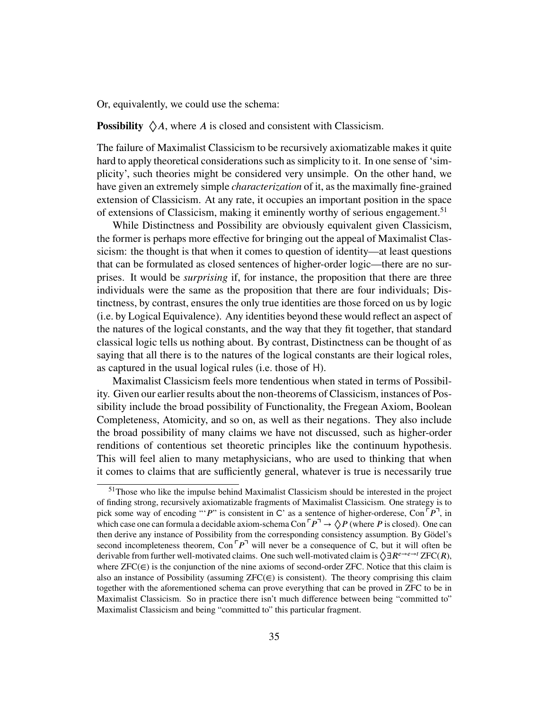Or, equivalently, we could use the schema:

**Possibility**  $\Diamond A$ , where *A* is closed and consistent with Classicism.

The failure of Maximalist Classicism to be recursively axiomatizable makes it quite hard to apply theoretical considerations such as simplicity to it. In one sense of 'simplicity', such theories might be considered very unsimple. On the other hand, we have given an extremely simple *characterization* of it, as the maximally fine-grained extension of Classicism. At any rate, it occupies an important position in the space of extensions of Classicism, making it eminently worthy of serious engagement.<sup>[51](#page-34-0)</sup>

While Distinctness and Possibility are obviously equivalent given Classicism, the former is perhaps more effective for bringing out the appeal of Maximalist Classicism: the thought is that when it comes to question of identity—at least questions that can be formulated as closed sentences of higher-order logic—there are no surprises. It would be *surprising* if, for instance, the proposition that there are three individuals were the same as the proposition that there are four individuals; Distinctness, by contrast, ensures the only true identities are those forced on us by logic (i.e. by Logical Equivalence). Any identities beyond these would reflect an aspect of the natures of the logical constants, and the way that they fit together, that standard classical logic tells us nothing about. By contrast, Distinctness can be thought of as saying that all there is to the natures of the logical constants are their logical roles, as captured in the usual logical rules (i.e. those of H).

Maximalist Classicism feels more tendentious when stated in terms of Possibility. Given our earlier results about the non-theorems of Classicism, instances of Possibility include the broad possibility of Functionality, the Fregean Axiom, Boolean Completeness, Atomicity, and so on, as well as their negations. They also include the broad possibility of many claims we have not discussed, such as higher-order renditions of contentious set theoretic principles like the continuum hypothesis. This will feel alien to many metaphysicians, who are used to thinking that when it comes to claims that are sufficiently general, whatever is true is necessarily true

<span id="page-34-0"></span> $51$ Those who like the impulse behind Maximalist Classicism should be interested in the project of finding strong, recursively axiomatizable fragments of Maximalist Classicism. One strategy is to pick some way of encoding "'*P*" is consistent in C' as a sentence of higher-orderese, Con  $\lceil P \rceil$ , in which case one can formula a decidable axiom-schema Con  $\ulcorner P \urcorner \rightarrow \Diamond P$  (where P is closed). One can then derive any instance of Possibility from the corresponding consistency assumption. By Gödel's second incompleteness theorem,  $Con<sup>[-p<sup>+</sup></sup>$  will never be a consequence of C, but it will often be derivable from further well-motivated claims. One such well-motivated claim is  $\Diamond \exists R^{e\rightarrow e\rightarrow i}$  ZFC(*R*), where  $ZFC(\in)$  is the conjunction of the nine axioms of second-order ZFC. Notice that this claim is also an instance of Possibility (assuming  $ZFC(\epsilon)$  is consistent). The theory comprising this claim together with the aforementioned schema can prove everything that can be proved in ZFC to be in Maximalist Classicism. So in practice there isn't much difference between being "committed to" Maximalist Classicism and being "committed to" this particular fragment.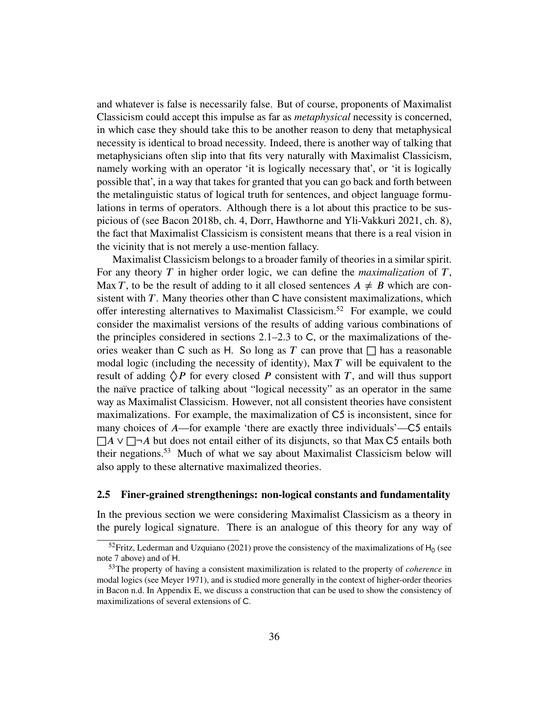and whatever is false is necessarily false. But of course, proponents of Maximalist Classicism could accept this impulse as far as *metaphysical* necessity is concerned, in which case they should take this to be another reason to deny that metaphysical necessity is identical to broad necessity. Indeed, there is another way of talking that metaphysicians often slip into that fits very naturally with Maximalist Classicism, namely working with an operator 'it is logically necessary that', or 'it is logically possible that', in a way that takes for granted that you can go back and forth between the metalinguistic status of logical truth for sentences, and object language formulations in terms of operators. Although there is a lot about this practice to be suspicious of (see Bacon [2018b,](#page-81-11) ch. 4, Dorr, Hawthorne and Yli-Vakkuri [2021,](#page-82-3) ch. 8), the fact that Maximalist Classicism is consistent means that there is a real vision in the vicinity that is not merely a use-mention fallacy.

Maximalist Classicism belongs to a broader family of theories in a similar spirit. For any theory  $T$  in higher order logic, we can define the *maximalization* of  $T$ , Max *T*, to be the result of adding to it all closed sentences  $A \neq B$  which are consistent with *. Many theories other than*  $*C*$  *have consistent maximalizations, which* offer interesting alternatives to Maximalist Classicism.[52](#page-35-1) For example, we could consider the maximalist versions of the results of adding various combinations of the principles considered in sections  $2.1-2.3$  $2.1-2.3$  to C, or the maximalizations of theories weaker than C such as H. So long as  $T$  can prove that  $\Box$  has a reasonable modal logic (including the necessity of identity), Max *T* will be equivalent to the result of adding  $\Diamond P$  for every closed *P* consistent with *T*, and will thus support the naïve practice of talking about "logical necessity" as an operator in the same way as Maximalist Classicism. However, not all consistent theories have consistent maximalizations. For example, the maximalization of  $C_5$  is inconsistent, since for many choices of *A*—for example 'there are exactly three individuals'—C5 entails □*A* ∨ □¬*A* but does not entail either of its disjuncts, so that Max C5 entails both their negations.[53](#page-35-2) Much of what we say about Maximalist Classicism below will also apply to these alternative maximalized theories.

# <span id="page-35-0"></span>**2.5 Finer-grained strengthenings: non-logical constants and fundamentality**

In the previous section we were considering Maximalist Classicism as a theory in the purely logical signature. There is an analogue of this theory for any way of

<span id="page-35-1"></span><sup>&</sup>lt;sup>52</sup>Fritz, Lederman and Uzquiano [\(2021\)](#page-82-4) prove the consistency of the maximalizations of  $H_0$  (see [note 7](#page-6-1) above) and of H.

<span id="page-35-2"></span><sup>53</sup>The property of having a consistent maximilization is related to the property of *coherence* in modal logics (see Meyer [1971\)](#page-83-17), and is studied more generally in the context of higher-order theories in Bacon [n.d.](#page-81-6) In [Appendix E,](#page-76-0) we discuss a construction that can be used to show the consistency of maximilizations of several extensions of C.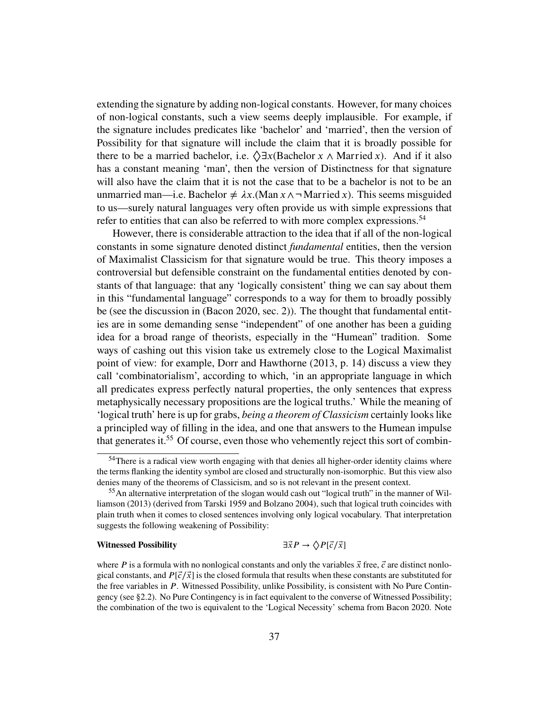extending the signature by adding non-logical constants. However, for many choices of non-logical constants, such a view seems deeply implausible. For example, if the signature includes predicates like 'bachelor' and 'married', then the version of Possibility for that signature will include the claim that it is broadly possible for there to be a married bachelor, i.e.  $\Diamond \exists x$  (Bachelor  $x \wedge$  Married  $x$ ). And if it also has a constant meaning 'man', then the version of Distinctness for that signature will also have the claim that it is not the case that to be a bachelor is not to be an unmarried man—i.e. Bachelor  $\neq \lambda x$ .(Man  $x \wedge \neg$  Married *x*). This seems misguided to us—surely natural languages very often provide us with simple expressions that refer to entities that can also be referred to with more complex expressions.<sup>[54](#page-36-0)</sup>

However, there is considerable attraction to the idea that if all of the non-logical constants in some signature denoted distinct *fundamental* entities, then the version of Maximalist Classicism for that signature would be true. This theory imposes a controversial but defensible constraint on the fundamental entities denoted by constants of that language: that any 'logically consistent' thing we can say about them in this "fundamental language" corresponds to a way for them to broadly possibly be (see the discussion in (Bacon [2020,](#page-81-0) sec. 2)). The thought that fundamental entities are in some demanding sense "independent" of one another has been a guiding idea for a broad range of theorists, especially in the "Humean" tradition. Some ways of cashing out this vision take us extremely close to the Logical Maximalist point of view: for example, Dorr and Hawthorne [\(2013,](#page-82-0) p. 14) discuss a view they call 'combinatorialism', according to which, 'in an appropriate language in which all predicates express perfectly natural properties, the only sentences that express metaphysically necessary propositions are the logical truths.' While the meaning of 'logical truth' here is up for grabs, *being a theorem of Classicism* certainly looks like a principled way of filling in the idea, and one that answers to the Humean impulse that generates it.[55](#page-36-1) Of course, even those who vehemently reject this sort of combin-

#### **Witnessed Possibility**  $\exists \vec{x} P \rightarrow \langle \rangle P[\vec{c}/\vec{x}]$

<span id="page-36-0"></span><sup>54</sup> There is a radical view worth engaging with that denies all higher-order identity claims where the terms flanking the identity symbol are closed and structurally non-isomorphic. But this view also denies many of the theorems of Classicism, and so is not relevant in the present context.

<span id="page-36-1"></span><sup>&</sup>lt;sup>55</sup>An alternative interpretation of the slogan would cash out "logical truth" in the manner of Williamson [\(2013\)](#page-84-0) (derived from Tarski [1959](#page-84-1) and Bolzano [2004\)](#page-81-1), such that logical truth coincides with plain truth when it comes to closed sentences involving only logical vocabulary. That interpretation suggests the following weakening of Possibility:

where  $P$  is a formula with no nonlogical constants and only the variables  $\vec{x}$  free,  $\vec{c}$  are distinct nonlogical constants, and  $P[\vec{c}/\vec{x}]$  is the closed formula that results when these constants are substituted for the free variables in *P*. Witnessed Possibility, unlike Possibility, is consistent with [No Pure Contin](#page-25-0)[gency](#page-25-0) (see [§2.2\)](#page-22-0). [No Pure Contingency](#page-25-0) is in fact equivalent to the converse of Witnessed Possibility; the combination of the two is equivalent to the 'Logical Necessity' schema from Bacon [2020.](#page-81-0) Note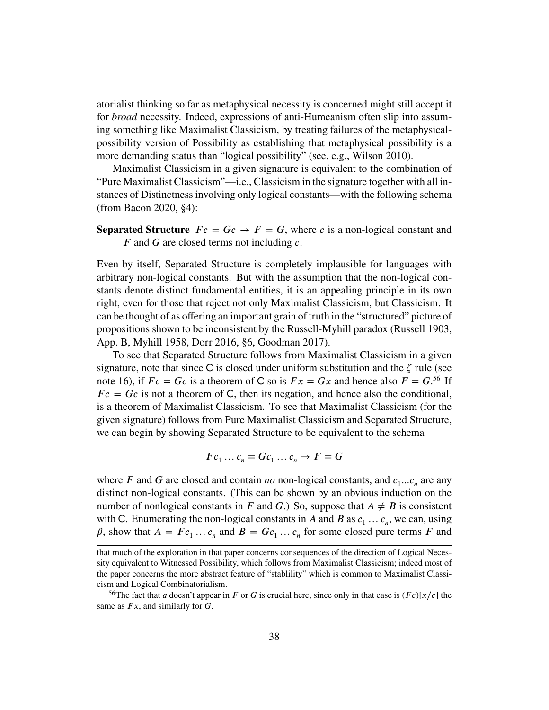atorialist thinking so far as metaphysical necessity is concerned might still accept it for *broad* necessity. Indeed, expressions of anti-Humeanism often slip into assuming something like Maximalist Classicism, by treating failures of the metaphysicalpossibility version of Possibility as establishing that metaphysical possibility is a more demanding status than "logical possibility" (see, e.g., Wilson [2010\)](#page-84-2).

Maximalist Classicism in a given signature is equivalent to the combination of "Pure Maximalist Classicism"—i.e., Classicism in the signature together with all instances of Distinctness involving only logical constants—with the following schema (from Bacon [2020,](#page-81-0) §4):

**Separated Structure**  $Fc = Gc \rightarrow F = G$ , where c is a non-logical constant and *F* and *G* are closed terms not including *c*.

Even by itself, Separated Structure is completely implausible for languages with arbitrary non-logical constants. But with the assumption that the non-logical constants denote distinct fundamental entities, it is an appealing principle in its own right, even for those that reject not only Maximalist Classicism, but Classicism. It can be thought of as offering an important grain of truth in the "structured" picture of propositions shown to be inconsistent by the Russell-Myhill paradox (Russell [1903,](#page-83-0) App. B, Myhill [1958,](#page-83-1) Dorr [2016,](#page-82-1) §6, Goodman [2017\)](#page-83-2).

To see that Separated Structure follows from Maximalist Classicism in a given signature, note that since  $C$  is closed under uniform substitution and the  $\zeta$  rule (see [note 16\)](#page-14-0), if  $Fc = Gc$  is a theorem of C so is  $Fx = Gx$  and hence also  $F = G^{56}$  $F = G^{56}$  $F = G^{56}$  If  $Fc = Gc$  is not a theorem of C, then its negation, and hence also the conditional, is a theorem of Maximalist Classicism. To see that Maximalist Classicism (for the given signature) follows from Pure Maximalist Classicism and Separated Structure, we can begin by showing Separated Structure to be equivalent to the schema

$$
Fc_1\ldots c_n= Gc_1\ldots c_n\to F=G
$$

where *F* and *G* are closed and contain *no* non-logical constants, and  $c_1...c_n$  are any distinct non-logical constants. (This can be shown by an obvious induction on the number of nonlogical constants in *F* and *G*.) So, suppose that  $A \neq B$  is consistent with C. Enumerating the non-logical constants in *A* and *B* as  $c_1 \ldots c_n$ , we can, using  $\beta$ , show that  $A = Fc_1 \dots c_n$  and  $B = Gc_1 \dots c_n$  for some closed pure terms *F* and

that much of the exploration in that paper concerns consequences of the direction of Logical Necessity equivalent to Witnessed Possibility, which follows from Maximalist Classicism; indeed most of the paper concerns the more abstract feature of "stablility" which is common to Maximalist Classicism and Logical Combinatorialism.

<span id="page-37-0"></span><sup>&</sup>lt;sup>56</sup>The fact that *a* doesn't appear in *F* or *G* is crucial here, since only in that case is  $(Fc)[x/c]$  the same as  $Fx$ , and similarly for *G*.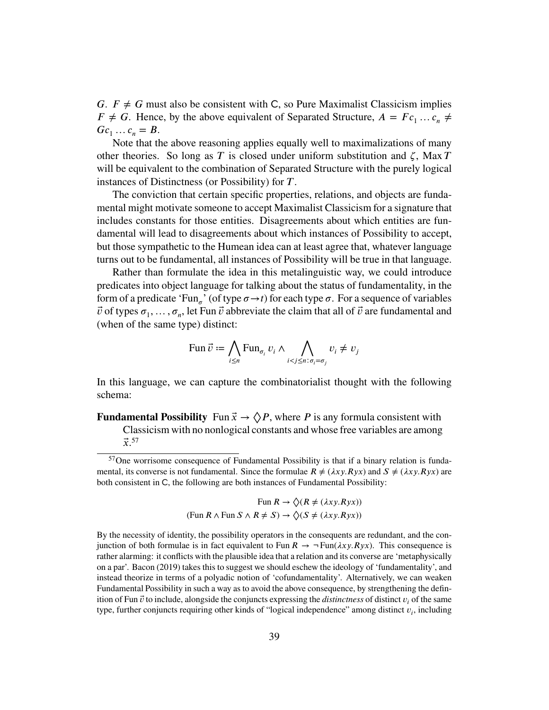*G.*  $F \neq G$  must also be consistent with C, so Pure Maximalist Classicism implies  $F \neq G$ . Hence, by the above equivalent of Separated Structure,  $A = Fc_1 \dots c_n \neq$  $Gc_1 \ldots c_n = B$ .

Note that the above reasoning applies equally well to maximalizations of many other theories. So long as  $T$  is closed under uniform substitution and  $\zeta$ , Max  $T$ will be equivalent to the combination of Separated Structure with the purely logical instances of Distinctness (or Possibility) for *T*.

The conviction that certain specific properties, relations, and objects are fundamental might motivate someone to accept Maximalist Classicism for a signature that includes constants for those entities. Disagreements about which entities are fundamental will lead to disagreements about which instances of Possibility to accept, but those sympathetic to the Humean idea can at least agree that, whatever language turns out to be fundamental, all instances of Possibility will be true in that language.

Rather than formulate the idea in this metalinguistic way, we could introduce predicates into object language for talking about the status of fundamentality, in the form of a predicate 'Fun<sub>o</sub>' (of type  $\sigma \rightarrow t$ ) for each type  $\sigma$ . For a sequence of variables  $\vec{v}$  of types  $\sigma_1, \ldots, \sigma_n$ , let Fun  $\vec{v}$  abbreviate the claim that all of  $\vec{v}$  are fundamental and (when of the same type) distinct:

$$
\text{Fun } \vec{v} := \bigwedge_{i \leq n} \text{Fun}_{\sigma_i} \, v_i \wedge \bigwedge_{i < j \leq n: \sigma_i = \sigma_j} v_i \neq v_j
$$

In this language, we can capture the combinatorialist thought with the following schema:

<span id="page-38-1"></span>**Fundamental Possibility** Fun  $\vec{x} \to \Diamond P$ , where P is any formula consistent with Classicism with no nonlogical constants and whose free variables are among  $\vec{x}$ <sup>[57](#page-38-0)</sup>

<span id="page-38-0"></span><sup>57</sup>One worrisome consequence of [Fundamental Possibility](#page-38-1) is that if a binary relation is fundamental, its converse is not fundamental. Since the formulae  $R \neq (\lambda xy.Ryx)$  and  $S \neq (\lambda xy.Ryx)$  are both consistent in C, the following are both instances of [Fundamental Possibility:](#page-38-1)

Fun  $R \to \Diamond(R \neq (\lambda xy.Ryx))$  $(Fun R \wedge Fun S \wedge R \neq S) \rightarrow \Diamond (S \neq (\lambda xy. Ryx))$ 

By the necessity of identity, the possibility operators in the consequents are redundant, and the conjunction of both formulae is in fact equivalent to Fun  $R \to \neg \text{Fun}(\lambda xy.Ryx)$ . This consequence is rather alarming: it conflicts with the plausible idea that a relation and its converse are 'metaphysically on a par'. Bacon [\(2019\)](#page-81-2) takes this to suggest we should eschew the ideology of 'fundamentality', and instead theorize in terms of a polyadic notion of 'cofundamentality'. Alternatively, we can weaken [Fundamental Possibility](#page-38-1) in such a way as to avoid the above consequence, by strengthening the definition of Fun  $\vec{v}$  to include, alongside the conjuncts expressing the *distinctness* of distinct  $v_i$  of the same type, further conjuncts requiring other kinds of "logical independence" among distinct  $v_i$ , including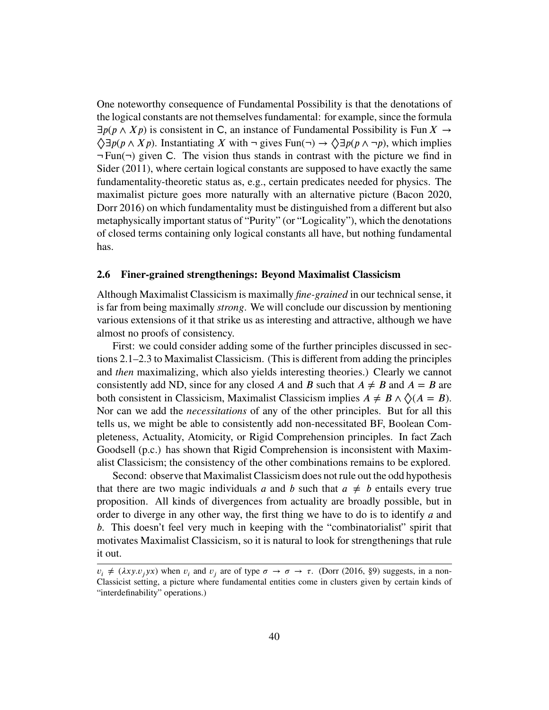One noteworthy consequence of [Fundamental Possibility](#page-38-1) is that the denotations of the logical constants are not themselves fundamental: for example, since the formula  $\exists p(p \land Xp)$  is consistent in C, an instance of [Fundamental Possibility](#page-38-1) is Fun  $X \rightarrow Y$  $\Diamond \exists p(p \land Xp)$ . Instantiating *X* with  $\neg$  gives Fun( $\neg$ )  $\rightarrow \Diamond \exists p(p \land \neg p)$ , which implies  $\neg Fun(\neg)$  given C. The vision thus stands in contrast with the picture we find in Sider [\(2011\)](#page-83-3), where certain logical constants are supposed to have exactly the same fundamentality-theoretic status as, e.g., certain predicates needed for physics. The maximalist picture goes more naturally with an alternative picture (Bacon [2020,](#page-81-0) Dorr [2016\)](#page-82-1) on which fundamentality must be distinguished from a different but also metaphysically important status of "Purity" (or "Logicality"), which the denotations of closed terms containing only logical constants all have, but nothing fundamental has.

### **2.6 Finer-grained strengthenings: Beyond Maximalist Classicism**

Although Maximalist Classicism is maximally *fine-grained* in our technical sense, it is far from being maximally *strong*. We will conclude our discussion by mentioning various extensions of it that strike us as interesting and attractive, although we have almost no proofs of consistency.

First: we could consider adding some of the further principles discussed in sections [2.1–](#page-19-0)[2.3](#page-26-0) to Maximalist Classicism. (This is different from adding the principles and *then* maximalizing, which also yields interesting theories.) Clearly we cannot consistently add ND, since for any closed *A* and *B* such that  $A \neq B$  and  $A = B$  are both consistent in Classicism, Maximalist Classicism implies  $A \neq B \land \Diamond (A = B)$ . Nor can we add the *necessitations* of any of the other principles. But for all this tells us, we might be able to consistently add non-necessitated BF, Boolean Completeness, Actuality, Atomicity, or Rigid Comprehension principles. In fact Zach Goodsell (p.c.) has shown that Rigid Comprehension is inconsistent with Maximalist Classicism; the consistency of the other combinations remains to be explored.

Second: observe that Maximalist Classicism does not rule out the odd hypothesis that there are two magic individuals *a* and *b* such that  $a \neq b$  entails every true proposition. All kinds of divergences from actuality are broadly possible, but in order to diverge in any other way, the first thing we have to do is to identify *a* and *b*. This doesn't feel very much in keeping with the "combinatorialist" spirit that motivates Maximalist Classicism, so it is natural to look for strengthenings that rule it out.

 $v_i \neq (\lambda x y. v_j y x)$  when  $v_i$  and  $v_j$  are of type  $\sigma \to \sigma \to \tau$ . (Dorr [\(2016,](#page-82-1) §9) suggests, in a non-Classicist setting, a picture where fundamental entities come in clusters given by certain kinds of "interdefinability" operations.)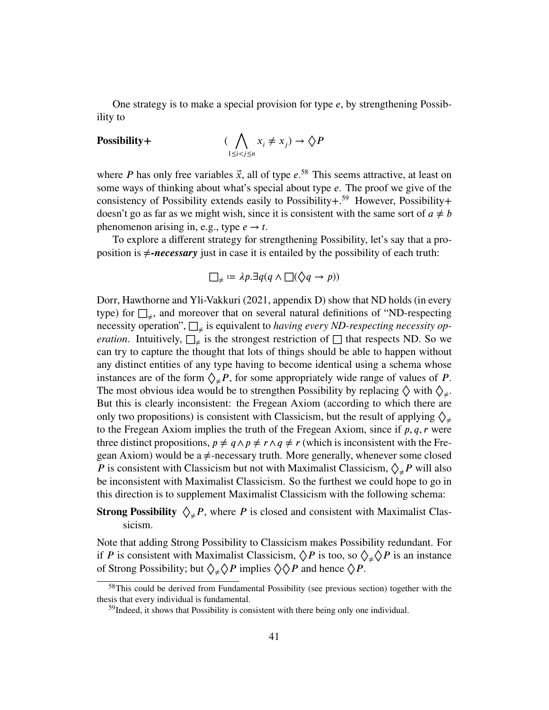One strategy is to make a special provision for type *e*, by strengthening Possibility to

# **Possibility+** (

$$
(\bigwedge_{1\leq i
$$

where *P* has only free variables  $\vec{x}$ , all of type  $e^{.58}$  $e^{.58}$  $e^{.58}$  This seems attractive, at least on some ways of thinking about what's special about type *e*. The proof we give of the consistency of Possibility extends easily to Possibility $+$ .<sup>[59](#page-40-1)</sup> However, Possibility $+$ doesn't go as far as we might wish, since it is consistent with the same sort of  $a \neq b$ phenomenon arising in, e.g., type  $e \rightarrow t$ .

To explore a different strategy for strengthening Possibility, let's say that a proposition is  $\neq$ *-necessary* just in case it is entailed by the possibility of each truth:

$$
\Box_{\neq} := \lambda p. \exists q (q \land \Box(\Diamond q \to p))
$$

Dorr, Hawthorne and Yli-Vakkuri [\(2021,](#page-82-2) appendix D) show that ND holds (in every type) for  $\Box_{\neq}$ , and moreover that on several natural definitions of "ND-respecting necessity operation", □<sup>≠</sup> is equivalent to *having every ND-respecting necessity operation*. Intuitively,  $\square_{\neq}$  is the strongest restriction of  $\square$  that respects ND. So we can try to capture the thought that lots of things should be able to happen without any distinct entities of any type having to become identical using a schema whose instances are of the form  $\Diamond_{\neq} P$ , for some appropriately wide range of values of *P*. The most obvious idea would be to strengthen Possibility by replacing  $\Diamond$  with  $\Diamond_{\neq}$ . But this is clearly inconsistent: the Fregean Axiom (according to which there are only two propositions) is consistent with Classicism, but the result of applying  $\diamondsuit_{\neq}$ to the Fregean Axiom implies the truth of the Fregean Axiom, since if  $p, q, r$  were three distinct propositions,  $p \neq q \land p \neq r \land q \neq r$  (which is inconsistent with the Fregean Axiom) would be a  $\neq$ -necessary truth. More generally, whenever some closed *P* is consistent with Classicism but not with Maximalist Classicism,  $\Diamond_{\neq} P$  will also be inconsistent with Maximalist Classicism. So the furthest we could hope to go in this direction is to supplement Maximalist Classicism with the following schema:

# **Strong Possibility**  $\Diamond_{\neq} P$ , where P is closed and consistent with Maximalist Classicism.

Note that adding Strong Possibility to Classicism makes Possibility redundant. For if *P* is consistent with Maximalist Classicism,  $\Diamond P$  is too, so  $\Diamond_{\neq} \Diamond P$  is an instance of Strong Possibility; but  $\Diamond_{\neq} \Diamond P$  implies  $\Diamond \Diamond P$  and hence  $\Diamond P$ .

<span id="page-40-0"></span><sup>58</sup>This could be derived from Fundamental Possibility (see previous section) together with the thesis that every individual is fundamental.

<span id="page-40-1"></span><sup>&</sup>lt;sup>59</sup>Indeed, it shows that Possibility is consistent with there being only one individual.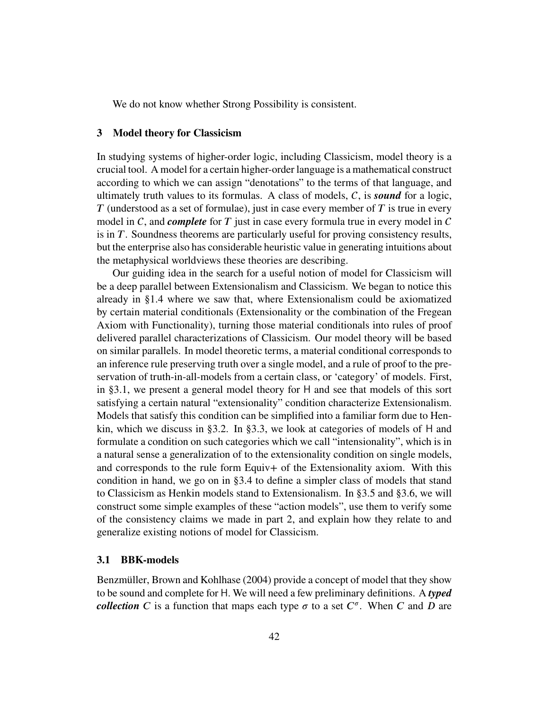We do not know whether Strong Possibility is consistent.

# **3 Model theory for Classicism**

In studying systems of higher-order logic, including Classicism, model theory is a crucial tool. A model for a certain higher-order language is a mathematical construct according to which we can assign "denotations" to the terms of that language, and ultimately truth values to its formulas. A class of models,  $C$ , is **sound** for a logic, *T* (understood as a set of formulae), just in case every member of *T* is true in every model in  $C$ , and *complete* for  $T$  just in case every formula true in every model in  $C$ is in *T*. Soundness theorems are particularly useful for proving consistency results, but the enterprise also has considerable heuristic value in generating intuitions about the metaphysical worldviews these theories are describing.

Our guiding idea in the search for a useful notion of model for Classicism will be a deep parallel between Extensionalism and Classicism. We began to notice this already in [§1.4](#page-13-0) where we saw that, where Extensionalism could be axiomatized by certain material conditionals (Extensionality or the combination of the Fregean Axiom with Functionality), turning those material conditionals into rules of proof delivered parallel characterizations of Classicism. Our model theory will be based on similar parallels. In model theoretic terms, a material conditional corresponds to an inference rule preserving truth over a single model, and a rule of proof to the preservation of truth-in-all-models from a certain class, or 'category' of models. First, in [§3.1,](#page-41-0) we present a general model theory for H and see that models of this sort satisfying a certain natural "extensionality" condition characterize Extensionalism. Models that satisfy this condition can be simplified into a familiar form due to Henkin, which we discuss in [§3.2.](#page-45-0) In [§3.3,](#page-47-0) we look at categories of models of H and formulate a condition on such categories which we call "intensionality", which is in a natural sense a generalization of to the extensionality condition on single models, and corresponds to the rule form Equiv+ of the Extensionality axiom. With this condition in hand, we go on in [§3.4](#page-51-0) to define a simpler class of models that stand to Classicism as Henkin models stand to Extensionalism. In [§3.5](#page-56-0) and [§3.6,](#page-60-0) we will construct some simple examples of these "action models", use them to verify some of the consistency claims we made in part 2, and explain how they relate to and generalize existing notions of model for Classicism.

## <span id="page-41-0"></span>**3.1 BBK-models**

Benzmüller, Brown and Kohlhase [\(2004\)](#page-81-3) provide a concept of model that they show to be sound and complete for H. We will need a few preliminary definitions. A *typed collection C* is a function that maps each type  $\sigma$  to a set  $C^{\sigma}$ . When *C* and *D* are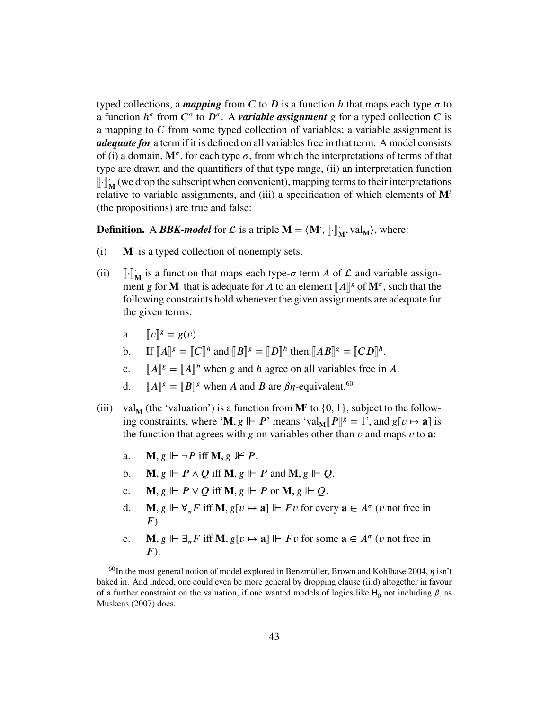typed collections, a *mapping* from C to D is a function h that maps each type  $\sigma$  to a function  $h^{\sigma}$  from  $C^{\sigma}$  to  $D^{\sigma}$ . A *variable assignment g* for a typed collection *C* is a mapping to *C* from some typed collection of variables; a variable assignment is *adequate for* a term if it is defined on all variables free in that term. A model consists of (i) a domain,  $M^{\sigma}$ , for each type  $\sigma$ , from which the interpretations of terms of that type are drawn and the quantifiers of that type range, (ii) an interpretation function  $\begin{bmatrix} \cdot \\ \cdot \end{bmatrix}$ **M**<sup>2</sup> (we drop the subscript when convenient), mapping terms to their interpretations relative to variable assignments, and (iii) a specification of which elements of  $M<sup>t</sup>$ (the propositions) are true and false:

**Definition.** A *BBK-model* for  $\mathcal{L}$  is a triple  $\mathbf{M} = \langle \mathbf{M}^*, \lbrack \lbrack \cdot \rbrack \rbrack$  $\mathbf{M}$ , val<sub>M</sub> $\rangle$ , where:

- (i) **M** is a typed collection of nonempty sets.
- (ii)  $\begin{bmatrix} \cdot \end{bmatrix}^T$  $\mathbf{M}$  is a function that maps each type- $\sigma$  term *A* of  $\mathcal{L}$  and variable assignment *g* for **M**<sup> $\cdot$ </sup> that is adequate for *A* to an element  $\llbracket A \rrbracket^g$  of  $\mathbf{M}^\sigma$ , such that the following constraints hold whenever the given assignments are adequate for following constraints hold whenever the given assignments are adequate for the given terms:
	- a.  $[[v]]^g = g(v)$
	- **b.** If  $[[A]]^g = [[C]]^h$  and  $[[B]]^g = [[D]]^h$  then  $[[AB]]^g = [[CD]]^h$ .
	- c.  $[[A]]^g = [[A]]^h$  when *g* and *h* agree on all variables free in *A*.
	- d.  $[[A]]^g = [[B]]^g$  when *A* and *B* are  $\beta\eta$ -equivalent.<sup>[60](#page-42-0)</sup>
- <span id="page-42-3"></span><span id="page-42-2"></span><span id="page-42-1"></span>(iii) val<sub>M</sub> (the 'valuation') is a function from  $M^t$  to  $\{0, 1\}$ , subject to the following constraints, where '**M**,  $g \Vdash P$ ' means 'val<sub>M</sub>[ $P$ ]<sup>*g*</sup> = 1', and  $g[v \mapsto a]$  is<br>the function that agrees with a on variables other than y and mans y to a: the function that agrees with *g* on variables other than *v* and maps *v* to **a**:
	- a. **M**,  $g \Vdash \neg P$  iff **M**,  $g \nvDash P$ .
	- b. **M**,  $g \Vdash P \land Q$  iff **M**,  $g \Vdash P$  and **M**,  $g \Vdash Q$ .
	- c. **M**,  $g \Vdash P \lor Q$  iff **M**,  $g \Vdash P$  or **M**,  $g \Vdash Q$ .
	- d. **M**,  $g \Vdash \forall_{\sigma} F$  iff **M**,  $g[v \mapsto \mathbf{a}] \Vdash Fv$  for every  $\mathbf{a} \in A^{\sigma}(v)$  not free in  $F$ ).
	- e. **M**,  $g \Vdash \exists_{\sigma} F$  iff **M**,  $g[v \mapsto \mathbf{a}] \Vdash Fv$  for some  $\mathbf{a} \in A^{\sigma}(v)$  not free in  $F$ ).

<span id="page-42-0"></span> $^{60}$ In the most general notion of model explored in Benzmüller, Brown and Kohlhase [2004,](#page-81-3)  $\eta$  isn't baked in. And indeed, one could even be more general by dropping clause [\(ii.d\)](#page-42-1) altogether in favour of a further constraint on the valuation, if one wanted models of logics like  $H_0$  not including  $\beta$ , as Muskens [\(2007\)](#page-83-4) does.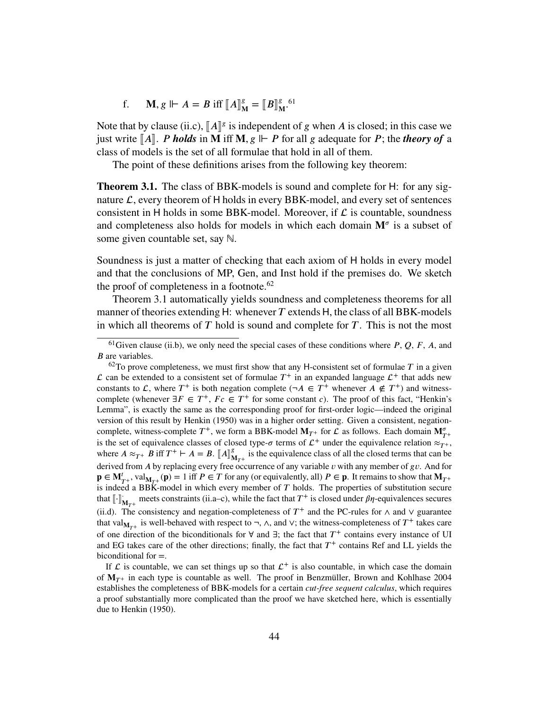f. **M**,  $g \Vdash A = B$  iff  $[A]_N^g$  $\mathbf{g}_{\mathbf{M}}^g = \llbracket B \rrbracket_{\mathbf{M}}^g$ g [61](#page-43-0)<br>**M** 

Note that by clause [\(ii.c\),](#page-42-2)  $\llbracket A \rrbracket^g$  is independent of *g* when *A* is closed; in this case we<br>instruct  $\llbracket A \rrbracket^g$  *P holds* in **M** iff **M**  $g \Vdash P$  for all *g* adequate for *P*; the *theory* of a just write  $\llbracket A \rrbracket$ . *P* holds in **M** iff **M**,  $g \Vdash P$  for all g adequate for *P*; the *theory of* a class of models is the set of all formulae that hold in all of them.

The point of these definitions arises from the following key theorem:

<span id="page-43-2"></span>**Theorem 3.1.** The class of BBK-models is sound and complete for H: for any signature  $\mathcal{L}$ , every theorem of  $H$  holds in every BBK-model, and every set of sentences consistent in  $H$  holds in some BBK-model. Moreover, if  $\mathcal L$  is countable, soundness and completeness also holds for models in which each domain  $M^{\sigma}$  is a subset of some given countable set, say ℕ.

Soundness is just a matter of checking that each axiom of H holds in every model and that the conclusions of MP, Gen, and Inst hold if the premises do. We sketch the proof of completeness in a footnote.<sup>[62](#page-43-1)</sup>

[Theorem 3.1](#page-43-2) automatically yields soundness and completeness theorems for all manner of theories extending H: whenever *T* extends H, the class of all BBK-models in which all theorems of  $T$  hold is sound and complete for  $T$ . This is not the most

<span id="page-43-0"></span> $^{61}$ Given clause [\(ii.b\),](#page-42-3) we only need the special cases of these conditions where  $P$ ,  $Q$ ,  $F$ ,  $A$ , and *B* are variables.

<span id="page-43-1"></span> $62$ To prove completeness, we must first show that any H-consistent set of formulae *T* in a given  $\mathcal L$  can be extended to a consistent set of formulae  $T^+$  in an expanded language  $\mathcal L^+$  that adds new constants to L, where  $T^+$  is both negation complete ( $\neg A \in T^+$  whenever  $A \notin T^+$ ) and witnesscomplete (whenever  $\exists F \in T^+$ ,  $Fc \in T^+$  for some constant *c*). The proof of this fact, "Henkin's Lemma", is exactly the same as the corresponding proof for first-order logic—indeed the original version of this result by Henkin [\(1950\)](#page-83-5) was in a higher order setting. Given a consistent, negationcomplete, witness-complete  $T^+$ , we form a BBK-model  $M_{T^+}$  for  $\mathcal L$  as follows. Each domain  $M_{T^+}^{\sigma}$ is the set of equivalence classes of closed type- $\sigma$  terms of  $\mathcal{L}^+$  under the equivalence relation  $\approx_{T^+}$ , where  $A \approx_{T^+} B$  iff  $T^+ \vdash A = B$ .  $[A]_N^g$  $\frac{g}{M_{T^+}}$  is the equivalence class of all the closed terms that can be derived from *A* by replacing every free occurrence of any variable *v* with any member of *gv*. And for  $\mathbf{p} \in \mathbf{M}_{T+}^t$ , val $\mathbf{M}_{T+}(\mathbf{p}) = 1$  iff  $P \in T$  for any (or equivalently, all)  $P \in \mathbf{p}$ . It remains to show that  $\mathbf{M}_{T+}$ is indeed a BBK-model in which every member of *T* holds. The properties of substitution secure that  $\left[\cdot\right]_{\mathbf{M}_{T^+}}$  meets constraints (ii.a–c), while the fact that  $T^+$  is closed under  $\beta\eta$ -equivalences secures [\(ii.d\).](#page-42-1) The consistency and negation-completeness of  $T^+$  and the PC-rules for  $\wedge$  and  $\vee$  guarantee that val<sub>M<sub>T<sup>+</sub></sub> is well-behaved with respect to ¬,  $\wedge$ , and  $\vee$ ; the witness-completeness of  $T^+$  takes care</sub></sub></sup> of one direction of the biconditionals for ∀ and ∃; the fact that *𝑇* <sup>+</sup> contains every instance of UI and EG takes care of the other directions; finally, the fact that  $T^+$  contains Ref and LL yields the biconditional for =.

If  $\mathcal L$  is countable, we can set things up so that  $\mathcal L^+$  is also countable, in which case the domain of  $M_{\text{T}^+}$  in each type is countable as well. The proof in Benzmüller, Brown and Kohlhase [2004](#page-81-3) establishes the completeness of BBK-models for a certain *cut-free sequent calculus*, which requires a proof substantially more complicated than the proof we have sketched here, which is essentially due to Henkin [\(1950\)](#page-83-5).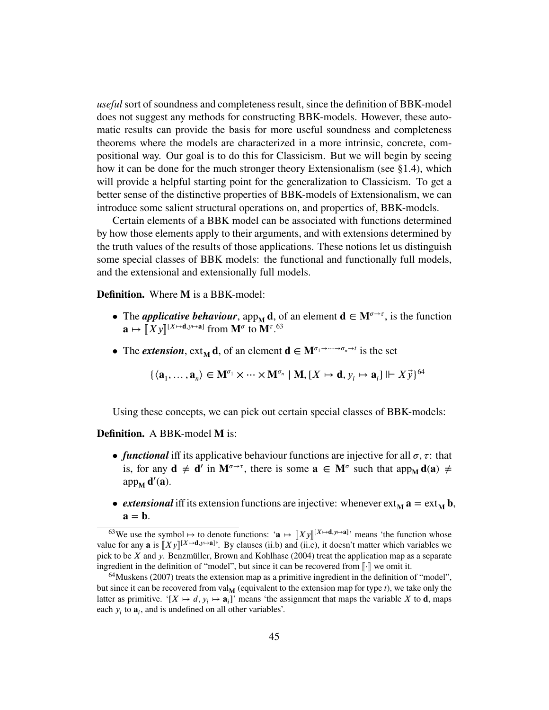*useful* sort of soundness and completeness result, since the definition of BBK-model does not suggest any methods for constructing BBK-models. However, these automatic results can provide the basis for more useful soundness and completeness theorems where the models are characterized in a more intrinsic, concrete, compositional way. Our goal is to do this for Classicism. But we will begin by seeing how it can be done for the much stronger theory Extensionalism (see [§1.4\)](#page-13-0), which will provide a helpful starting point for the generalization to Classicism. To get a better sense of the distinctive properties of BBK-models of Extensionalism, we can introduce some salient structural operations on, and properties of, BBK-models.

Certain elements of a BBK model can be associated with functions determined by how those elements apply to their arguments, and with extensions determined by the truth values of the results of those applications. These notions let us distinguish some special classes of BBK models: the functional and functionally full models, and the extensional and extensionally full models.

**Definition.** Where **M** is a BBK-model:

- The *applicative behaviour*, app<sub>M</sub> **d**, of an element  $\mathbf{d} \in \mathbf{M}^{\sigma \to \tau}$ , is the function  $\mathbf{a} \mapsto [X \mathbf{y}]^{[X \mapsto \mathbf{d}, \mathbf{y} \mapsto \mathbf{a}]}$  from  $\mathbf{M}^{\sigma}$  to  $\mathbf{M}^{\tau}$ .<sup>[63](#page-44-0)</sup>
- The *extension*,  $ext_{M}d$ , of an element  $d \in M^{\sigma_1 \to \cdots \to \sigma_n \to t}$  is the set

$$
\{\langle \mathbf{a}_1, \ldots, \mathbf{a}_n \rangle \in \mathbf{M}^{\sigma_1} \times \cdots \times \mathbf{M}^{\sigma_n} \mid \mathbf{M}, [X \mapsto \mathbf{d}, y_i \mapsto \mathbf{a}_i] \Vdash X \vec{y}\}^{64}
$$

Using these concepts, we can pick out certain special classes of BBK-models:

### **Definition.** A BBK-model **M** is:

- *functional* iff its applicative behaviour functions are injective for all  $\sigma$ ,  $\tau$ : that is, for any  $d \neq d'$  in  $M^{\sigma \to \tau}$ , there is some  $a \in M^{\sigma}$  such that app<sub>M</sub>  $d(a) \neq$ app<sub>M</sub> **d'**(**a**).
- *extensional* iff its extension functions are injective: whenever  $ext_{M} a = ext_{M} b$ ,  $\mathbf{a} = \mathbf{b}$ .

<span id="page-44-0"></span> $^{63}$ We use the symbol  $\mapsto$  to denote functions: ' $\mathbf{a} \mapsto [\![X y]\!]^{[X \mapsto \mathbf{d}, y \mapsto \mathbf{a}]}$ ' means 'the function whose value for any **a** is  $[[Xy]]^{[X\mapsto d, y\mapsto a]}$ . By clauses [\(ii.b\)](#page-42-3) and [\(ii.c\),](#page-42-2) it doesn't matter which variables we<br>pick to be X and y. Benzmiller, Brown and Koblbase (2004) treat the application map as a separate pick to be *X* and *y*. Benzmüller, Brown and Kohlhase [\(2004\)](#page-81-3) treat the application map as a separate ingredient in the definition of "model", but since it can be recovered from [.] we omit it.

<span id="page-44-1"></span><sup>&</sup>lt;sup>64</sup>Muskens [\(2007\)](#page-83-4) treats the extension map as a primitive ingredient in the definition of "model", but since it can be recovered from val<sub>M</sub> (equivalent to the extension map for type  $t$ ), we take only the latter as primitive. '[ $X \mapsto d$ ,  $y_i \mapsto a_i$ ]' means 'the assignment that maps the variable  $X$  to **d**, maps each  $y_i$  to  $\mathbf{a}_i$ , and is undefined on all other variables'.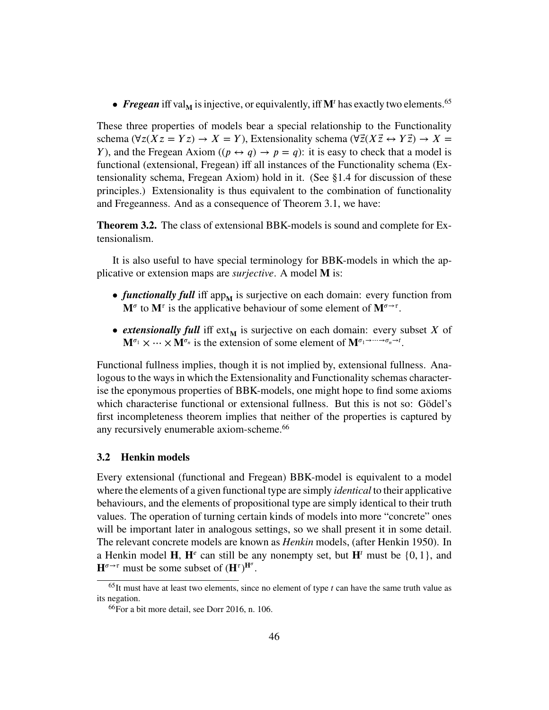• *Fregean* iff val<sub>M</sub> is injective, or equivalently, iff M<sup>t</sup> has exactly two elements.<sup>[65](#page-45-1)</sup>

These three properties of models bear a special relationship to the Functionality schema ( $\forall z(Xz = Yz) \rightarrow X = Y$ ), Extensionality schema ( $\forall \vec{z}(X\vec{z} \leftrightarrow Y\vec{z}) \rightarrow X =$ *Y*), and the Fregean Axiom  $((p \leftrightarrow q) \rightarrow p = q)$ : it is easy to check that a model is functional (extensional, Fregean) iff all instances of the Functionality schema (Extensionality schema, Fregean Axiom) hold in it. (See [§1.4](#page-13-0) for discussion of these principles.) Extensionality is thus equivalent to the combination of functionality and Fregeanness. And as a consequence of [Theorem 3.1,](#page-43-2) we have:

<span id="page-45-3"></span>**Theorem 3.2.** The class of extensional BBK-models is sound and complete for Extensionalism.

It is also useful to have special terminology for BBK-models in which the applicative or extension maps are *surjective*. A model **M** is:

- *functionally full* iff app<sub>M</sub> is surjective on each domain: every function from  $M^{\sigma}$  to  $M^{\tau}$  is the applicative behaviour of some element of  $M^{\sigma\rightarrow\tau}$ .
- *extensionally full* iff  $ext{ext}_{M}$  is surjective on each domain: every subset *X* of  $\mathbf{M}^{\sigma_1} \times \cdots \times \mathbf{M}^{\sigma_n}$  is the extension of some element of  $\mathbf{M}^{\sigma_1 \to \cdots \to \sigma_n \to t}$ .

Functional fullness implies, though it is not implied by, extensional fullness. Analogous to the ways in which the Extensionality and Functionality schemas characterise the eponymous properties of BBK-models, one might hope to find some axioms which characterise functional or extensional fullness. But this is not so: Gödel's first incompleteness theorem implies that neither of the properties is captured by any recursively enumerable axiom-scheme.<sup>[66](#page-45-2)</sup>

# <span id="page-45-0"></span>**3.2 Henkin models**

Every extensional (functional and Fregean) BBK-model is equivalent to a model where the elements of a given functional type are simply *identical* to their applicative behaviours, and the elements of propositional type are simply identical to their truth values. The operation of turning certain kinds of models into more "concrete" ones will be important later in analogous settings, so we shall present it in some detail. The relevant concrete models are known as *Henkin* models, (after Henkin [1950\)](#page-83-5). In a Henkin model  $\mathbf{H}$ ,  $\mathbf{H}^e$  can still be any nonempty set, but  $\mathbf{H}^t$  must be  $\{0, 1\}$ , and  $\mathbf{H}^{\sigma \to \tau}$  must be some subset of  $(\mathbf{H}^{\tau})^{\mathbf{H}^{\sigma}}$ .

<span id="page-45-1"></span> $65$ It must have at least two elements, since no element of type  $t$  can have the same truth value as its negation.

<span id="page-45-2"></span><sup>66</sup>For a bit more detail, see Dorr [2016,](#page-82-1) n. 106.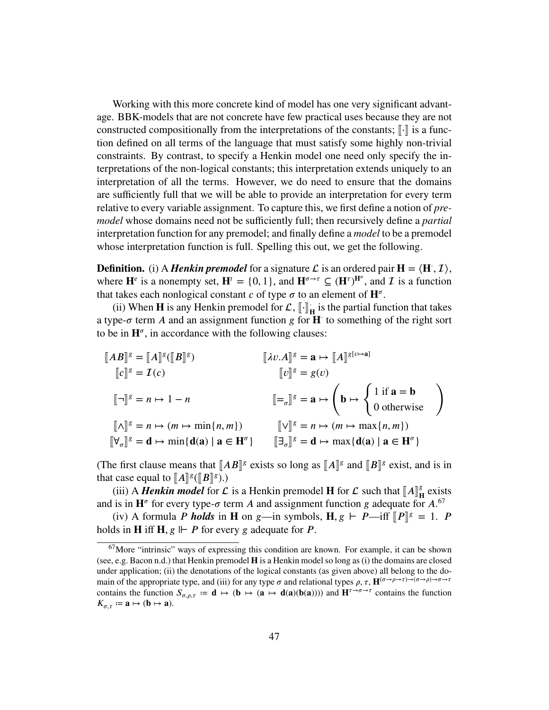Working with this more concrete kind of model has one very significant advantage. BBK-models that are not concrete have few practical uses because they are not constructed compositionally from the interpretations of the constants;  $\lbrack \cdot \rbrack$  is a function defined on all terms of the language that must satisfy some highly non-trivial constraints. By contrast, to specify a Henkin model one need only specify the interpretations of the non-logical constants; this interpretation extends uniquely to an interpretation of all the terms. However, we do need to ensure that the domains are sufficiently full that we will be able to provide an interpretation for every term relative to every variable assignment. To capture this, we first define a notion of *premodel* whose domains need not be sufficiently full; then recursively define a *partial* interpretation function for any premodel; and finally define a *model* to be a premodel whose interpretation function is full. Spelling this out, we get the following.

**Definition.** (i) A *Henkin premodel* for a signature  $\mathcal{L}$  is an ordered pair  $\mathbf{H} = \langle \mathbf{H}, \mathcal{I} \rangle$ , where  $\mathbf{H}^e$  is a nonempty set,  $\mathbf{H}^t = \{0, 1\}$ , and  $\mathbf{H}^{\sigma \to \tau} \subseteq (\mathbf{H}^{\tau})^{\mathbf{H}^{\sigma}}$ , and  $\mathcal I$  is a function that takes each nonlogical constant  $c$  of type  $\sigma$  to an element of  $\mathbf{H}^{\sigma}$ .

(ii) When **H** is any Henkin premodel for  $\mathcal{L}$ ,  $\left[\cdot\right]$ <sup>1</sup> **H** is the partial function that takes a type- $\sigma$  term *A* and an assignment function *g* for **H** to something of the right sort to be in  $\mathbf{H}^{\sigma}$ , in accordance with the following clauses:

$$
\begin{aligned}\n\llbracket AB \rrbracket^g &= \llbracket A \rrbracket^g (\llbracket B \rrbracket^g) & \llbracket \lambda v.A \rrbracket^g &= \mathbf{a} \mapsto \llbracket A \rrbracket^{g \{v \mapsto \mathbf{a} \}} \\
& \llbracket v \rrbracket^g &= g(v) & \llbracket \neg \rrbracket^g &= n \mapsto 1 - n & \llbracket \neg \rrbracket^g &= \mathbf{a} \mapsto \left( \mathbf{b} \mapsto \left\{ 1 \text{ if } \mathbf{a} = \mathbf{b} \atop 0 \text{ otherwise} \right\} \right) \\
& \llbracket \wedge \rrbracket^g &= n \mapsto (m \mapsto \min\{n, m\}) & \llbracket \vee \rrbracket^g &= n \mapsto (m \mapsto \max\{n, m\}) \\
\llbracket \forall_{\sigma} \rrbracket^g &= \mathbf{d} \mapsto \min\{\mathbf{d}(\mathbf{a}) \mid \mathbf{a} \in \mathbf{H}^{\sigma}\} & \llbracket \exists_{\sigma} \rrbracket^g &= \mathbf{d} \mapsto \max\{\mathbf{d}(\mathbf{a}) \mid \mathbf{a} \in \mathbf{H}^{\sigma}\}\n\end{aligned}
$$

(The first clause means that  $[AB]^g$  exists so long as  $[A]^g$  and  $[B]^g$  exist, and is in that case equal to  $[A]\times[B]^g$ .) that case equal to  $\llbracket A \rrbracket^g (\llbracket B \rrbracket^g)$ .)<br>(*iii*) A *Harkin* model for C

(iii) A *Henkin model* for  $\mathcal{L}$  is a Henkin premodel **H** for  $\mathcal{L}$  such that  $\llbracket A \rrbracket^g$  is in  $\mathbf{H}^g$  for every type  $\sigma$  term A and assignment function  $g$  adequate for **𝐇** exists and is in  $\mathbf{H}^{\sigma}$  for every type- $\sigma$  term *A* and assignment function *g* adequate for *A*.<sup>[67](#page-46-0)</sup>

(iv) A formula *P* holds in **H** on *g*—in symbols, **H**,  $g \vdash P$ —iff  $[ P ]^g = 1$ . *P* on **H** iff **H**  $g \vdash P$  for every g edecute for *P* holds in **H** iff **H**,  $g \Vdash P$  for every  $g$  adequate for  $P$ .

<span id="page-46-0"></span><sup>67</sup>More "intrinsic" ways of expressing this condition are known. For example, it can be shown (see, e.g. Bacon [n.d.\)](#page-81-4) that Henkin premodel **H** is a Henkin model so long as (i) the domains are closed under application; (ii) the denotations of the logical constants (as given above) all belong to the domain of the appropriate type, and (iii) for any type  $\sigma$  and relational types  $\rho$ ,  $\tau$ ,  $\mathbf{H}^{(\sigma\to\rho\to\tau\to^-(\sigma\to\rho)\to\sigma\to\tau}$ contains the function  $S_{\sigma,\rho,\tau} := \mathbf{d} \mapsto (\mathbf{b} \mapsto (\mathbf{a} \mapsto \mathbf{d}(\mathbf{a})(\mathbf{b}(\mathbf{a})))$  and  $\mathbf{H}^{\tau \to \sigma \to \tau}$  contains the function  $K_{\sigma,\tau} := \mathbf{a} \mapsto (\mathbf{b} \mapsto \mathbf{a}).$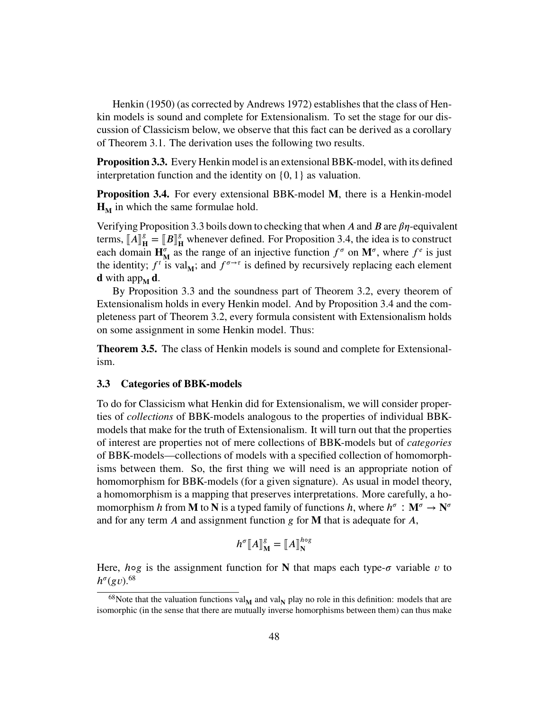Henkin [\(1950\)](#page-83-5) (as corrected by Andrews [1972\)](#page-81-5) establishes that the class of Henkin models is sound and complete for Extensionalism. To set the stage for our discussion of Classicism below, we observe that this fact can be derived as a corollary of [Theorem 3.1.](#page-43-2) The derivation uses the following two results.

<span id="page-47-1"></span>**Proposition 3.3.** Every Henkin model is an extensional BBK-model, with its defined interpretation function and the identity on {0*,* 1} as valuation.

<span id="page-47-2"></span>**Proposition 3.4.** For every extensional BBK-model M, there is a Henkin-model  $H_M$  in which the same formulae hold.

Verifying [Proposition 3.3](#page-47-1) boils down to checking that when A and B are  $\beta\eta$ -equivalent terms,  $\llbracket A \rrbracket_{\mathbf{F}}^g$  $\mathbf{H}^g = \llbracket B \rrbracket^g$ <br>in  $\mathbf{H}^{\sigma}$  as  $\frac{g}{H}$  whenever defined. For [Proposition 3.4,](#page-47-2) the idea is to construct each domain  $\mathbf{H}_{\mathbf{M}}^{\sigma}$  as the range of an injective function  $f^{\sigma}$  on  $\mathbf{M}^{\sigma}$ , where  $f^e$  is just the identity;  $f^t$  is val<sub>M</sub>; and  $f^{\sigma \to \tau}$  is defined by recursively replacing each element **d** with app $_{\mathbf{M}}$  **d**.

By [Proposition 3.3](#page-47-1) and the soundness part of [Theorem 3.2,](#page-45-3) every theorem of Extensionalism holds in every Henkin model. And by [Proposition 3.4](#page-47-2) and the completeness part of [Theorem 3.2,](#page-45-3) every formula consistent with Extensionalism holds on some assignment in some Henkin model. Thus:

**Theorem 3.5.** The class of Henkin models is sound and complete for Extensionalism.

# <span id="page-47-0"></span>**3.3 Categories of BBK-models**

To do for Classicism what Henkin did for Extensionalism, we will consider properties of *collections* of BBK-models analogous to the properties of individual BBKmodels that make for the truth of Extensionalism. It will turn out that the properties of interest are properties not of mere collections of BBK-models but of *categories* of BBK-models—collections of models with a specified collection of homomorphisms between them. So, the first thing we will need is an appropriate notion of homomorphism for BBK-models (for a given signature). As usual in model theory, a homomorphism is a mapping that preserves interpretations. More carefully, a homomorphism *h* from **M** to **N** is a typed family of functions *h*, where  $h^{\sigma}: \mathbf{M}^{\sigma} \to \mathbf{N}^{\sigma}$ and for any term *A* and assignment function *g* for **M** that is adequate for *A*,

$$
h^{\sigma}\llbracket A \rrbracket_{\mathbf{M}}^g = \llbracket A \rrbracket_{\mathbf{N}}^{h \circ g}
$$

Here, *h*<sup>og</sup> is the assignment function for **N** that maps each type- $\sigma$  variable  $\nu$  to  $h^{\sigma}(gv)$ .<sup>[68](#page-47-3)</sup>

<span id="page-47-3"></span> $^{68}$ Note that the valuation functions val<sub>M</sub> and val<sub>N</sub> play no role in this definition: models that are isomorphic (in the sense that there are mutually inverse homorphisms between them) can thus make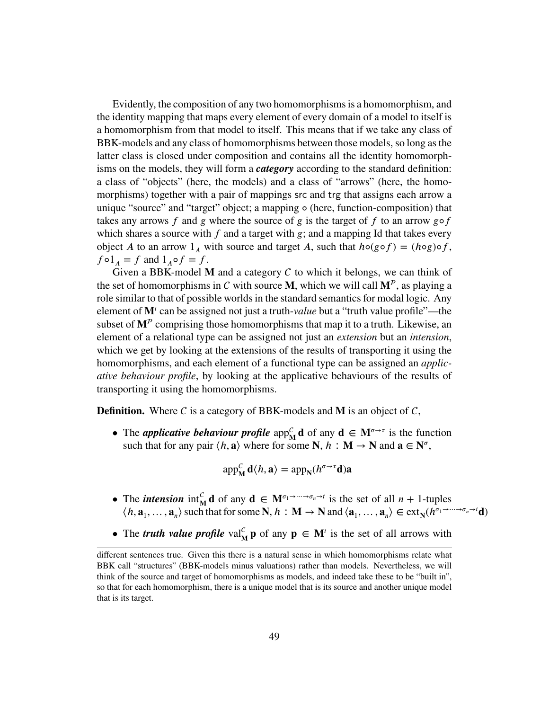Evidently, the composition of any two homomorphisms is a homomorphism, and the identity mapping that maps every element of every domain of a model to itself is a homomorphism from that model to itself. This means that if we take any class of BBK-models and any class of homomorphisms between those models, so long as the latter class is closed under composition and contains all the identity homomorphisms on the models, they will form a *category* according to the standard definition: a class of "objects" (here, the models) and a class of "arrows" (here, the homomorphisms) together with a pair of mappings src and trg that assigns each arrow a unique "source" and "target" object; a mapping ◦ (here, function-composition) that takes any arrows  $f$  and  $g$  where the source of  $g$  is the target of  $f$  to an arrow  $g \circ f$ which shares a source with  $f$  and a target with  $g$ ; and a mapping Id that takes every object *A* to an arrow  $1_A$  with source and target *A*, such that  $h \circ (g \circ f) = (h \circ g) \circ f$ ,  $f \circ 1_A = f$  and  $1_A \circ f = f$ .

Given a BBK-model  **and a category**  $C$  **to which it belongs, we can think of** the set of homomorphisms in C with source **M**, which we will call  $M^p$ , as playing a role similar to that of possible worlds in the standard semantics for modal logic. Any element of M<sup>*t*</sup> can be assigned not just a truth-*value* but a "truth value profile"—the subset of  $M^p$  comprising those homomorphisms that map it to a truth. Likewise, an element of a relational type can be assigned not just an *extension* but an *intension*, which we get by looking at the extensions of the results of transporting it using the homomorphisms, and each element of a functional type can be assigned an *applicative behaviour profile*, by looking at the applicative behaviours of the results of transporting it using the homomorphisms.

**Definition.** Where C is a category of BBK-models and M is an object of  $C$ ,

• The *applicative behaviour profile* app<sub>M</sub><sup>*c*</sup> d of any  $d \in M^{\sigma \to \tau}$  is the function such that for any pair  $\langle h, \mathbf{a} \rangle$  where for some **N**,  $h : \mathbf{M} \to \mathbf{N}$  and  $\mathbf{a} \in \mathbf{N}^{\sigma}$ ,

$$
app_M^c \mathbf{d}\langle h, \mathbf{a}\rangle = app_N(h^{\sigma \to \tau} \mathbf{d})\mathbf{a}
$$

- The *intension*  $\inf_{M}^{C} d$  of any  $d \in M^{\sigma_1 \to \cdots \to \sigma_n \to t}$  is the set of all  $n + 1$ -tuples  $\langle h, \mathbf{a}_1, \dots, \mathbf{a}_n \rangle$  such that for some  $N, h : M \to N$  and  $\langle \mathbf{a}_1, \dots, \mathbf{a}_n \rangle \in \text{ext}_{N}(h^{\sigma_1 \to \dots \to \sigma_n \to t} \mathbf{d})$
- The *truth value profile*  $\text{val}_{\text{M}}^c \mathbf{p}$  of any  $\mathbf{p} \in \text{M}^t$  is the set of all arrows with

different sentences true. Given this there is a natural sense in which homomorphisms relate what BBK call "structures" (BBK-models minus valuations) rather than models. Nevertheless, we will think of the source and target of homomorphisms as models, and indeed take these to be "built in", so that for each homomorphism, there is a unique model that is its source and another unique model that is its target.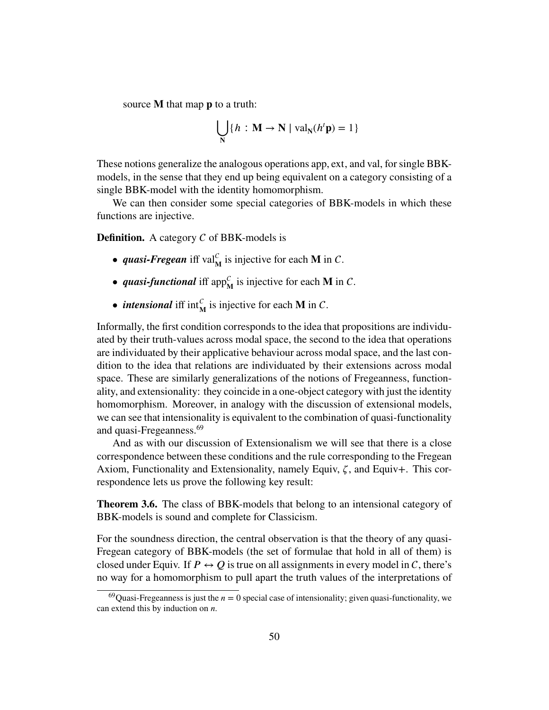source **M** that map **p** to a truth:

$$
\bigcup_{N} \{h : \mathbf{M} \to \mathbf{N} \mid \text{val}_{N}(h^{t}\mathbf{p}) = 1\}
$$

These notions generalize the analogous operations app*,* ext, and val, for single BBKmodels, in the sense that they end up being equivalent on a category consisting of a single BBK-model with the identity homomorphism.

We can then consider some special categories of BBK-models in which these functions are injective.

**Definition.** A category  $C$  of BBK-models is

- *quasi-Fregean* iff val<sub> $M$ </sub><sup> $C$ </sup> is injective for each **M** in C.
- *quasi-functional* iff app ${}^C_M$  is injective for each **M** in C.
- *intensional* iff  $int_M^C$  is injective for each **M** in C.

Informally, the first condition corresponds to the idea that propositions are individuated by their truth-values across modal space, the second to the idea that operations are individuated by their applicative behaviour across modal space, and the last condition to the idea that relations are individuated by their extensions across modal space. These are similarly generalizations of the notions of Fregeanness, functionality, and extensionality: they coincide in a one-object category with just the identity homomorphism. Moreover, in analogy with the discussion of extensional models, we can see that intensionality is equivalent to the combination of quasi-functionality and quasi-Fregeanness.<sup>[69](#page-49-0)</sup>

And as with our discussion of Extensionalism we will see that there is a close correspondence between these conditions and the rule corresponding to the Fregean Axiom, Functionality and Extensionality, namely Equiv, *𝜁*, and Equiv+. This correspondence lets us prove the following key result:

<span id="page-49-1"></span>**Theorem 3.6.** The class of BBK-models that belong to an intensional category of BBK-models is sound and complete for Classicism.

For the soundness direction, the central observation is that the theory of any quasi-Fregean category of BBK-models (the set of formulae that hold in all of them) is closed under Equiv. If  $P \leftrightarrow Q$  is true on all assignments in every model in C, there's no way for a homomorphism to pull apart the truth values of the interpretations of

<span id="page-49-0"></span><sup>&</sup>lt;sup>69</sup>Quasi-Fregeanness is just the  $n = 0$  special case of intensionality; given quasi-functionality, we can extend this by induction on *n*.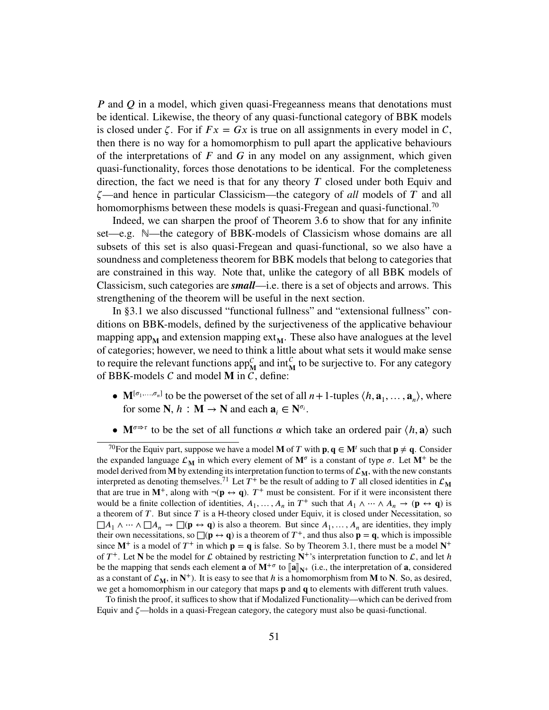*P* and *Q* in a model, which given quasi-Fregeanness means that denotations must be identical. Likewise, the theory of any quasi-functional category of BBK models is closed under  $\zeta$ . For if  $Fx = Gx$  is true on all assignments in every model in C, then there is no way for a homomorphism to pull apart the applicative behaviours of the interpretations of *𝐹* and *𝐺* in any model on any assignment, which given quasi-functionality, forces those denotations to be identical. For the completeness direction, the fact we need is that for any theory  $T$  closed under both Equiv and *𝜁*—and hence in particular Classicism—the category of *all* models of *𝑇* and all homomorphisms between these models is quasi-Fregean and quasi-functional.<sup>[70](#page-50-0)</sup>

Indeed, we can sharpen the proof of [Theorem 3.6](#page-49-1) to show that for any infinite set—e.g. N—the category of BBK-models of Classicism whose domains are all subsets of this set is also quasi-Fregean and quasi-functional, so we also have a soundness and completeness theorem for BBK models that belong to categories that are constrained in this way. Note that, unlike the category of all BBK models of Classicism, such categories are *small*—i.e. there is a set of objects and arrows. This strengthening of the theorem will be useful in the next section.

In [§3.1](#page-41-0) we also discussed "functional fullness" and "extensional fullness" conditions on BBK-models, defined by the surjectiveness of the applicative behaviour mapping app<sub>M</sub> and extension mapping ext<sub>M</sub>. These also have analogues at the level of categories; however, we need to think a little about what sets it would make sense to require the relevant functions app<sub>M</sub><sup>c</sup> and int<sub>M</sub><sup>c</sup> to be surjective to. For any category of BBK-models  $C$  and model **M** in  $\overline{C}$ , define:

- $\mathbf{M}^{[\sigma_1, ..., \sigma_n]}$  to be the powerset of the set of all  $n+1$ -tuples  $\langle h, \mathbf{a}_1, ..., \mathbf{a}_n \rangle$ , where for some  $N$ ,  $h : M \to N$  and each  $a_i \in N^{\sigma_i}$ .
- <span id="page-50-0"></span>•  $\mathbf{M}^{\sigma \Rightarrow \tau}$  to be the set of all functions  $\alpha$  which take an ordered pair  $\langle h, \mathbf{a} \rangle$  such

<sup>&</sup>lt;sup>70</sup>For the Equiv part, suppose we have a model **M** of *T* with  $\mathbf{p}, \mathbf{q} \in \mathbf{M}^t$  such that  $\mathbf{p} \neq \mathbf{q}$ . Consider the expanded language  $\mathcal{L}_{\mathbf{M}}$  in which every element of  $\mathbf{M}^{\sigma}$  is a constant of type  $\sigma$ . Let  $\mathbf{M}^+$  be the model derived from **M** by extending its interpretation function to terms of  $\mathcal{L}_M$ , with the new constants interpreted as denoting themselves.<sup>[71](#page-0-0)</sup> Let  $T^+$  be the result of adding to  $T$  all closed identities in  $\mathcal{L}_{\mathbf{M}}$ that are true in  $M^+$ , along with  $\neg(p \leftrightarrow q)$ .  $T^+$  must be consistent. For if it were inconsistent there would be a finite collection of identities,  $A_1, \ldots, A_n$  in  $T^+$  such that  $A_1 \wedge \cdots \wedge A_n \to (\mathbf{p} \leftrightarrow \mathbf{q})$  is a theorem of *T*. But since *T* is a H-theory closed under Equiv, it is closed under Necessitation, so  $\Box A_1 \wedge \cdots \wedge \Box A_n \rightarrow \Box(\mathbf{p} \leftrightarrow \mathbf{q})$  is also a theorem. But since  $A_1, \ldots, A_n$  are identities, they imply their own necessitations, so  $\Box(\mathbf{p} \leftrightarrow \mathbf{q})$  is a theorem of  $T^+$ , and thus also  $\mathbf{p} = \mathbf{q}$ , which is impossible since  $M^+$  is a model of  $T^+$  in which  $p = q$  is false. So by [Theorem 3.1,](#page-43-2) there must be a model  $N^+$ of  $T^+$ . Let **N** be the model for  $\mathcal L$  obtained by restricting  $N^+$ 's interpretation function to  $\mathcal L$ , and let *h* be the mapping that sends each element **a** of  $\mathbf{M}^{+\sigma}$  to  $\|\mathbf{a}\|_{\mathbf{N}^+}$  (i.e., the interpretation of **a**, considered as a constant of  $\mathcal{L}_{\mathbf{M}}$ , in  $\mathbf{N}^+$ ). It is easy to see that *h* is a homomorphism from **M** to **N**. So, as desired, we get a homomorphism in our category that maps **p** and **q** to elements with different truth values.

To finish the proof, it suffices to show that if Modalized Functionality—which can be derived from Equiv and *𝜁*—holds in a quasi-Fregean category, the category must also be quasi-functional.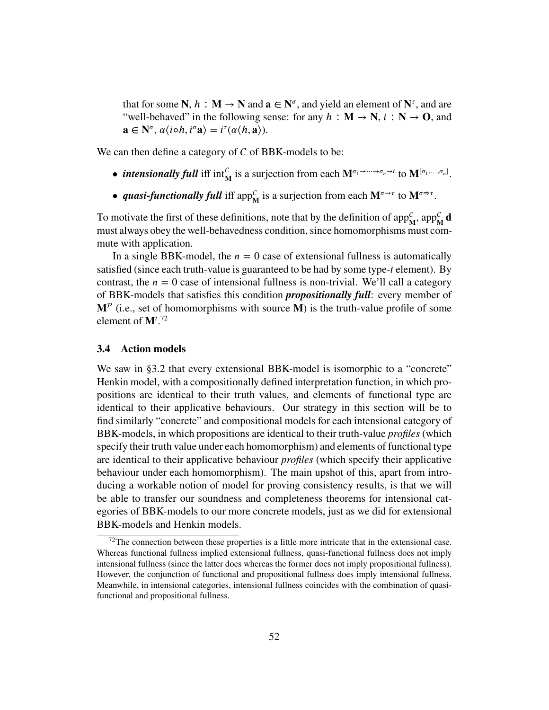that for some  $N$ ,  $h : M \to N$  and  $a \in N^{\sigma}$ , and yield an element of  $N^{\tau}$ , and are "well-behaved" in the following sense: for any  $h : \mathbf{M} \to \mathbf{N}$ ,  $i : \mathbf{N} \to \mathbf{O}$ , and  $\mathbf{a} \in \mathbb{N}^{\sigma}, \alpha \langle i \circ h, i^{\sigma} \mathbf{a} \rangle = i^{\tau}(\alpha \langle h, \mathbf{a} \rangle).$ 

We can then define a category of  $C$  of BBK-models to be:

- *intensionally full* iff  $\text{int}_{\mathbf{M}}^{\mathcal{C}}$  is a surjection from each  $\mathbf{M}^{\sigma_1 \rightarrow \cdots \rightarrow \sigma_n \rightarrow t}$  to  $\mathbf{M}^{[\sigma_1, \ldots, \sigma_n]}$ .
- *quasi-functionally full* iff app<sup>*C*</sup></sup> is a surjection from each  $M^{\sigma \rightarrow \tau}$  to  $M^{\sigma \rightarrow \tau}$ .

To motivate the first of these definitions, note that by the definition of  $app_{\mathbf{M}}^c$ ,  $app_{\mathbf{M}}^c$  **d** must always obey the well-behavedness condition, since homomorphisms must commute with application.

In a single BBK-model, the  $n = 0$  case of extensional fullness is automatically satisfied (since each truth-value is guaranteed to be had by some type-*t* element). By contrast, the  $n = 0$  case of intensional fullness is non-trivial. We'll call a category of BBK-models that satisfies this condition *propositionally full*: every member of  $M^p$  (i.e., set of homomorphisms with source  $\dot{M}$ ) is the truth-value profile of some element of  $\mathbf{M}^t$ <sup>[72](#page-51-1)</sup>

### <span id="page-51-0"></span>**3.4 Action models**

We saw in [§3.2](#page-45-0) that every extensional BBK-model is isomorphic to a "concrete" Henkin model, with a compositionally defined interpretation function, in which propositions are identical to their truth values, and elements of functional type are identical to their applicative behaviours. Our strategy in this section will be to find similarly "concrete" and compositional models for each intensional category of BBK-models, in which propositions are identical to their truth-value *profiles* (which specify their truth value under each homomorphism) and elements of functional type are identical to their applicative behaviour *profiles* (which specify their applicative behaviour under each homomorphism). The main upshot of this, apart from introducing a workable notion of model for proving consistency results, is that we will be able to transfer our soundness and completeness theorems for intensional categories of BBK-models to our more concrete models, just as we did for extensional BBK-models and Henkin models.

<span id="page-51-1"></span> $72$ The connection between these properties is a little more intricate that in the extensional case. Whereas functional fullness implied extensional fullness, quasi-functional fullness does not imply intensional fullness (since the latter does whereas the former does not imply propositional fullness). However, the conjunction of functional and propositional fullness does imply intensional fullness. Meanwhile, in intensional categories, intensional fullness coincides with the combination of quasifunctional and propositional fullness.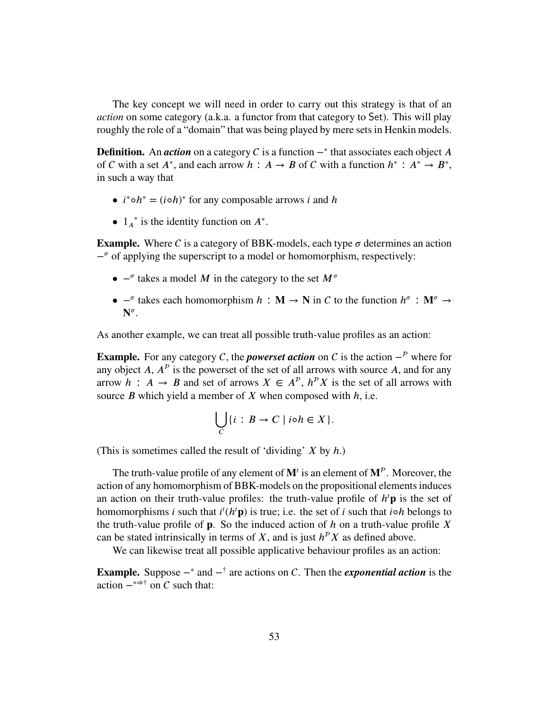The key concept we will need in order to carry out this strategy is that of an *action* on some category (a.k.a. a functor from that category to Set). This will play roughly the role of a "domain" that was being played by mere sets in Henkin models.

**Definition.** An *action* on a category *C* is a function  $-$ <sup>\*</sup> that associates each object *A* of C with a set  $A^*$ , and each arrow  $h : A \to B$  of C with a function  $h^* : A^* \to B^*$ , in such a way that

- $i^* \circ h^* = (i \circ h)^*$  for any composable arrows *i* and *h*
- $1_A^*$  is the identity function on  $A^*$ .

**Example.** Where C is a category of BBK-models, each type  $\sigma$  determines an action − *<sup>𝜎</sup>* of applying the superscript to a model or homomorphism, respectively:

- $-$ <sup>*σ*</sup> takes a model *M* in the category to the set *M<sup>o</sup>*
- **•**  $\text{-}^{\sigma}$  takes each homomorphism *h* : **M** → **N** in *C* to the function  $h^{\sigma}$  : **M**<sup> $\sigma$ </sup> →  $\mathbf{N}^{\sigma}$ .

As another example, we can treat all possible truth-value profiles as an action:

**Example.** For any category C, the *powerset action* on C is the action  $-P$  where for any object  $A$ ,  $A^P$  is the powerset of the set of all arrows with source  $A$ , and for any arrow  $h : A \rightarrow B$  and set of arrows  $X \in A^p$ ,  $h^p X$  is the set of all arrows with source *B* which yield a member of *X* when composed with *h*, i.e.

$$
\bigcup_C \{i : B \to C \mid i \circ h \in X\}.
$$

(This is sometimes called the result of 'dividing' *𝑋* by *ℎ*.)

The truth-value profile of any element of  $M<sup>t</sup>$  is an element of  $M<sup>p</sup>$ . Moreover, the action of any homomorphism of BBK-models on the propositional elements induces an action on their truth-value profiles: the truth-value profile of  $h<sup>t</sup>$ **p** is the set of homomorphisms *i* such that  $i^{t}(h^{t}p)$  is true; i.e. the set of *i* such that  $i \circ h$  belongs to the truth-value profile of **p**. So the induced action of  $h$  on a truth-value profile  $X$ can be stated intrinsically in terms of *X*, and is just  $h^p X$  as defined above.

We can likewise treat all possible applicative behaviour profiles as an action:

**Example.** Suppose  $-\ast$  and  $-\ast$  are actions on C. Then the *exponential action* is the action  $-\rightarrow$   $\rightarrow$   $\dagger$  on C such that: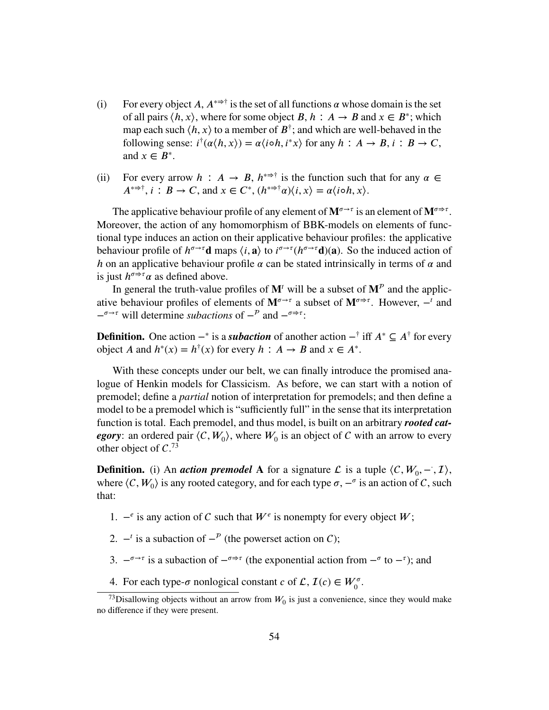- (i) For every object *A*,  $A^{*\to\dagger}$  is the set of all functions  $\alpha$  whose domain is the set of all pairs  $\langle h, x \rangle$ , where for some object *B*,  $h : A \rightarrow B$  and  $x \in B^*$ ; which map each such  $\langle h, x \rangle$  to a member of  $B^{\dagger}$ ; and which are well-behaved in the following sense:  $i^{\dagger}(\alpha \langle h, x \rangle) = \alpha \langle i \circ h, i^*x \rangle$  for any  $h : A \to B$ ,  $i : B \to C$ , and  $x \in B^*$ .
- (ii) For every arrow  $h : A \to B$ ,  $h^{*\Rightarrow \dagger}$  is the function such that for any  $\alpha \in$  $A^{*\Rightarrow\dagger}$ ,  $i: B \to C$ , and  $x \in C^*$ ,  $(h^{*\Rightarrow\dagger}\alpha)\langle i, x \rangle = \alpha \langle i \circ h, x \rangle$ .

The applicative behaviour profile of any element of  $M^{\sigma \rightarrow \tau}$  is an element of  $M^{\sigma \rightarrow \tau}$ . Moreover, the action of any homomorphism of BBK-models on elements of functional type induces an action on their applicative behaviour profiles: the applicative behaviour profile of  $h^{\sigma\to\tau}$ **d** maps  $\langle i, \mathbf{a} \rangle$  to  $i^{\sigma\to\tau}(h^{\sigma\to\tau}\mathbf{d})(\mathbf{a})$ . So the induced action of *h* on an applicative behaviour profile  $\alpha$  can be stated intrinsically in terms of  $\alpha$  and is just  $h^{\sigma \to \tau} \alpha$  as defined above.

In general the truth-value profiles of  $M<sup>t</sup>$  will be a subset of  $M<sup>p</sup>$  and the applicative behaviour profiles of elements of  $M^{\sigma \to \tau}$  a subset of  $M^{\sigma \to \tau}$ . However,  $-^t$  and  $-\sigma \rightarrow \tau$  will determine *subactions* of  $-\rho$  and  $-\sigma \rightarrow \tau$ .

**Definition.** One action  $-\ast$  is a *subaction* of another action  $-\ast$  iff  $A^* \subseteq A^{\dagger}$  for every object *A* and  $h^*(x) = h^{\dagger}(x)$  for every  $h : A \rightarrow B$  and  $x \in A^*$ .

With these concepts under our belt, we can finally introduce the promised analogue of Henkin models for Classicism. As before, we can start with a notion of premodel; define a *partial* notion of interpretation for premodels; and then define a model to be a premodel which is "sufficiently full" in the sense that its interpretation function is total. Each premodel, and thus model, is built on an arbitrary *rooted category*: an ordered pair  $\langle C, W_0 \rangle$ , where  $W_0$  is an object of C with an arrow to every other object of  $C^{73}$  $C^{73}$  $C^{73}$ 

**Definition.** (i) An *action premodel* A for a signature  $\mathcal{L}$  is a tuple  $\langle C, W_0, -, \mathcal{I} \rangle$ , where  $\langle C, W_0 \rangle$  is any rooted category, and for each type  $\sigma$ ,  $-\sigma$  is an action of C, such that:

- 1.  $-$ <sup>*e*</sup> is any action of *C* such that *W*<sup>*e*</sup> is nonempty for every object *W*;
- 2.  $-$ <sup>*t*</sup> is a subaction of  $-$ <sup>*P*</sup> (the powerset action on *C*);
- 3.  $-\sigma \rightarrow \tau$  is a subaction of  $-\sigma \rightarrow \tau$  (the exponential action from  $-\sigma$  to  $-\tau$ ); and
- <span id="page-53-0"></span>4. For each type- $\sigma$  nonlogical constant *c* of  $\mathcal{L}$ ,  $\mathcal{I}(c) \in W_0^{\sigma}$ .

<sup>&</sup>lt;sup>73</sup>Disallowing objects without an arrow from  $W_0$  is just a convenience, since they would make no difference if they were present.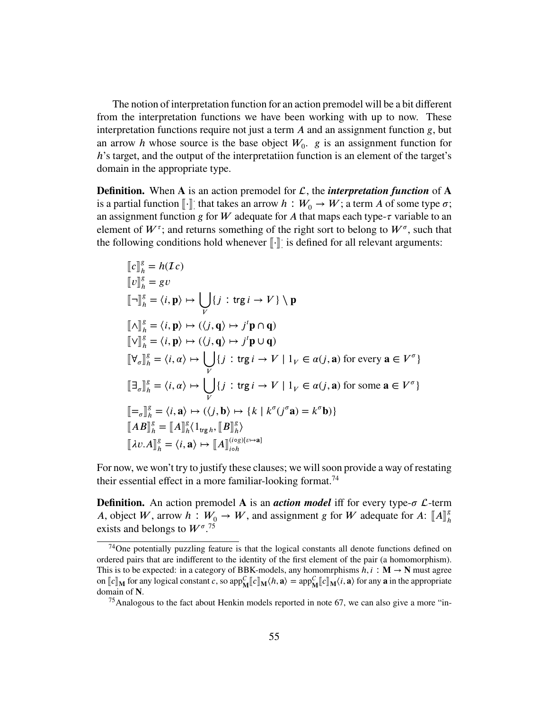The notion of interpretation function for an action premodel will be a bit different from the interpretation functions we have been working with up to now. These interpretation functions require not just a term *A* and an assignment function *g*, but an arrow *h* whose source is the base object  $W_0$ . *g* is an assignment function for *h*'s target, and the output of the interpretatiion function is an element of the target's domain in the appropriate type.

**Definition.** When **A** is an action premodel for  $\mathcal{L}$ , the *interpretation function* of **A** is a partial function  $\lbrack \cdot \rbrack$ :  $\vdots$  that takes an arrow  $h: W_0 \to W$ ; a term  $A$  of some type  $\sigma$ ; an assignment function *g* for *W* adequate for *A* that maps each type- $\tau$  variable to an element of  $W^{\tau}$ ; and returns something of the right sort to belong to  $W^{\sigma}$ , such that the following conditions hold whenever  $\llbracket \cdot \rrbracket$ : ⋅ is defined for all relevant arguments:

$$
[\![c]\!]_h^g = h(Ic)
$$
  
\n
$$
[\![v]\!]_h^g = gv
$$
  
\n
$$
[\![\neg]\!]_h^g = \langle i, \mathbf{p} \rangle \mapsto \bigcup_V \{j : \text{tr}g i \to V\} \setminus \mathbf{p}
$$
  
\n
$$
[\![\neg]\!]_h^g = \langle i, \mathbf{p} \rangle \mapsto (\langle j, \mathbf{q} \rangle \mapsto j^t \mathbf{p} \cap \mathbf{q})
$$
  
\n
$$
[\![\neg]\!]_h^g = \langle i, \mathbf{p} \rangle \mapsto (\langle j, \mathbf{q} \rangle \mapsto j^t \mathbf{p} \cap \mathbf{q})
$$
  
\n
$$
[\![\neg]\!]_h^g = \langle i, \alpha \rangle \mapsto \bigcup_V \{j : \text{tr}g i \to V \mid 1_V \in \alpha(j, \mathbf{a}) \text{ for every } \mathbf{a} \in V^\sigma\}
$$
  
\n
$$
[\![\neg]\!]_h^g = \langle i, \alpha \rangle \mapsto \bigcup_V \{j : \text{tr}g i \to V \mid 1_V \in \alpha(j, \mathbf{a}) \text{ for some } \mathbf{a} \in V^\sigma\}
$$
  
\n
$$
[\![\neg]\!]_h^g = \langle i, \mathbf{a} \rangle \mapsto (\langle j, \mathbf{b} \rangle \mapsto \{k \mid k^\sigma(j^\sigma \mathbf{a}) = k^\sigma \mathbf{b})\}
$$
  
\n
$$
[\![AB]\!]_h^g = [\![A]\!]_h^g \langle 1_{\text{tr}g h}, [\![B]\!]_h^g \rangle
$$
  
\n
$$
[\![\lambda v.A]\!]_h^g = \langle i, \mathbf{a} \rangle \mapsto [\![A]\!]_{\text{tot}}^{(\text{tr}g)[v \mapsto \mathbf{a}]}
$$

For now, we won't try to justify these clauses; we will soon provide a way of restating their essential effect in a more familiar-looking format.<sup>[74](#page-54-0)</sup>

**Definition.** An action premodel **A** is an *action model* iff for every type- $\sigma$  *L*-term *A*, object *W*, arrow *h* :  $W_0 \to W$ , and assignment *g* for *W* adequate for *A*:  $[[A]]_h^g$  original belongs to  $W^g$ <sup>75</sup> *ℎ* exists and belongs to  $W^{\sigma}$ .<sup>[75](#page-54-1)</sup>

<span id="page-54-0"></span><sup>74</sup>One potentially puzzling feature is that the logical constants all denote functions defined on ordered pairs that are indifferent to the identity of the first element of the pair (a homomorphism). This is to be expected: in a category of BBK-models, any homomrphisms  $h, i : \mathbf{M} \to \mathbf{N}$  must agree on  $\llbracket c \rrbracket_M$  for any logical constant *c*, so app $\frac{C}{M} \llbracket c \rrbracket_M$  (*h*, **a**) = app $\frac{C}{M} \llbracket c \rrbracket_M$  (*i*, **a**) for any **a** in the appropriate domain of N.

<span id="page-54-1"></span><sup>&</sup>lt;sup>75</sup>Analogous to the fact about Henkin models reported in [note 67,](#page-46-0) we can also give a more "in-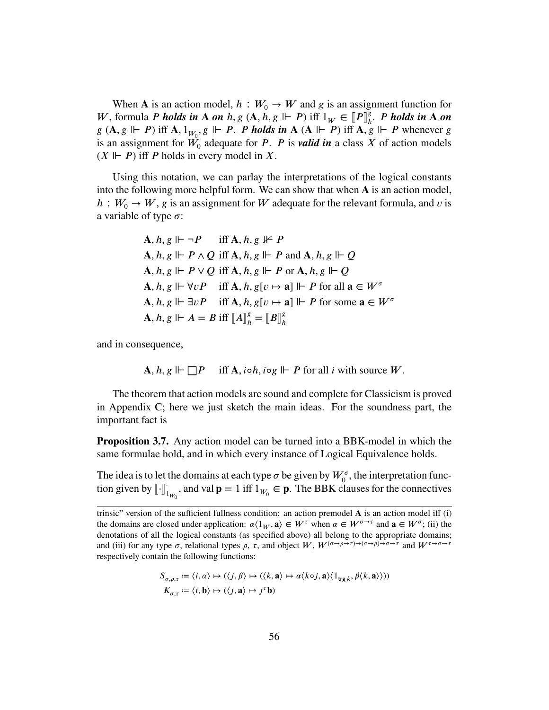When **A** is an action model,  $h : W_0 \to W$  and g is an assignment function for *W*, formula *P* holds in A on  $h, g$  (A,  $h, g \Vdash P$ ) iff  $1_W \in [P]^g_h$ <br> $g(A, g \Vdash P)$  iff  $A, 1, g \Vdash P$ , *P* holds in  $A$  (A  $\Vdash P$ ) iff  $A, g$ *ℎ* . *𝑃 holds in* **𝐀** *on g* (*A, <i>g*  $\Vdash$  *P*) iff **A**, 1<sub>*W*<sub>0</sub></sub>, *g*  $\Vdash$  *P*. *P* holds in **A** (**A**  $\Vdash$  *P*) iff **A**, *g*  $\Vdash$  *P* whenever *g* is an assignment for  $W_0$  adequate for *P*. *P* is *valid in* a class *X* of action models  $(X \Vdash P)$  iff *P* holds in every model in *X*.

Using this notation, we can parlay the interpretations of the logical constants into the following more helpful form. We can show that when **A** is an action model,  $h: W_0 \to W$ , g is an assignment for W adequate for the relevant formula, and v is a variable of type  $\sigma$ :

**A**, 
$$
h, g \Vdash \neg P
$$
 iff **A**,  $h, g \nvDash P$   
\n**A**,  $h, g \Vdash P \land Q$  iff **A**,  $h, g \Vdash P$  and **A**,  $h, g \Vdash Q$   
\n**A**,  $h, g \Vdash P \lor Q$  iff **A**,  $h, g \Vdash P$  or **A**,  $h, g \Vdash Q$   
\n**A**,  $h, g \Vdash \forall vP$  iff **A**,  $h, g[v \mapsto a] \Vdash P$  for all  $a \in W^{\sigma}$   
\n**A**,  $h, g \Vdash \exists vP$  iff **A**,  $h, g[v \mapsto a] \Vdash P$  for some  $a \in W^{\sigma}$   
\n**A**,  $h, g \Vdash A = B$  iff  $[[A]]_h^g = [[B]]_h^g$ 

and in consequence,

$$
\mathbf{A}, h, g \Vdash \Box P \quad \text{iff } \mathbf{A}, i \circ h, i \circ g \Vdash P \text{ for all } i \text{ with source } W.
$$

The theorem that action models are sound and complete for Classicism is proved in [Appendix C;](#page-68-0) here we just sketch the main ideas. For the soundness part, the important fact is

<span id="page-55-0"></span>**Proposition 3.7.** Any action model can be turned into a BBK-model in which the same formulae hold, and in which every instance of Logical Equivalence holds.

The idea is to let the domains at each type  $\sigma$  be given by  $W_0^{\sigma}$ , the interpretation function given by  $\llbracket \cdot \rrbracket$ ;  $\int_{\mu_{V_0}}$ , and val  $\mathbf{p} = 1$  iff  $1_{W_0} \in \mathbf{p}$ . The BBK clauses for the connectives

$$
S_{\sigma,\rho,\tau} := \langle i, \alpha \rangle \mapsto (\langle j, \beta \rangle \mapsto (\langle k, \mathbf{a} \rangle \mapsto \alpha \langle k \circ j, \mathbf{a} \rangle \langle 1_{\text{trg } k}, \beta \langle k, \mathbf{a} \rangle)))
$$
  

$$
K_{\sigma,\tau} := \langle i, \mathbf{b} \rangle \mapsto (\langle j, \mathbf{a} \rangle \mapsto j^{\tau} \mathbf{b})
$$

trinsic" version of the sufficient fullness condition: an action premodel A is an action model iff (i) the domains are closed under application:  $\alpha \langle 1_W, \mathbf{a} \rangle \in W^{\tau}$  when  $\alpha \in W^{\sigma \to \tau}$  and  $\mathbf{a} \in W^{\sigma}$ ; (ii) the denotations of all the logical constants (as specified above) all belong to the appropriate domains; and (iii) for any type  $\sigma$ , relational types  $\rho$ ,  $\tau$ , and object  $W$ ,  $W^{(\sigma \to \rho \to \tau) \to (\sigma \to \rho) \to \sigma \to \tau}$  and  $W^{\tau \to \sigma \to \tau}$ respectively contain the following functions: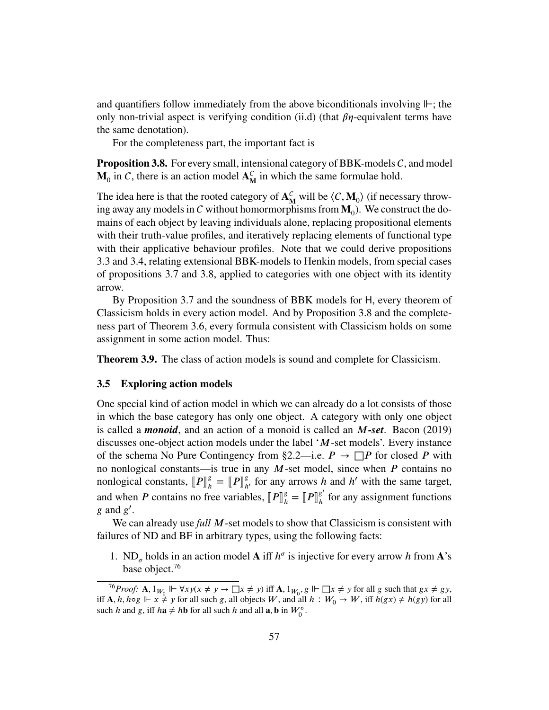and quantifiers follow immediately from the above biconditionals involving *⊩*; the only non-trivial aspect is verifying condition [\(ii.d\)](#page-42-1) (that  $\beta\eta$ -equivalent terms have the same denotation).

For the completeness part, the important fact is

<span id="page-56-1"></span>**Proposition 3.8.** For every small, intensional category of BBK-models  $C$ , and model  $\mathbf{M}_0$  in C, there is an action model  $\mathbf{A}_{\mathbf{M}}^C$  $\frac{C}{M}$  in which the same formulae hold.

The idea here is that the rooted category of  $A<sub>n</sub><sup>C</sup>$  $_{\mathbf{M}}^{C}$  will be  $\langle C, \mathbf{M}_0 \rangle$  (if necessary throwing away any models in C without homormorphisms from  $M_0$ ). We construct the domains of each object by leaving individuals alone, replacing propositional elements with their truth-value profiles, and iteratively replacing elements of functional type with their applicative behaviour profiles. Note that we could derive propositions [3.3](#page-47-1) and [3.4,](#page-47-2) relating extensional BBK-models to Henkin models, from special cases of propositions [3.7](#page-55-0) and [3.8,](#page-56-1) applied to categories with one object with its identity arrow.

By [Proposition 3.7](#page-55-0) and the soundness of BBK models for H, every theorem of Classicism holds in every action model. And by [Proposition 3.8](#page-56-1) and the completeness part of [Theorem 3.6,](#page-49-1) every formula consistent with Classicism holds on some assignment in some action model. Thus:

**Theorem 3.9.** The class of action models is sound and complete for Classicism.

# <span id="page-56-0"></span>**3.5 Exploring action models**

One special kind of action model in which we can already do a lot consists of those in which the base category has only one object. A category with only one object is called a *monoid*, and an action of a monoid is called an *𝑀-set*. Bacon [\(2019\)](#page-81-2) discusses one-object action models under the label '*M*-set models'. Every instance of the schema [No Pure Contingency](#page-25-0) from [§2.2—](#page-22-0)i.e.  $P \rightarrow \Box P$  for closed P with no nonlogical constants—is true in any *M*-set model, since when *P* contains no nonlogical constants,  $[P]^g_h$  $\binom{g}{h} = [P]_h^g$ *ℎ*′ for any arrows *ℎ* and *ℎ* ′ with the same target, and when *P* contains no free variables,  $[P]^g_h$  $\binom{g}{h} = \llbracket P \rrbracket^{g'}_h$  $\frac{g}{h}$  for any assignment functions  $g$  and  $g'$ .

We can already use *full* M-set models to show that Classicism is consistent with failures of ND and BF in arbitrary types, using the following facts:

1. ND<sub> $\sigma$ </sub> holds in an action model **A** iff  $h^{\sigma}$  is injective for every arrow *h* from **A**'s base object.<sup>[76](#page-56-2)</sup>

<span id="page-56-2"></span> $^{76}Proof:$  **A**,  $1_{W_0}$   $\Vdash \forall x y (x \neq y \rightarrow \Box x \neq y)$  iff **A**,  $1_{W_0}$ ,  $g \Vdash \Box x \neq y$  for all  $g$  such that  $gx \neq gy$ , iff **A**, *h*, *h*⊙*g*  $\Vdash$   $x \neq y$  for all such *g*, all objects *W*, and all *h* :  $W_0 \rightarrow W$ , iff *h*(*gx*)  $\neq h(gy)$  for all such *h* and *g*, iff  $h\mathbf{a} \neq h\mathbf{b}$  for all such *h* and all **a**, **b** in  $W_0^{\sigma}$ .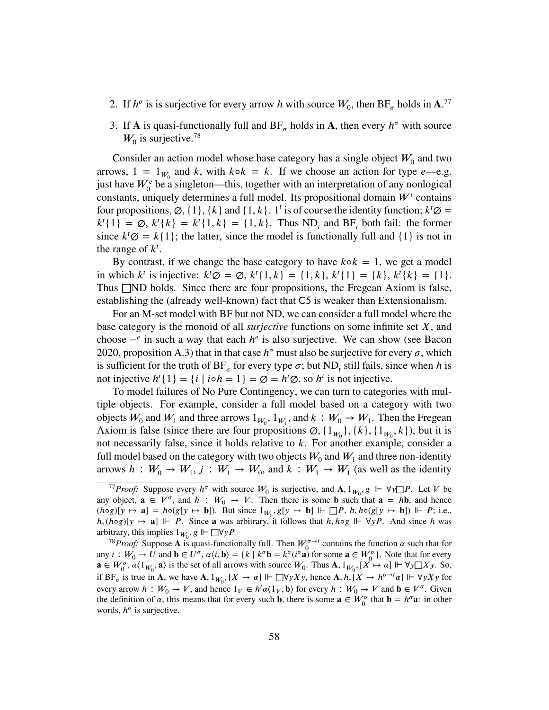- 2. If  $h^{\sigma}$  is is surjective for every arrow *h* with source  $W_0$ , then BF<sub> $\sigma$ </sub> holds in A.<sup>[77](#page-57-0)</sup>
- 3. If **A** is quasi-functionally full and  $BF_\sigma$  holds in **A**, then every  $h^\sigma$  with source  $W_0$  is surjective.<sup>[78](#page-57-1)</sup>

Consider an action model whose base category has a single object  $W_0$  and two arrows,  $1 = 1_{W_0}$  and *k*, with  $k \circ k = k$ . If we choose an action for type *e*—e.g. just have  $W_0^e$  be a singleton—this, together with an interpretation of any nonlogical constants, uniquely determines a full model. Its propositional domain  $W<sup>t</sup>$  contains four propositions,  $\emptyset$ ,  $\{1\}$ ,  $\{k\}$  and  $\{1, k\}$ . 1<sup>*t*</sup> is of course the identity function;  $k^t \emptyset$  =  $k^{\dagger}$ {1} =  $\emptyset$ ,  $k^{\dagger}$ { $k$ } =  $k^{\dagger}$ {1,  $k$ } = {1,  $k$ }. Thus ND<sub>t</sub> and BF<sub>t</sub> both fail: the former since  $k<sup>t</sup> \emptyset = k{1}$ ; the latter, since the model is functionally full and {1} is not in the range of  $k^t$ .

By contrast, if we change the base category to have  $k \circ k = 1$ , we get a model in which  $k^t$  is injective:  $k^t \emptyset = \emptyset$ ,  $k^t \{1, k\} = \{1, k\}$ ,  $k^t \{1\} = \{k\}$ ,  $k^t \{k\} = \{1\}$ . Thus □ND holds. Since there are four propositions, the Fregean Axiom is false, establishing the (already well-known) fact that C5 is weaker than Extensionalism.

For an M-set model with BF but not ND, we can consider a full model where the base category is the monoid of all *surjective* functions on some infinite set *𝑋*, and choose  $-\epsilon$  in such a way that each  $h^e$  is also surjective. We can show (see Bacon [2020,](#page-81-0) proposition A.3) that in that case  $h^{\sigma}$  must also be surjective for every  $\sigma$ , which is sufficient for the truth of  $BF_{\sigma}$  for every type  $\sigma$ ; but ND<sub>t</sub> still fails, since when *h* is not injective  $h^{t}{1} = {i | i \circ h = 1} = \emptyset = h^{t}\emptyset$ , so  $h^{t}$  is not injective.

To model failures of [No Pure Contingency,](#page-25-0) we can turn to categories with multiple objects. For example, consider a full model based on a category with two objects  $W_0$  and  $W_1$  and three arrows  $1_{W_0}$ ,  $1_{W_1}$ , and  $k : W_0 \to W_1$ . Then the Fregean Axiom is false (since there are four propositions  $\varnothing$ ,  $\{1_{W_0}\}, \{k\}, \{1_{W_0}, k\}$ ), but it is not necessarily false, since it holds relative to *k*. For another example, consider a full model based on the category with two objects  $W_0$  and  $W_1$  and three non-identity arrows  $h: W_0 \to W_1, j: W_1 \to W_0$ , and  $k: W_1 \to W_1$  (as well as the identity

<span id="page-57-0"></span><sup>77</sup>*Proof:* Suppose every  $h^{\sigma}$  with source  $W_0$  is surjective, and  $A$ ,  $1_{W_0}$ ,  $g \Vdash \forall y \square P$ . Let *V* be any object,  $\mathbf{a} \in V^{\sigma}$ , and  $h : W_0 \to V$ . Then there is some **b** such that  $\mathbf{a} = h\mathbf{b}$ , and hence  $(h \circ g)[y \mapsto \mathbf{a}] = h \circ (g[y \mapsto \mathbf{b}])$ . But since  $1_{W_0}, g[y \mapsto \mathbf{b}] \Vdash \Box P$ ,  $h, h \circ (g[y \mapsto \mathbf{b}]) \Vdash P$ ; i.e., *h,* (*h*⋅ $\alpha$ <sub>*S*</sub>][*y*  $\mapsto$  **a**]  $\Vdash$  *P*. Since **a** was arbitrary, it follows that *h, h*⋅ $\alpha$ <sub>*β*</sub>  $\Vdash$   $\forall$ *yP*. And since *h* was arbitrary, this implies  $1_{W_0}$ ,  $g \Vdash \Box \forall y P$ 

<span id="page-57-1"></span><sup>&</sup>lt;sup>78</sup>*Proof:* Suppose **A** is quasi-functionally full. Then  $W_0^{\sigma \to t}$  contains the function  $\alpha$  such that for any  $i: W_0 \to U$  and  $\mathbf{b} \in U^{\sigma}$ ,  $\alpha \langle i, \mathbf{b} \rangle = \{k \mid k^{\sigma} \mathbf{b} = k^{\sigma} (i^{\sigma} \mathbf{a}) \text{ for some } \mathbf{a} \in W_0^{\sigma} \}$ . Note that for every  $\mathbf{a} \in W_0^{\sigma}, \alpha \langle 1_{W_0}, \mathbf{a} \rangle$  is the set of all arrows with source  $W_0$ . Thus  $\mathbf{A}, \mathbf{1}_{W_0}, [X \mapsto \alpha] \Vdash \forall y \square X y$ . So, if  $BF_{\sigma}$  is true in **A**, we have **A**,  $1_{W_0}$ ,  $[X \mapsto \alpha] \Vdash \Box \forall y X y$ , hence **A**,  $h, [X \mapsto h^{\sigma \to t} \alpha] \Vdash \forall y X y$  for every arrow  $h: W_0 \to V$ , and hence  $1_V \in h^t \alpha \langle 1_V, \mathbf{b} \rangle$  for every  $h: W_0 \to V$  and  $\mathbf{b} \in V^{\sigma}$ . Given the definition of  $\alpha$ , this means that for every such **b**, there is some  $\mathbf{a} \in W_0^{\sigma}$  that  $\mathbf{b} = h^{\sigma} \mathbf{a}$ : in other words,  $h^{\sigma}$  is surjective.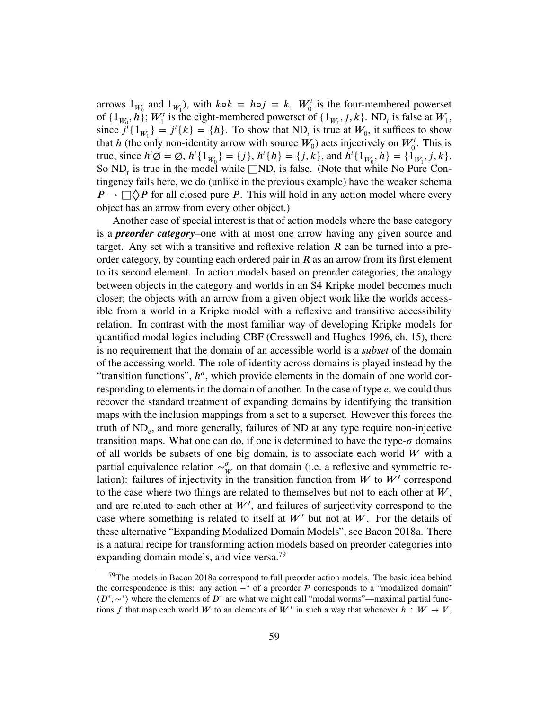arrows  $1_{W_0}$  and  $1_{W_1}$ ), with  $k \circ k = h \circ j = k$ .  $W_0^t$  is the four-membered powerset of  $\{1_{W_0}, h\}$ ;  $W_1^t$  is the eight-membered powerset of  $\{1_{W_1}, j, k\}$ . ND<sub>t</sub> is false at  $W_1$ , since  $j^{\dagger}$ {1<sub>*W*<sub>1</sub></sub>} =  $j^{\dagger}$ {*k*} = {*h*}. To show that ND<sub>*t*</sub> is true at *W*<sub>0</sub>, it suffices to show that *h* (the only non-identity arrow with source  $W_0$ ) acts injectively on  $W_0^t$ . This is true, since  $h^t \emptyset = \emptyset$ ,  $h^t \{1_{W_0}\} = \{j\}$ ,  $h^t \{h\} = \{j, k\}$ , and  $h^t \{1_{W_0}, h\} = \{1_{W_1}, j, k\}$ . So  $ND_t$  is true in the model while  $\square ND_t$  is false. (Note that while No Pure Contingency fails here, we do (unlike in the previous example) have the weaker schema  $P \rightarrow \Box \Diamond P$  for all closed pure *P*. This will hold in any action model where every object has an arrow from every other object.)

Another case of special interest is that of action models where the base category is a *preorder category*–one with at most one arrow having any given source and target. Any set with a transitive and reflexive relation  *can be turned into a pre*order category, by counting each ordered pair in  *as an arrow from its first element* to its second element. In action models based on preorder categories, the analogy between objects in the category and worlds in an S4 Kripke model becomes much closer; the objects with an arrow from a given object work like the worlds accessible from a world in a Kripke model with a reflexive and transitive accessibility relation. In contrast with the most familiar way of developing Kripke models for quantified modal logics including CBF (Cresswell and Hughes [1996,](#page-81-6) ch. 15), there is no requirement that the domain of an accessible world is a *subset* of the domain of the accessing world. The role of identity across domains is played instead by the "transition functions",  $h^{\sigma}$ , which provide elements in the domain of one world corresponding to elements in the domain of another. In the case of type *e*, we could thus recover the standard treatment of expanding domains by identifying the transition maps with the inclusion mappings from a set to a superset. However this forces the truth of ND*<sup>𝑒</sup>* , and more generally, failures of ND at any type require non-injective transition maps. What one can do, if one is determined to have the type- $\sigma$  domains of all worlds be subsets of one big domain, is to associate each world  $W$  with a partial equivalence relation  $\sim_{\mu}^{\sigma}$  $\frac{\sigma}{W}$  on that domain (i.e. a reflexive and symmetric relation): failures of injectivity in the transition function from  $W$  to  $W'$  correspond to the case where two things are related to themselves but not to each other at  $W$ , and are related to each other at  $W'$ , and failures of surjectivity correspond to the case where something is related to itself at  $W'$  but not at  $W$ . For the details of these alternative "Expanding Modalized Domain Models", see Bacon [2018a.](#page-81-7) There is a natural recipe for transforming action models based on preorder categories into expanding domain models, and vice versa.<sup>[79](#page-58-0)</sup>

<span id="page-58-0"></span> $^{79}$ The models in Bacon [2018a](#page-81-7) correspond to full preorder action models. The basic idea behind the correspondence is this: any action  $-\ast$  of a preorder P corresponds to a "modalized domain"  $\langle D^*, \sim^* \rangle$  where the elements of  $D^*$  are what we might call "modal worms"—maximal partial functions *f* that map each world *W* to an elements of  $W^*$  in such a way that whenever  $h : W \to V$ ,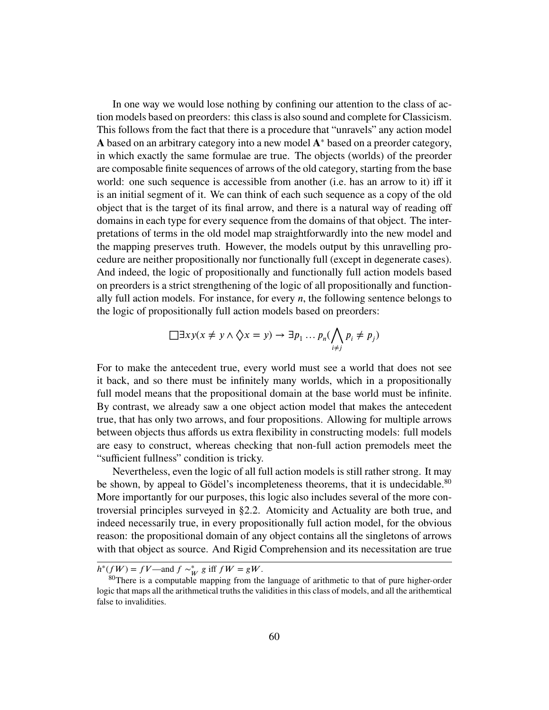In one way we would lose nothing by confining our attention to the class of action models based on preorders: this class is also sound and complete for Classicism. This follows from the fact that there is a procedure that "unravels" any action model A based on an arbitrary category into a new model A<sup>∗</sup> based on a preorder category, in which exactly the same formulae are true. The objects (worlds) of the preorder are composable finite sequences of arrows of the old category, starting from the base world: one such sequence is accessible from another (i.e. has an arrow to it) iff it is an initial segment of it. We can think of each such sequence as a copy of the old object that is the target of its final arrow, and there is a natural way of reading off domains in each type for every sequence from the domains of that object. The interpretations of terms in the old model map straightforwardly into the new model and the mapping preserves truth. However, the models output by this unravelling procedure are neither propositionally nor functionally full (except in degenerate cases). And indeed, the logic of propositionally and functionally full action models based on preorders is a strict strengthening of the logic of all propositionally and functionally full action models. For instance, for every *n*, the following sentence belongs to the logic of propositionally full action models based on preorders:

$$
\Box \exists xy (x \neq y \land \Diamond x = y) \rightarrow \exists p_1 \dots p_n (\bigwedge_{i \neq j} p_i \neq p_j)
$$

For to make the antecedent true, every world must see a world that does not see it back, and so there must be infinitely many worlds, which in a propositionally full model means that the propositional domain at the base world must be infinite. By contrast, we already saw a one object action model that makes the antecedent true, that has only two arrows, and four propositions. Allowing for multiple arrows between objects thus affords us extra flexibility in constructing models: full models are easy to construct, whereas checking that non-full action premodels meet the "sufficient fullness" condition is tricky.

Nevertheless, even the logic of all full action models is still rather strong. It may be shown, by appeal to Gödel's incompleteness theorems, that it is undecidable.<sup>[80](#page-59-0)</sup> More importantly for our purposes, this logic also includes several of the more controversial principles surveyed in [§2.2.](#page-22-0) Atomicity and Actuality are both true, and indeed necessarily true, in every propositionally full action model, for the obvious reason: the propositional domain of any object contains all the singletons of arrows with that object as source. And Rigid Comprehension and its necessitation are true

 $h^*(fW) = fV$ —and  $f \sim_W^* g$  iff  $fW = gW$ .

<span id="page-59-0"></span><sup>&</sup>lt;sup>80</sup>There is a computable mapping from the language of arithmetic to that of pure higher-order logic that maps all the arithmetical truths the validities in this class of models, and all the arithemtical false to invalidities.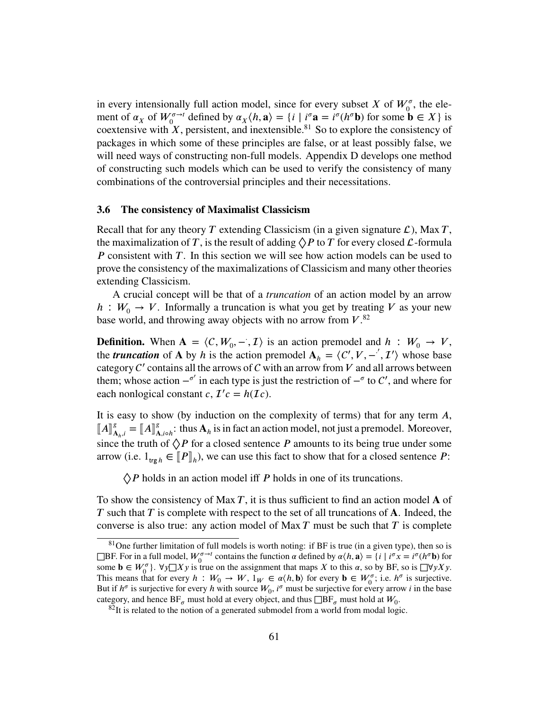in every intensionally full action model, since for every subset *X* of  $W_0^{\sigma}$ , the element of  $\alpha_X$  of  $W_0^{\sigma \to t}$  defined by  $\alpha_X \langle h, \mathbf{a} \rangle = \{i \mid i^{\sigma} \mathbf{a} = i^{\sigma} (h^{\sigma} \mathbf{b})$  for some  $\mathbf{b} \in X\}$  is coextensive with  $\hat{X}$ , persistent, and inextensible.<sup>[81](#page-60-1)</sup> So to explore the consistency of packages in which some of these principles are false, or at least possibly false, we will need ways of constructing non-full models. [Appendix D](#page-71-0) develops one method of constructing such models which can be used to verify the consistency of many combinations of the controversial principles and their necessitations.

#### <span id="page-60-0"></span>**3.6 The consistency of Maximalist Classicism**

Recall that for any theory *T* extending Classicism (in a given signature  $\mathcal{L}$ ), Max *T*, the maximalization of *T*, is the result of adding  $\Diamond P$  to *T* for every closed *L*-formula *P* consistent with *T*. In this section we will see how action models can be used to prove the consistency of the maximalizations of Classicism and many other theories extending Classicism.

A crucial concept will be that of a *truncation* of an action model by an arrow  $h: W_0 \to V$ . Informally a truncation is what you get by treating *V* as your new base world, and throwing away objects with no arrow from  $V^{82}$  $V^{82}$  $V^{82}$ .

**Definition.** When  $A = \langle C, W_0, -\overline{A} \rangle$  is an action premodel and  $h : W_0 \to V$ , the *truncation* of **A** by *h* is the action premodel  $A_h = \langle C', V, -', \mathcal{I}' \rangle$  whose base category  $C'$  contains all the arrows of  $C$  with an arrow from  $V$  and all arrows between them; whose action  $-\sigma'$  in each type is just the restriction of  $-\sigma$  to C', and where for each nonlogical constant  $c, T'c = h(\mathcal{I}c)$ .

It is easy to show (by induction on the complexity of terms) that for any term A,  $\llbracket A \rrbracket_A^g$  $\mathbf{A}_{h,i}^g = [\![A]\!]_A^g$  $\mathbf{A}_{A, \text{io}}^g$ : thus  $\mathbf{A}_h$  is in fact an action model, not just a premodel. Moreover, since the truth of  $\Diamond P$  for a closed sentence  $P$  amounts to its being true under some arrow (i.e.  $1_{\text{trg }h} \in [P]_h$ ), we can use this fact to show that for a closed sentence *P*:

 $\Diamond P$  holds in an action model iff *P* holds in one of its truncations.

To show the consistency of Max *T*, it is thus sufficient to find an action model **A** of *T* such that *T* is complete with respect to the set of all truncations of **A**. Indeed, the converse is also true: any action model of Max *𝑇* must be such that *𝑇* is complete

<span id="page-60-1"></span> $81$ One further limitation of full models is worth noting: if BF is true (in a given type), then so is **□BF.** For in a full model,  $W_0^{\sigma \to t}$  contains the function *α* defined by  $α\langle h, \mathbf{a} \rangle = \{i \mid i^\sigma x = i^\sigma (h^\sigma \mathbf{b}) \text{ for } t \in \mathbb{R}^n\}$ some  $\mathbf{b} \in W_0^{\sigma}$ .  $\forall y \Box X y$  is true on the assignment that maps *X* to this *a*, so by BF, so is  $\Box \forall y X y$ . This means that for every  $h : W_0 \to W$ ,  $1_W \in \alpha \langle h, \mathbf{b} \rangle$  for every  $\mathbf{b} \in W_0^{\sigma}$ ; i.e.  $h^{\sigma}$  is surjective. But if  $h^{\sigma}$  is surjective for every *h* with source  $W_0$ ,  $i^{\sigma}$  must be surjective for every arrow *i* in the base category, and hence  $BF_{\sigma}$  must hold at every object, and thus  $\Box BF_{\sigma}$  must hold at  $W_0$ .

<span id="page-60-2"></span> $82$ It is related to the notion of a generated submodel from a world from modal logic.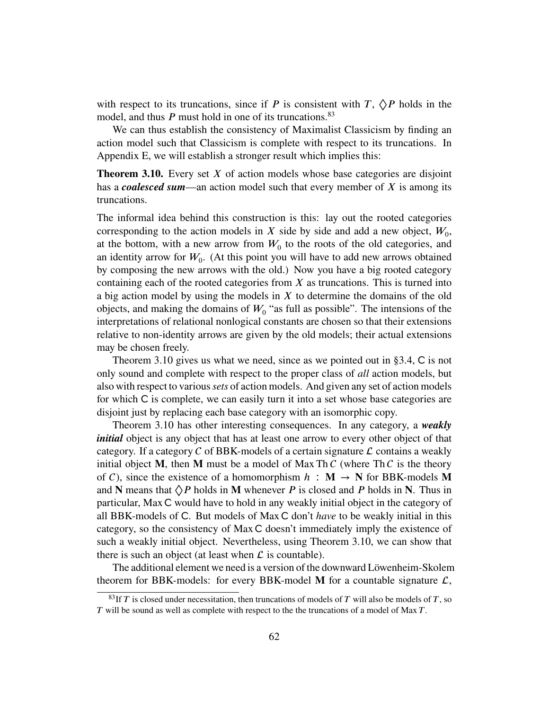with respect to its truncations, since if *P* is consistent with *T*,  $\Diamond P$  holds in the model, and thus *P* must hold in one of its truncations.<sup>[83](#page-61-0)</sup>

We can thus establish the consistency of Maximalist Classicism by finding an action model such that Classicism is complete with respect to its truncations. In [Appendix E,](#page-76-0) we will establish a stronger result which implies this:

<span id="page-61-1"></span>**Theorem 3.10.** Every set *X* of action models whose base categories are disjoint has a *coalesced sum*—an action model such that every member of X is among its truncations.

The informal idea behind this construction is this: lay out the rooted categories corresponding to the action models in  $X$  side by side and add a new object,  $W_0$ , at the bottom, with a new arrow from  $W_0$  to the roots of the old categories, and an identity arrow for  $W_0$ . (At this point you will have to add new arrows obtained by composing the new arrows with the old.) Now you have a big rooted category containing each of the rooted categories from  $X$  as truncations. This is turned into a big action model by using the models in  $X$  to determine the domains of the old objects, and making the domains of  $W_0$  "as full as possible". The intensions of the interpretations of relational nonlogical constants are chosen so that their extensions relative to non-identity arrows are given by the old models; their actual extensions may be chosen freely.

[Theorem 3.10](#page-61-1) gives us what we need, since as we pointed out in  $\S 3.4$ , C is not only sound and complete with respect to the proper class of *all* action models, but also with respect to various*sets* of action models. And given any set of action models for which  $C$  is complete, we can easily turn it into a set whose base categories are disjoint just by replacing each base category with an isomorphic copy.

[Theorem 3.10](#page-61-1) has other interesting consequences. In any category, a *weakly initial* object is any object that has at least one arrow to every other object of that category. If a category C of BBK-models of a certain signature  $\mathcal L$  contains a weakly initial object **M**, then **M** must be a model of Max Th  $C$  (where Th  $C$  is the theory of C), since the existence of a homomorphism  $h : \mathbf{M} \to \mathbf{N}$  for BBK-models M and **N** means that  $\Diamond P$  holds in **M** whenever *P* is closed and *P* holds in **N**. Thus in particular, Max C would have to hold in any weakly initial object in the category of all BBK-models of C. But models of Max C don't *have* to be weakly initial in this category, so the consistency of Max C doesn't immediately imply the existence of such a weakly initial object. Nevertheless, using [Theorem 3.10,](#page-61-1) we can show that there is such an object (at least when  $\mathcal L$  is countable).

The additional element we need is a version of the downward Löwenheim-Skolem theorem for BBK-models: for every BBK-model **M** for a countable signature  $\mathcal{L}$ ,

<span id="page-61-0"></span> $83$ If *T* is closed under necessitation, then truncations of models of *T* will also be models of *T*, so *T* will be sound as well as complete with respect to the the truncations of a model of Max *T*.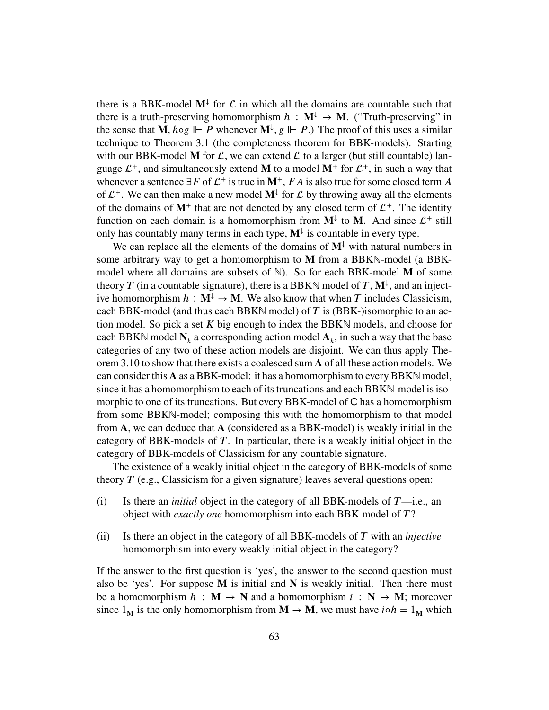there is a BBK-model  $M^{\downarrow}$  for  $\mathcal{L}$  in which all the domains are countable such that there is a truth-preserving homomorphism  $h : M^{\downarrow} \to M$ . ("Truth-preserving" in the sense that **M**,  $h \circ g \Vdash P$  whenever  $\mathbf{M}^{\downarrow}$ ,  $g \Vdash P$ .) The proof of this uses a similar technique to [Theorem 3.1](#page-43-2) (the completeness theorem for BBK-models). Starting with our BBK-model **M** for  $\mathcal{L}$ , we can extend  $\mathcal{L}$  to a larger (but still countable) language  $\mathcal{L}^+$ , and simultaneously extend **M** to a model  $M^+$  for  $\mathcal{L}^+$ , in such a way that whenever a sentence  $\exists F$  of  $\mathcal{L}^+$  is true in  $M^+$ ,  $FA$  is also true for some closed term  $A$ of  $\mathcal{L}^+$ . We can then make a new model  $\mathbf{M}^{\downarrow}$  for  $\mathcal{L}$  by throwing away all the elements of the domains of  $M^+$  that are not denoted by any closed term of  $\mathcal{L}^+$ . The identity function on each domain is a homomorphism from  $M^{\downarrow}$  to M. And since  $\mathcal{L}^+$  still only has countably many terms in each type,  $M^{\downarrow}$  is countable in every type.

We can replace all the elements of the domains of  $M^{\downarrow}$  with natural numbers in some arbitrary way to get a homomorphism to **M** from a BBKN-model (a BBKmodel where all domains are subsets of  $\mathbb{N}$ ). So for each BBK-model **M** of some theory *T* (in a countable signature), there is a BBKN model of *T*,  $M^{\downarrow}$ , and an injective homomorphism  $h : \mathbf{M}^{\downarrow} \to \mathbf{M}$ . We also know that when *T* includes Classicism, each BBK-model (and thus each BBK $\mathbb N$  model) of *T* is (BBK-)isomorphic to an action model. So pick a set *K* big enough to index the BBKℕ models, and choose for each BBK $\mathbb N$  model  $\mathbf N_k$  a corresponding action model  $\mathbf A_k$ , in such a way that the base categories of any two of these action models are disjoint. We can thus apply [The](#page-61-1)[orem 3.10](#page-61-1) to show that there exists a coalesced sum **A** of all these action models. We can consider this **A** as a BBK-model: it has a homomorphism to every BBKN model, since it has a homomorphism to each of its truncations and each BBKN-model is isomorphic to one of its truncations. But every BBK-model of  $C$  has a homomorphism from some BBKN-model; composing this with the homomorphism to that model from **A**, we can deduce that **A** (considered as a BBK-model) is weakly initial in the category of BBK-models of *𝑇* . In particular, there is a weakly initial object in the category of BBK-models of Classicism for any countable signature.

The existence of a weakly initial object in the category of BBK-models of some theory  $T$  (e.g., Classicism for a given signature) leaves several questions open:

- (i) Is there an *initial* object in the category of all BBK-models of *𝑇*—i.e., an object with *exactly one* homomorphism into each BBK-model of  $T$ ?
- (ii) Is there an object in the category of all BBK-models of *𝑇* with an *injective* homomorphism into every weakly initial object in the category?

If the answer to the first question is 'yes', the answer to the second question must also be 'yes'. For suppose  $M$  is initial and  $N$  is weakly initial. Then there must be a homomorphism  $h : \mathbf{M} \to \mathbf{N}$  and a homomorphism  $i : \mathbf{N} \to \mathbf{M}$ ; moreover since  $1_M$  is the only homomorphism from  $M \to M$ , we must have  $i \circ h = 1_M$  which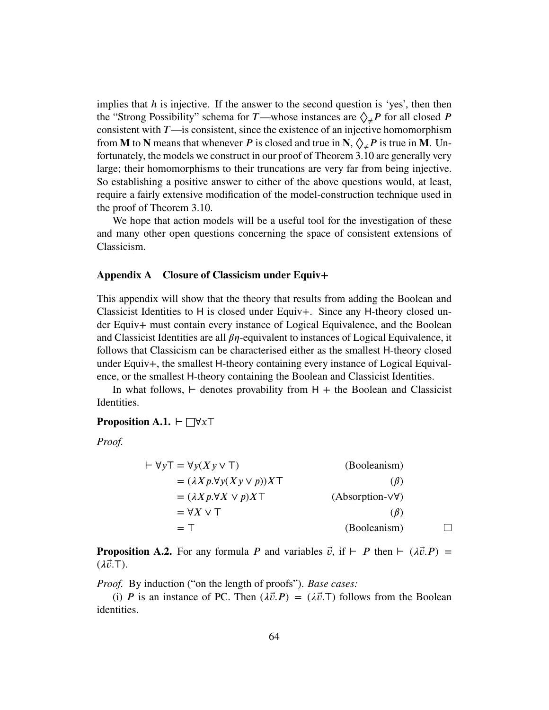implies that *h* is injective. If the answer to the second question is 'yes', then then the "Strong Possibility" schema for *T*—whose instances are  $\Diamond_{\neq} P$  for all closed *P* consistent with *T*—is consistent, since the existence of an injective homomorphism from **M** to **N** means that whenever *P* is closed and true in **N**,  $\Diamond_{\neq} P$  is true in **M**. Unfortunately, the models we construct in our proof of [Theorem 3.10](#page-61-1) are generally very large; their homomorphisms to their truncations are very far from being injective. So establishing a positive answer to either of the above questions would, at least, require a fairly extensive modification of the model-construction technique used in the proof of [Theorem 3.10.](#page-61-1)

We hope that action models will be a useful tool for the investigation of these and many other open questions concerning the space of consistent extensions of Classicism.

# **Appendix A Closure of Classicism under Equiv+**

This appendix will show that the theory that results from adding the Boolean and Classicist Identities to  $H$  is closed under Equiv+. Since any  $H$ -theory closed under Equiv+ must contain every instance of Logical Equivalence, and the Boolean and Classicist Identities are all  $\beta\eta$ -equivalent to instances of Logical Equivalence, it follows that Classicism can be characterised either as the smallest H-theory closed under Equiv+, the smallest H-theory containing every instance of Logical Equivalence, or the smallest H-theory containing the Boolean and Classicist Identities.

In what follows, *⊢* denotes provability from 𝖧 + the Boolean and Classicist Identities.

<span id="page-63-0"></span>**Proposition A.1.** *⊢* □∀*x* ⊤

*Proof.*

$$
\begin{aligned}\n\vdash \forall y \top &= \forall y (Xy \lor \top) & \text{(Booleanism)} \\
&= (\lambda Xp. \forall y (Xy \lor p)) X \top & \text{(Booleanism)} \\
&= (\lambda Xp. \forall X \lor p) X \top & \text{(Absorption-} \lor \forall) \\
&= \forall X \lor \top & \text{(Booleanism)} \\
&= \top & \text{(Booleanism)} & \Box\n\end{aligned}
$$

<span id="page-63-1"></span>**Proposition A.2.** For any formula *P* and variables  $\vec{v}$ , if  $\vdash$  *P* then  $\vdash$  ( $\lambda \vec{v}$ .*P*) = (*𝜆⃗𝑣.⊤*).

*Proof.* By induction ("on the length of proofs"). *Base cases:*

(i) *P* is an instance of PC. Then  $(\lambda \vec{v} \cdot P) = (\lambda \vec{v} \cdot \vec{v})$  follows from the Boolean identities.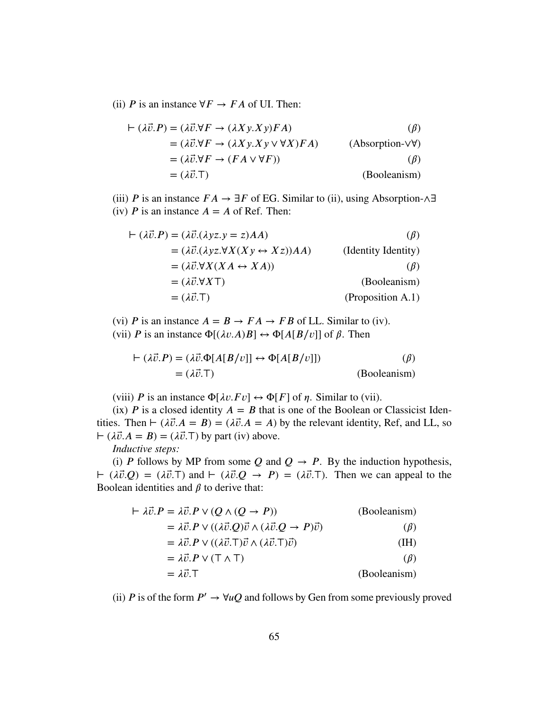(ii) *P* is an instance  $\forall F \rightarrow FA$  of UI. Then:

$$
\vdash (\lambda \vec{v}.P) = (\lambda \vec{v}. \forall F \rightarrow (\lambda Xy. Xy)FA)
$$
\n
$$
= (\lambda \vec{v}. \forall F \rightarrow (\lambda Xy. Xy \lor \forall X)FA)
$$
\n
$$
= (\lambda \vec{v}. \forall F \rightarrow (FA \lor \forall F))
$$
\n
$$
= (\lambda \vec{v}. \top)
$$
\n(Booleanism)

(iii) *P* is an instance  $FA \rightarrow \exists F$  of EG. Similar to (ii), using Absorption-∧∃ (iv) *P* is an instance  $A = A$  of Ref. Then:

$$
\vdash (\lambda \vec{v}.P) = (\lambda \vec{v}.(\lambda yz.y = z)AA)
$$
\n
$$
= (\lambda \vec{v}.(\lambda yz.\forall X(Xy \leftrightarrow Xz))AA)
$$
\n
$$
= (\lambda \vec{v}.\forall X(XA \leftrightarrow XA))
$$
\n
$$
= (\lambda \vec{v}.\forall XT)
$$
\n
$$
= (\lambda \vec{v}.\top)
$$
\n
$$
(Booleanism)
$$
\n
$$
= (\lambda \vec{v}.\top)
$$
\n
$$
(Proposition A.1)
$$

(vi) *P* is an instance  $A = B \rightarrow FA \rightarrow FB$  of LL. Similar to (iv). (vii) *P* is an instance  $\Phi[(\lambda v.A)B] \leftrightarrow \Phi[A[B/v]]$  of  $\beta$ . Then

$$
\vdash (\lambda \vec{v}.P) = (\lambda \vec{v}.\Phi[A[B/v]] \leftrightarrow \Phi[A[B/v]]) \tag{Booleanism}
$$
\n
$$
= (\lambda \vec{v}.\top)
$$

(viii) *P* is an instance  $\Phi[\lambda v.Fv] \leftrightarrow \Phi[F]$  of *n*. Similar to (vii).

(ix) *P* is a closed identity  $A = B$  that is one of the Boolean or Classicist Identities. Then *⊢* ( $\lambda \vec{v} \cdot A = B$ ) = ( $\lambda \vec{v} \cdot A = A$ ) by the relevant identity, Ref, and LL, so *⊢* ( $\lambda \vec{v} \cdot A = B$ ) = ( $\lambda \vec{v} \cdot T$ ) by part (iv) above.

*Inductive steps:*

(i) *P* follows by MP from some *Q* and  $Q \rightarrow P$ . By the induction hypothesis, *<i>⊢* ( $\lambda \vec{v}$ , $Q$ ) = ( $\lambda \vec{v}$ , $T$ ) and *⊢* ( $\lambda \vec{v}$ , $Q$  →  $P$ ) = ( $\lambda \vec{v}$ , $T$ ). Then we can appeal to the Boolean identities and  $\beta$  to derive that:

$$
\vdash \lambda \vec{v}.P = \lambda \vec{v}.P \lor (Q \land (Q \rightarrow P))
$$
 (Booleanism)  
\n
$$
= \lambda \vec{v}.P \lor ((\lambda \vec{v}.Q)\vec{v} \land (\lambda \vec{v}.Q \rightarrow P)\vec{v})
$$
 (Booleanism)  
\n
$$
= \lambda \vec{v}.P \lor ((\lambda \vec{v}.T)\vec{v} \land (\lambda \vec{v}.T)\vec{v})
$$
 (IH)  
\n
$$
= \lambda \vec{v}.P \lor (T \land T)
$$
 (Booleanism)  
\n
$$
= \lambda \vec{v}.T
$$
 (Booleanism)

(ii) *P* is of the form  $P' \to \forall uQ$  and follows by Gen from some previously proved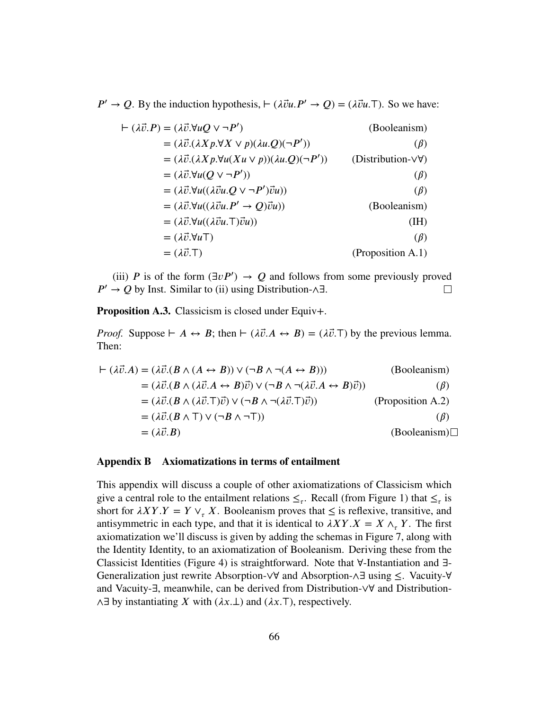*<i>P***<sup>'</sup>** → *Q*. By the induction hypothesis,  $\vdash (\lambda \vec{v}u \cdot \vec{P} \cdot \rightarrow Q) = (\lambda \vec{v}u \cdot \vec{P})$ . So we have:

| $\vdash (\lambda \vec{v} \cdot P) = (\lambda \vec{v} \cdot \forall u Q \vee \neg P')$ | (Booleanism)                       |
|---------------------------------------------------------------------------------------|------------------------------------|
| $= (\lambda \vec{v}.(\lambda X p. \forall X \vee p)(\lambda u. Q)(\neg P'))$          | $(\beta)$                          |
| $= (\lambda \vec{v}.(\lambda X p. \forall u(Xu \lor p))(\lambda u. Q)(\neg P'))$      | (Distribution- $\forall \forall$ ) |
| $= (\lambda \vec{v}.\forall u(Q \vee \neg P'))$                                       | $(\beta)$                          |
| $= (\lambda \vec{v}.\forall u((\lambda \vec{v}u.Q \vee \neg P')\vec{v}u))$            | $(\beta)$                          |
| $= (\lambda \vec{v}.\forall u((\lambda \vec{v}u.P' \rightarrow Q)\vec{v}u))$          | (Booleanism)                       |
| $= (\lambda \vec{v}.\forall u((\lambda \vec{v}u.\top)\vec{v}u))$                      | (IH)                               |
| $= (\lambda \vec{v}.\forall u \top)$                                                  | $(\beta)$                          |
| $= (\lambda \vec{v}.\mathsf{T})$                                                      | (Proposition A.1)                  |

(iii) *P* is of the form ( $\exists v P'$ )  $\rightarrow Q$  and follows from some previously proved *P'* → *Q* by Inst. Similar to (ii) using Distribution-∧∃.  $\Box$ 

**Proposition A.3.** Classicism is closed under Equiv+.

*Proof.* Suppose  $\vdash A \leftrightarrow B$ ; then  $\vdash (\lambda \vec{v}.A \leftrightarrow B) = (\lambda \vec{v}.T)$  by the previous lemma. Then:

$$
\vdash (\lambda \vec{v}.A) = (\lambda \vec{v}.(B \land (A \leftrightarrow B)) \lor (\neg B \land \neg (A \leftrightarrow B)))
$$
(Booleanism)  
\n
$$
= (\lambda \vec{v}.(B \land (\lambda \vec{v}.A \leftrightarrow B)\vec{v}) \lor (\neg B \land \neg (\lambda \vec{v}.A \leftrightarrow B)\vec{v}))
$$
( $\beta$ )  
\n
$$
= (\lambda \vec{v}.(B \land (\lambda \vec{v}.\top)\vec{v}) \lor (\neg B \land \neg (\lambda \vec{v}.\top)\vec{v}))
$$
(Proposition A.2)  
\n
$$
= (\lambda \vec{v}.(B \land \top) \lor (\neg B \land \neg \top))
$$
( $\beta$ )  
\n
$$
= (\lambda \vec{v}.B)
$$
(Booleanism) $\square$ 

### **Appendix B Axiomatizations in terms of entailment**

This appendix will discuss a couple of other axiomatizations of Classicism which give a central role to the entailment relations  $\leq_{\tau}$ . Recall (from [Figure 1\)](#page-5-0) that  $\leq_{\tau}$  is short for  $\lambda XY.Y = Y \vee_{\tau} X$ . Booleanism proves that  $\leq$  is reflexive, transitive, and antisymmetric in each type, and that it is identical to  $\lambda XY.X = X \wedge_{\tau} Y$ . The first axiomatization we'll discuss is given by adding the schemas in [Figure 7,](#page-66-0) along with the Identity Identity, to an axiomatization of Booleanism. Deriving these from the Classicist Identities [\(Figure 4\)](#page-12-0) is straightforward. Note that ∀-Instantiation and ∃- Generalization just rewrite Absorption-∨∀ and Absorption-∧∃ using ≤. Vacuity-∀ and Vacuity-∃, meanwhile, can be derived from Distribution-∨∀ and Distribution- ∧∃ by instantiating *𝑋* with (*𝜆𝑥.⊥*) and (*𝜆𝑥.⊤*), respectively.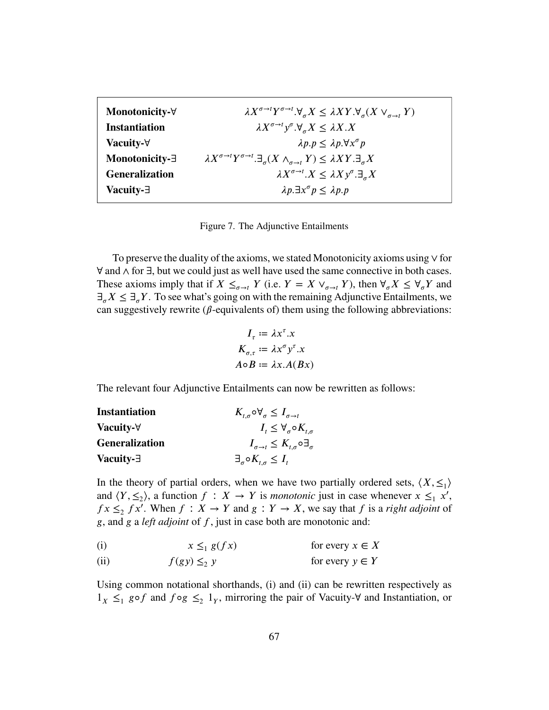<span id="page-66-0"></span>

| $\lambda X^{\sigma \to t} Y^{\sigma \to t}.\forall_{\sigma} X \leq \lambda XY.\forall_{\sigma} (X \vee_{\sigma \to t} Y)$               |
|-----------------------------------------------------------------------------------------------------------------------------------------|
| $\lambda X^{\sigma \to t} y^{\sigma}.\forall_{\sigma} X \leq \lambda X.X$                                                               |
| $\lambda p.p \leq \lambda p. \forall x^{\sigma} p$                                                                                      |
| $\lambda X^{\sigma \to t} Y^{\sigma \to t} \cdot \exists_{\sigma} (X \wedge_{\sigma \to t} Y) \leq \lambda XY \cdot \exists_{\sigma} X$ |
| $\lambda X^{\sigma\rightarrow t}.X \leq \lambda X y^{\sigma}.\exists_{\sigma} X$                                                        |
| $\lambda p. \exists x^{\sigma} p \leq \lambda p. p$                                                                                     |
|                                                                                                                                         |

Figure 7. The Adjunctive Entailments

To preserve the duality of the axioms, we stated Monotonicity axioms using ∨ for ∀ and ∧ for ∃, but we could just as well have used the same connective in both cases. These axioms imply that if  $X \leq_{\sigma \to t} Y$  (i.e.  $Y = X \vee_{\sigma \to t} Y$ ), then  $\forall_{\sigma} X \leq \forall_{\sigma} Y$  and ∃*𝜎𝑋* ≤ ∃*𝜎𝑌* . To see what's going on with the remaining Adjunctive Entailments, we can suggestively rewrite ( $\beta$ -equivalents of) them using the following abbreviations:

$$
I_{\tau} := \lambda x^{\tau}.x
$$
  
\n
$$
K_{\sigma,\tau} := \lambda x^{\sigma} y^{\tau}.x
$$
  
\n
$$
A \circ B := \lambda x.A(Bx)
$$

The relevant four Adjunctive Entailments can now be rewritten as follows:

| <b>Instantiation</b>  | $K_{t,\sigma} \circ \forall_{\sigma} \leq I_{\sigma \to t}$ |
|-----------------------|-------------------------------------------------------------|
| Vacuity-∀             | $I_t \leq \forall_{\sigma} \circ K_{t,\sigma}$              |
| <b>Generalization</b> | $I_{\sigma \to t}$ ≤ $K_{t,\sigma}$ 0∃ $_{\sigma}$          |
| Vacuity-∃             | $\exists_{\sigma} \circ K_{t,\sigma} \leq I_t$              |

In the theory of partial orders, when we have two partially ordered sets,  $\langle X, \leq_1 \rangle$ and  $\langle Y, \leq_2 \rangle$ , a function  $f : X \to Y$  is *monotonic* just in case whenever  $x \leq_1 x'$ ,  $fx \leq f^2 x'$ . When  $f : X \to Y$  and  $g : Y \to X$ , we say that  $f$  is a *right adjoint* of *𝑔*, and *𝑔* a *left adjoint* of *𝑓*, just in case both are monotonic and:

<span id="page-66-1"></span> $x \leq_1 g(fx)$ (i)  $x \leq_1 g(fx)$  for every  $x \in X$ 

<span id="page-66-2"></span> $f(gy) \leq_2 y$ (ii)  $f(gy) \leq y$  for every  $y \in Y$ 

Using common notational shorthands, [\(i\)](#page-66-1) and [\(ii\)](#page-66-2) can be rewritten respectively as  $1_X$  ≤<sub>1</sub> go *f* and  $f \circ g$  ≤<sub>2</sub> 1<sub>*Y*</sub>, mirroring the pair of Vacuity- $\forall$  and Instantiation, or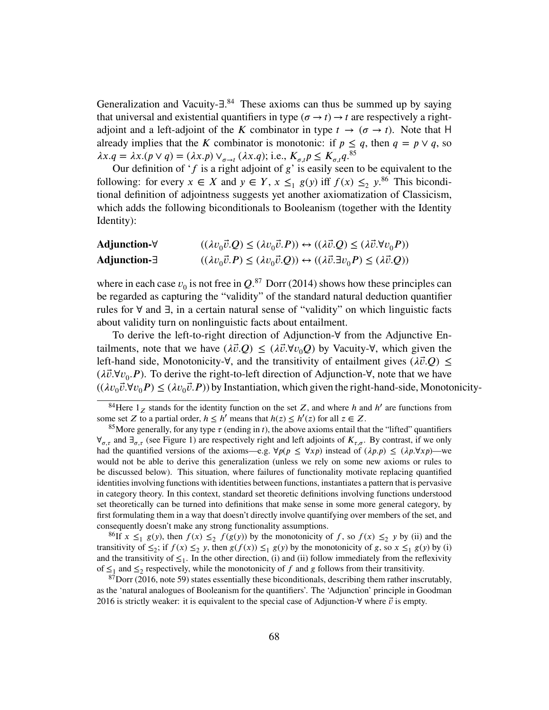Generalization and Vacuity-∃.<sup>[84](#page-67-0)</sup> These axioms can thus be summed up by saying that universal and existential quantifiers in type ( $\sigma \rightarrow t$ )  $\rightarrow t$  are respectively a rightadjoint and a left-adjoint of the *K* combinator in type  $t \to (\sigma \to t)$ . Note that H already implies that the *K* combinator is monotonic: if  $p \leq q$ , then  $q = p \vee q$ , so  $\lambda x.q = \lambda x.(p \vee q) = (\lambda x.p) \vee_{\sigma \to t} (\lambda x.q);$  i.e.,  $K_{\sigma,t} p \le K_{\sigma,t} q.^{85}$  $K_{\sigma,t} p \le K_{\sigma,t} q.^{85}$  $K_{\sigma,t} p \le K_{\sigma,t} q.^{85}$ 

Our definition of ' $f$ <sup>is a right adjoint of  $g'$  is easily seen to be equivalent to the</sup> following: for every  $x \in X$  and  $y \in Y$ ,  $x \leq_1 g(y)$  iff  $f(x) \leq_2 y$ .<sup>[86](#page-67-2)</sup> This biconditional definition of adjointness suggests yet another axiomatization of Classicism, which adds the following biconditionals to Booleanism (together with the Identity Identity):

| Adjunction-∀ | $((\lambda v_0 \vec{v} \cdot Q) \le (\lambda v_0 \vec{v} \cdot P)) \leftrightarrow ((\lambda \vec{v} \cdot Q) \le (\lambda \vec{v} \cdot \forall v_0 P))$ |
|--------------|-----------------------------------------------------------------------------------------------------------------------------------------------------------|
| Adjunction-∃ | $((\lambda v_0 \vec{v}.P) \le (\lambda v_0 \vec{v}.Q)) \leftrightarrow ((\lambda \vec{v}.\exists v_0 P) \le (\lambda \vec{v}.Q))$                         |

where in each case  $v_0$  is not free in  $Q$ .<sup>[87](#page-67-3)</sup> Dorr [\(2014\)](#page-82-3) shows how these principles can be regarded as capturing the "validity" of the standard natural deduction quantifier rules for ∀ and ∃, in a certain natural sense of "validity" on which linguistic facts about validity turn on nonlinguistic facts about entailment.

To derive the left-to-right direction of Adjunction-∀ from the Adjunctive Entailments, note that we have  $(\lambda \vec{v} \cdot Q) \leq (\lambda \vec{v} \cdot \forall v_0 Q)$  by Vacuity- $\forall$ , which given the left-hand side, Monotonicity- $\forall$ , and the transitivity of entailment gives ( $\lambda \vec{v}$ . $Q$ ) ≤ (*𝜆⃗𝑣.*∀*𝑣*<sup>0</sup> *.𝑃* ). To derive the right-to-left direction of Adjunction-∀, note that we have  $((\lambda v_0 \vec{v} \cdot \forall v_0 P) \le (\lambda v_0 \vec{v} \cdot P))$  by Instantiation, which given the right-hand-side, Monotonicity-

<span id="page-67-2"></span><sup>86</sup>If  $x \leq_1 g(y)$ , then  $f(x) \leq_2 f(g(y))$  by the monotonicity of *f*, so  $f(x) \leq_2 y$  by (ii) and the transitivity of  $\leq_2$ ; if  $f(x) \leq_2 y$ , then  $g(f(x)) \leq_1 g(y)$  by the monotonicity of  $g$ , so  $x \leq_1 g(y)$  by (i) and the transitivity of  $\leq_1$ . In the other direction, (i) and (ii) follow immediately from the reflexivity of  $\leq_1$  and  $\leq_2$  respectively, while the monotonicity of f and g follows from their transitivity.

<span id="page-67-3"></span> $87$ Dorr [\(2016,](#page-82-1) note 59) states essentially these biconditionals, describing them rather inscrutably, as the 'natural analogues of Booleanism for the quantifiers'. The 'Adjunction' principle in Goodman [2016](#page-83-6) is strictly weaker: it is equivalent to the special case of Adjunction- $\forall$  where  $\vec{v}$  is empty.

<span id="page-67-0"></span><sup>84</sup>Here 1*<sup>𝑍</sup>* stands for the identity function on the set *𝑍*, and where *ℎ* and *ℎ* ′ are functions from some set *Z* to a partial order,  $h \leq h'$  means that  $h(z) \leq h'(z)$  for all  $z \in Z$ .

<span id="page-67-1"></span><sup>&</sup>lt;sup>85</sup>More generally, for any type  $\tau$  (ending in *t*), the above axioms entail that the "lifted" quantifiers ∀*𝜎,𝜏* and ∃*𝜎,𝜏* (see [Figure 1\)](#page-5-0) are respectively right and left adjoints of *𝐾𝜏,𝜎*. By contrast, if we only had the quantified versions of the axioms—e.g.  $\forall p(p \leq \forall x p)$  instead of  $(\lambda p.p) \leq (\lambda p.\forall x p)$ —we would not be able to derive this generalization (unless we rely on some new axioms or rules to be discussed below). This situation, where failures of functionality motivate replacing quantified identities involving functions with identities between functions, instantiates a pattern that is pervasive in category theory. In this context, standard set theoretic definitions involving functions understood set theoretically can be turned into definitions that make sense in some more general category, by first formulating them in a way that doesn't directly involve quantifying over members of the set, and consequently doesn't make any strong functionality assumptions.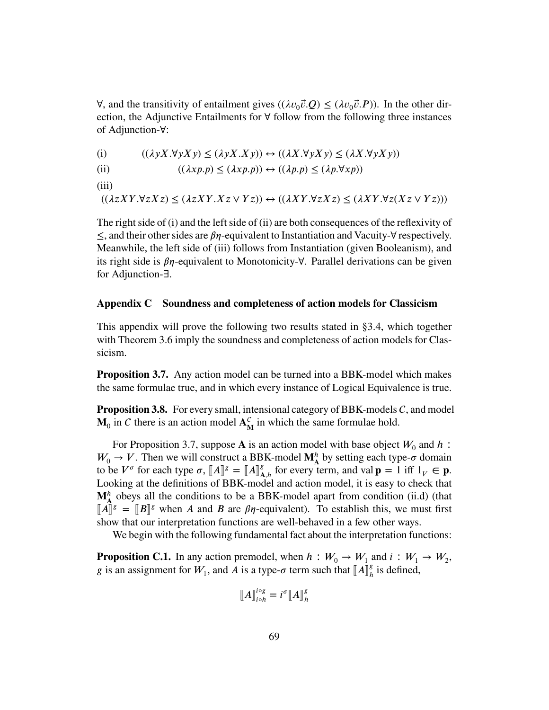∀, and the transitivity of entailment gives  $((\lambda v_0 \vec{v} \cdot \vec{Q}) \le (\lambda v_0 \vec{v} \cdot \vec{P}))$ . In the other direction, the Adjunctive Entailments for ∀ follow from the following three instances of Adjunction-∀:

(i) 
$$
((\lambda y X. \forall y X y) \le (\lambda y X. X y)) \leftrightarrow ((\lambda X. \forall y X y) \le (\lambda X. \forall y X y))
$$

- (ii)  $((\lambda x p.p) \leq (\lambda x p.p)) \leftrightarrow ((\lambda p.p) \leq (\lambda p.\forall x p))$
- (iii)

 $((\lambda zXY. \forall z Xz) \leq (\lambda zXY. Xz \vee Yz)) \leftrightarrow ((\lambda XY. \forall z Xz) \leq (\lambda XY. \forall z (Xz \vee Yz)))$ 

The right side of (i) and the left side of (ii) are both consequences of the reflexivity of ≤, and their other sides are *𝛽𝜂*-equivalent to Instantiation and Vacuity-∀ respectively. Meanwhile, the left side of (iii) follows from Instantiation (given Booleanism), and its right side is *𝛽𝜂*-equivalent to Monotonicity-∀. Parallel derivations can be given for Adjunction-∃.

# <span id="page-68-0"></span>**Appendix C Soundness and completeness of action models for Classicism**

This appendix will prove the following two results stated in [§3.4,](#page-51-0) which together with [Theorem 3.6](#page-49-1) imply the soundness and completeness of action models for Classicism.

**[Proposition 3.7.](#page-55-0)** Any action model can be turned into a BBK-model which makes the same formulae true, and in which every instance of Logical Equivalence is true.

**[Proposition 3.8.](#page-56-1)** For every small, intensional category of BBK-models  $C$ , and model  $\mathbf{M}_0$  in C there is an action model  $\mathbf{A}_{\mathbf{N}}^C$  $\frac{C}{M}$  in which the same formulae hold.

For [Proposition 3.7,](#page-55-0) suppose **A** is an action model with base object  $W_0$  and  $h$ :  $W_0 \rightarrow V$ . Then we will construct a BBK-model  $M_A^h$  by setting each type- $\sigma$  domain to be  $V^{\sigma}$  for each type  $\sigma$ ,  $[[A]]^{g} = [[A]]_{A,h}^{g}$  for every term, and val  $\mathbf{p} = 1$  iff  $1_V \in \mathbf{p}$ .<br>Looking at the definitions of **BBK** model and estion model, it is easy to shock that Looking at the definitions of BBK-model and action model, it is easy to check that  $\mathbf{M}_{\mathbf{A}}^{h}$  obeys all the conditions to be a BBK-model apart from condition [\(ii.d\)](#page-42-1) (that  $\llbracket A \rrbracket^g = \llbracket B \rrbracket^g$  when *A* and *B* are  $\beta \eta$ -equivalent). To establish this, we must first show that our interpretation functions are well behaved in a few other wave show that our interpretation functions are well-behaved in a few other ways.

We begin with the following fundamental fact about the interpretation functions:

<span id="page-68-1"></span>**Proposition C.1.** In any action premodel, when  $h: W_0 \to W_1$  and  $i: W_1 \to W_2$ , *g* is an assignment for  $W_1$ , and  $\overline{A}$  is a type- $\sigma$  term such that  $\llbracket A \rrbracket_h^g$  $\frac{g}{h}$  is defined,

$$
\llbracket A \rrbracket_{i \circ h}^{i \circ g} = i^{\sigma} \llbracket A \rrbracket_h^g
$$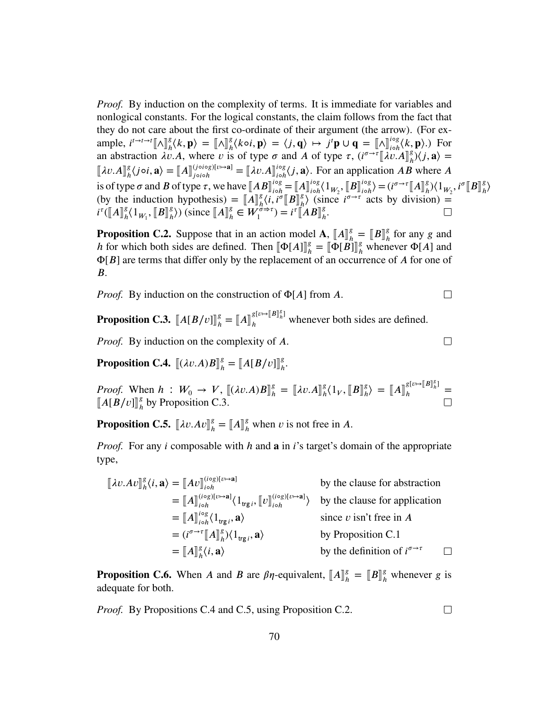*Proof.* By induction on the complexity of terms. It is immediate for variables and nonlogical constants. For the logical constants, the claim follows from the fact that they do not care about the first co-ordinate of their argument (the arrow). (For example,  $i^{t \to t \to t} [\![ \wedge ]\!]_h^g$  $\binom{g}{h} \langle k, \mathbf{p} \rangle = [\![ \wedge ]\!]_h^g$  $\frac{g}{h}\langle k \circ i, \mathbf{p} \rangle = \langle j, \mathbf{q} \rangle \mapsto j^t \mathbf{p} \cup \mathbf{q} = [\![\Lambda]\!]_{\text{coh}}^{\text{log}}$ *𝑖*◦*ℎ* ⟨*𝑘,* **𝐩**⟩.) For an abstraction  $\lambda v.A$ , where *v* is of type  $\sigma$  and *A* of type  $\tau$ ,  $(i^{\sigma \to \tau} \llbracket \lambda v.A \rrbracket_h^g)$  $_{h}^{g}$  $\rangle\langle j,\mathbf{a}\rangle=$  $\llbracket \lambda v \cdot A \rrbracket^g_h$  $\binom{g}{h} \langle j \circ i, \mathbf{a} \rangle = [\![A]\!]^{(j \circ i \circ g)[v \mapsto \mathbf{a}]}_{j \circ i \circ h}$  $\begin{bmatrix} (j \circ i \circ g)[v \mapsto \mathbf{a}] \ i \circ j \end{bmatrix} = \begin{bmatrix} \lambda v. A \end{bmatrix} \begin{bmatrix} i \circ g \ i \circ h \end{bmatrix}$ <sup>*i*og</sup><sub>*i*</sub> $\delta$ *j*, **a**). For an application *AB* where *A* is of type  $\sigma$  and  $\vec{B}$  of type  $\tau$ , we have  $\llbracket AB \rrbracket_{i \circ h}^{i \circ g}$ <br>(by the induction hypothesis)  $\pi \llbracket AB \rrbracket_{i \circ h}^{g}$  $\iota_{i \circ h}^{i \circ g} = [A]_{i \circ h}^{i \circ g}$ <br>  $\iota_{i}^{g}$   $[B]_{i \circ h}^{g}$  $\iota^{i \circ g}_{i \circ h} \langle 1_{W_2}, [B]_{i \circ h}^{i \circ g}$  $\langle i \circ \rho \rangle = (i^{\sigma \to \tau} [A]_h^g)$  $\binom{g}{h} \langle 1_{W_2}, i^{\sigma} [B]_h^g$ *ℎ* ⟩ (by the induction hypothesis) =  $\llbracket A \rrbracket_s^g$ <br>  $\pi f \llbracket A \rrbracket_s^g / 1$   $\llbracket R \rrbracket_s^g$   $\llbracket A \rrbracket_s^g \llbracket A \rrbracket_s^g \llbracket W^g$  $\begin{array}{l} {g\atop h}\langle i,i^{\sigma}\llbracket B\rrbracket^g\ {g\rightarrow\tau}\setminus\ =\ i^{\tau}\llbracket\ \end{array}$  $\binom{g}{h}$  (since  $i^{\sigma \to \tau}$  acts by division) =  $i^{\tau}$ <sup>(</sup>[ $A$ ] $_A^g$  $\frac{g}{h} \langle 1_{W_1}, \llbracket B \rrbracket^g_h$  $\binom{g}{h}$ ) (since  $\llbracket A \rrbracket_h^g$  $\mathbf{A}_{h}^{\mathcal{B}} \in W_{1}^{\sigma \Rightarrow \tau}$  $= i^{\tau} [AB]_{h}^{\mathcal{B}}$ *ℎ* .

 $\Box$ 

 $\Box$ 

 $\Box$ 

<span id="page-69-3"></span>**Proposition C.2.** Suppose that in an action model **A**,  $[A]_h^g$ ,  $\boldsymbol{A}$  for which heth sides are defined. Then  $\boldsymbol{A}$   $\boldsymbol{A}$   $\boldsymbol{A}$  $\boldsymbol{B}$ <sup>g</sup>  $\boldsymbol{A}$   $\boldsymbol{A}$  $\boldsymbol{B}$ <sup>g</sup>  $\boldsymbol{A}$   $\boldsymbol{A}$  $\mathbf{B}_{h}^{\text{g}} = \llbracket B \rrbracket_{h}^{\text{g}}$ *ℎ* for any *𝑔* and *h* for which both sides are defined. Then  $[\Phi[A]]_h^s$ <br>  $\Phi[B]$  are terms that differ only by the replacement  $\Phi_h^g = [\![\Phi[\mathbf{B}]\!]_h^g$  whenever  $\Phi[A]$  and Φ[*𝐵*] are terms that differ only by the replacement of an occurrence of *𝐴* for one of *B*.

*Proof.* By induction on the construction of Φ[*A*] from *A*.

<span id="page-69-0"></span>**Proposition C.3.**  $\llbracket A[B/v] \rrbracket_h^g$  $\mathbf{B}_{h}^{g} = [\![A]\!]_{h}^{g[\![U \mapsto [\![B]\!]_{h}^{g}]}$  whenever both sides are defined.

*Proof.* By induction on the complexity of A.

<span id="page-69-1"></span>**Proposition C.4.**  $[(\lambda v.A)B]_h^g$  $\binom{g}{h} = \left[ \frac{A[B/v]}{h} \right]_h^g$ *ℎ* .

*Proof.* When  $h: W_0 \to V$ ,  $[(\lambda v.A)B]_h^s$ <br> $\llbracket A \mid B \mid v \rrbracket$  by Proposition C 3  $\mathbf{A}^g_h = [\![\lambda v. A]\!]^g_h$  $\frac{g}{h} \langle 1_V, \llbracket B \rrbracket^g_h$  $\binom{g}{h}$  =  $\llbracket A \rrbracket^{\mathcal{S}[\nu \mapsto \llbracket B \rrbracket^{\mathcal{S}}_h]}$  $h^{b}$   $h^{b}$   $=$  $\llbracket A[B/v] \rrbracket_h^g$  $\frac{g}{h}$  by [Proposition C.3.](#page-69-0)

<span id="page-69-2"></span>**Proposition C.5.**  $[\![\lambda v. A v]\!]_h^s$  $\binom{g}{h} = [A]_h^g$  when *v* is not free in *A*.

*Proof.* For any *i* composable with *h* and **a** in *i*'s target's domain of the appropriate type,

$$
\begin{aligned}\n[\lambda v. A v]_{h}^{g}(i, \mathbf{a}) &= [A v]_{\text{io}}^{\text{(iog)[v \rightarrow \mathbf{a}]}} \qquad \text{by the clause for abstraction} \\
&= [A]_{\text{io}}^{\text{(iog)[v \rightarrow \mathbf{a}]}} \langle 1_{\text{trg } i}, [v]_{\text{io } h}^{\text{(iog)[v \rightarrow \mathbf{a}]}} \rangle \qquad \text{by the clause for application} \\
&= [A]_{\text{io } h}^{\text{io } g} \langle 1_{\text{trg } i}, \mathbf{a} \rangle \qquad \text{since } v \text{ isn't free in } A \\
&= (i^{\sigma \rightarrow \tau} [A]_{h}^{g} \rangle \langle 1_{\text{trg } i}, \mathbf{a} \rangle \qquad \text{by Proposition C.1} \\
&= [A]_{h}^{g} \langle i, \mathbf{a} \rangle \qquad \text{by the definition of } i^{\sigma \rightarrow \tau} \qquad \Box\n\end{aligned}
$$

**Proposition C.6.** When *A* and *B* are  $\beta\eta$ -equivalent,  $[A]_h^g$  $\binom{g}{h} = \left[\!\left[ B \right] \!\right]_h^g$  whenever *g* is adequate for both.

*Proof.* By Propositions [C.4](#page-69-1) and [C.5,](#page-69-2) using [Proposition C.2.](#page-69-3)

70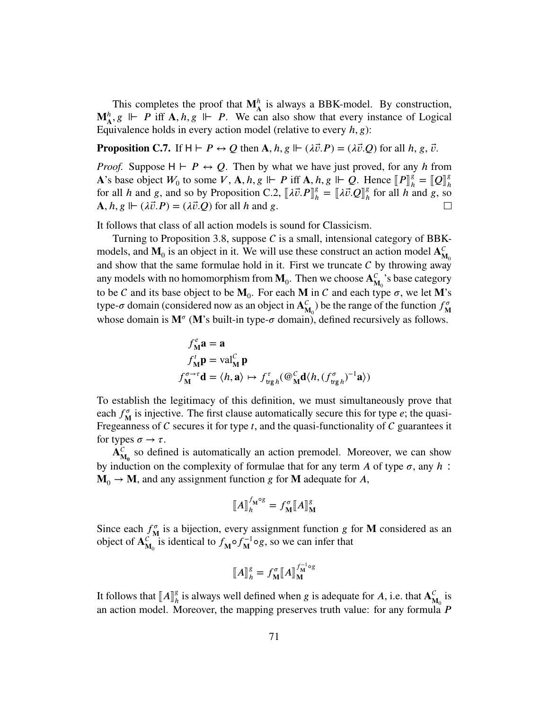This completes the proof that  $M_A^h$  is always a BBK-model. By construction,  $\mathbf{M}_{\mathbf{A}}^h$ ,  $g \Vdash P$  iff  $\mathbf{A}, h, g \Vdash P$ . We can also show that every instance of Logical Equivalence holds in every action model (relative to every *h*, *g*):

**Proposition C.7.** If  $H \vdash P \leftrightarrow Q$  then  $A, h, g \Vdash (\lambda \vec{v}.P) = (\lambda \vec{v}.Q)$  for all  $h, g, \vec{v}$ .

*Proof.* Suppose  $H \vdash P \leftrightarrow Q$ . Then by what we have just proved, for any *h* from **A**'s base object  $W_0$  to some  $V$ ,  $\mathbf{A}$ ,  $h$ ,  $g \Vdash P$  iff  $\mathbf{A}$ ,  $h$ ,  $g \Vdash Q$ . Hence  $\lbrack\lbrack P \rbrack^g_h$ <br>for all  $h$  and  $g$  and so by Proposition  $C$ ,  $2 \rbrack$  if  $\overline{P} \rbrack^g = \rbrack 1$ ,  $\overline{P} \rbrack^g$  for all  $h$   $\mathbf{g}_h^g = \llbracket \mathbf{Q} \rrbracket_h^g$ *ℎ* for all *h* and *g*, and so by [Proposition C.2,](#page-69-3)  $[\![\lambda \vec{v} \cdot P]\!]_h^g$  $\mathbf{A}^g_h = [\![\lambda \vec{v} \cdot \mathbf{Q}]\!]^g_h$ *ℎ* for all *ℎ* and *𝑔*, so  $\mathbf{A}, h, g \Vdash (\lambda \vec{v}.P) = (\lambda \vec{v}.Q)$  for all *h* and *g*.  $\Box$ 

It follows that class of all action models is sound for Classicism.

Turning to [Proposition 3.8,](#page-56-1) suppose  $C$  is a small, intensional category of BBKmodels, and  $M_0$  is an object in it. We will use these construct an action model  $A_N^C$  $\mathbf{M}_0$ and show that the same formulae hold in it. First we truncate  $C$  by throwing away any models with no homomorphism from  $M_0$ . Then we choose  $A_N^C$  $\frac{C}{M_0}$ 's base category to be C and its base object to be  $M_0$ . For each M in C and each type  $\sigma$ , we let M's type- $\sigma$  domain (considered now as an object in  $A_{\mu}^{C}$  $\binom{C}{M_0}$  be the range of the function  $f^{\sigma}_{M_0}$  $\bf{M}$ whose domain is  $M^{\sigma}$  (M's built-in type- $\sigma$  domain), defined recursively as follows.

$$
f_{\mathbf{M}}^e \mathbf{a} = \mathbf{a}
$$
  
\n
$$
f_{\mathbf{M}}^t \mathbf{p} = \text{val}_{\mathbf{M}}^C \mathbf{p}
$$
  
\n
$$
f_{\mathbf{M}}^{\sigma \to \tau} \mathbf{d} = \langle h, \mathbf{a} \rangle \mapsto f_{\text{trg}}^{\tau}{}_{h}(\mathcal{Q}_{\mathbf{M}}^C \mathbf{d} \langle h, (f_{\text{trg}}^{\sigma}{}_{h})^{-1} \mathbf{a} \rangle)
$$

To establish the legitimacy of this definition, we must simultaneously prove that each  $f_{\rm M}^{\sigma}$  $\frac{\sigma}{M}$  is injective. The first clause automatically secure this for type  $e$ ; the quasi-Fregeanness of  $C$  secures it for type  $t$ , and the quasi-functionality of  $C$  guarantees it for types  $\sigma \rightarrow \tau$ .

 $\mathbf{A}_{\mathbf{A}}^{\mathbf{C}}$  $\epsilon_{\mathbf{M_0}}$  so defined is automatically an action premodel. Moreover, we can show by induction on the complexity of formulae that for any term  $\vec{A}$  of type  $\sigma$ , any  $\vec{h}$ :  $\mathbf{M}_{0} \rightarrow \mathbf{M}$ , and any assignment function *g* for **M** adequate for *A*,

$$
\llbracket A \rrbracket_h^{f_{\mathbf{M}} \circ g} = f_{\mathbf{M}}^{\sigma} \llbracket A \rrbracket_{\mathbf{M}}^g
$$

Since each  $f_{\rm M}^{\sigma}$  $\frac{\sigma}{M}$  is a bijection, every assignment function *g* for **M** considered as an object of  $\overrightarrow{A_N^c}$  $\frac{c}{M_0}$  is identical to  $f_M \circ f_M^{-1}$  $\mathbf{M}^{-1}$  og, so we can infer that

$$
\llbracket A \rrbracket_h^g = f_{\mathbf{M}}^{\sigma} \llbracket A \rrbracket_{\mathbf{M}}^{f_{\mathbf{M}}^{-1} \circ g}
$$

It follows that  $\llbracket A \rrbracket_h^g$  $\frac{g}{h}$  is always well defined when *g* is adequate for *A*, i.e. that  $A_N^C$  $\frac{c}{M_0}$  is an action model. Moreover, the mapping preserves truth value: for any formula *P*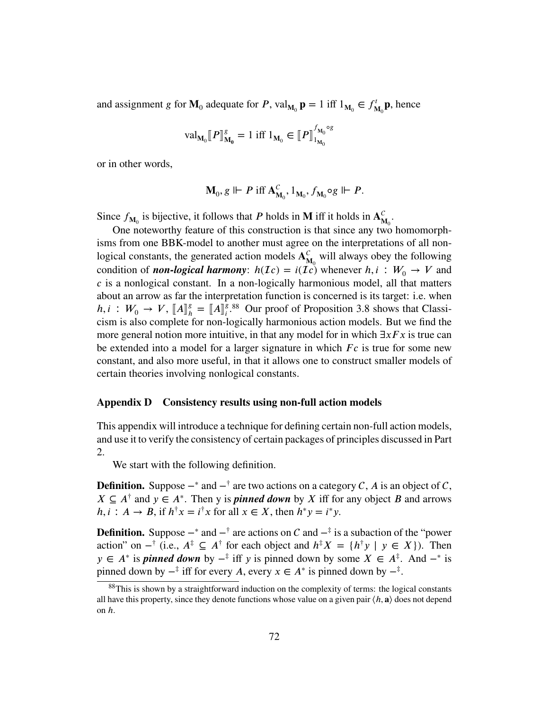and assignment *g* for  $\mathbf{M}_0$  adequate for *P*, val<sub> $\mathbf{M}_0$ </sub>  $\mathbf{p} = 1$  iff  $1_{\mathbf{M}_0} \in f_{\mathbf{M}_0}^t$  $\mathbf{M}_{0}^{\prime}$ **p**, hence

$$
\mathrm{val}_{\mathbf{M}_{0}}[\![P]\!]_{\mathbf{M}_{0}}^{g} = 1 \text{ iff } 1_{\mathbf{M}_{0}} \in [\![P]\!]_{1_{\mathbf{M}_{0}}}^{f_{\mathbf{M}_{0}} \circ g}
$$

or in other words,

$$
\mathbf{M}_{0},g\Vdash P\text{ iff }\mathbf{A}_{\mathbf{M}_{0}}^{C},1_{\mathbf{M}_{0}},f_{\mathbf{M}_{0}}\circ g\Vdash P.
$$

Since  $f_{\mathbf{M}_0}$  is bijective, it follows that *P* holds in **M** iff it holds in  $\mathbf{A}_{\mathbf{M}}^C$  $_{\mathbf{M_0}}^{\mathbf{C}}$ 

One noteworthy feature of this construction is that since any two homomorphisms from one BBK-model to another must agree on the interpretations of all nonlogical constants, the generated action models  $A<sub>n</sub><sup>C</sup>$  $_{M_0}^C$  will always obey the following condition of *non-logical harmony*:  $h(\mathcal{I}c) = i(\mathcal{I}c)$  whenever  $h, i : W_0 \to V$  and *𝑐* is a nonlogical constant. In a non-logically harmonious model, all that matters about an arrow as far the interpretation function is concerned is its target: i.e. when  $h, i : W_0 \to V, [A]_h^g$ <br>cism is also complete.  $\binom{g}{h} = [A]_i^g$ <sup>g [88](#page-71-1)</sup> Our proof of [Proposition 3.8](#page-56-1) shows that Classicism is also complete for non-logically harmonious action models. But we find the more general notion more intuitive, in that any model for in which  $\exists x F x$  is true can be extended into a model for a larger signature in which *Fc* is true for some new constant, and also more useful, in that it allows one to construct smaller models of certain theories involving nonlogical constants.

## <span id="page-71-0"></span>**Appendix D Consistency results using non-full action models**

This appendix will introduce a technique for defining certain non-full action models, and use it to verify the consistency of certain packages of principles discussed in Part 2.

We start with the following definition.

**Definition.** Suppose  $-\ast$  and  $-\dag$  are two actions on a category C, A is an object of C,  $X \subseteq A^{\dagger}$  and  $y \in A^*$ . Then y is *pinned down* by *X* iff for any object *B* and arrows  $h, i: A \to B$ , if  $h^{\dagger}x = i^{\dagger}x$  for all  $x \in X$ , then  $h^*y = i^*y$ .

**Definition.** Suppose  $-\ast$  and  $-\ast$  are actions on C and  $-\ast$  is a subaction of the "power action" on  $-\dagger$  (i.e.,  $A^{\dagger} \subseteq A^{\dagger}$  for each object and  $h^{\dagger}X = \{h^{\dagger}y \mid y \in X\}$ ). Then *y* ∈  $A^*$  is *pinned down* by  $-\frac{1}{4}$  iff *y* is pinned down by some  $X \in A^{\frac{1}{4}}$ . And  $-\frac{1}{8}$  is pinned down by  $-\frac{1}{r}$  iff for every *A*, every  $x \in A^*$  is pinned down by  $-\frac{1}{r}$ .

<span id="page-71-1"></span><sup>&</sup>lt;sup>88</sup>This is shown by a straightforward induction on the complexity of terms: the logical constants all have this property, since they denote functions whose value on a given pair  $\langle h, \mathbf{a} \rangle$  does not depend on *ℎ*.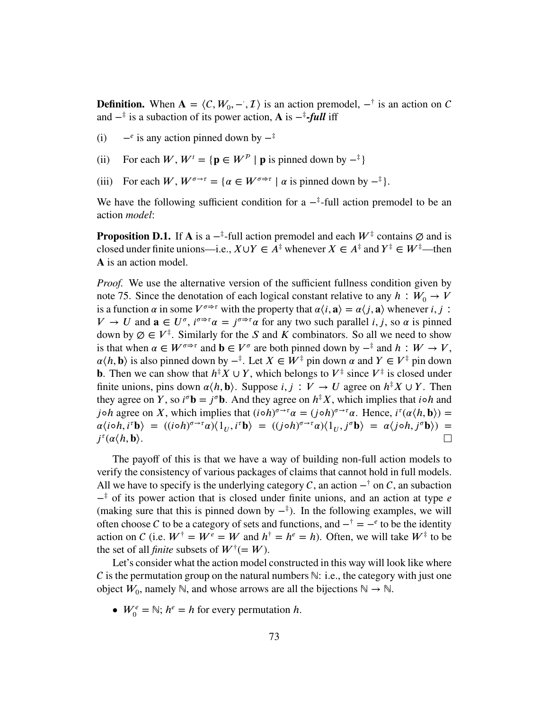**Definition.** When  $A = \langle C, W_0, -\overline{A} \rangle$  is an action premodel,  $-\overline{A}$  is an action on C and  $-$ <sup>‡</sup> is a subaction of its power action, **A** is  $-$ <sup>‡</sup>-*full* iff

- $(i)$  $\epsilon$  is any action pinned down by  $-\dot{\tau}$
- (ii) For each *W*,  $W^t = \{ \mathbf{p} \in W^p | \mathbf{p} \text{ is pinned down by } -\frac{1}{2} \}$
- (iii) For each *W*,  $W^{\sigma \to \tau} = {\alpha \in W^{\sigma \to \tau} \mid \alpha \text{ is pinned down by } -\frac{\pi}{2}}$ .

We have the following sufficient condition for a  $-\frac{1}{4}$ -full action premodel to be an action *model*:

**Proposition D.1.** If **A** is a  $-\frac{1}{r}$ -full action premodel and each  $W^{\frac{1}{r}}$  contains  $\emptyset$  and is closed under finite unions—i.e.,  $X \cup Y \in A^{\ddagger}$  whenever  $X \in A^{\ddagger}$  and  $Y^{\ddagger} \in W^{\ddagger}$ —then A is an action model.

*Proof.* We use the alternative version of the sufficient fullness condition given by [note 75.](#page-54-0) Since the denotation of each logical constant relative to any  $h : W_0 \to V$ is a function  $\alpha$  in some  $V^{\sigma \to \tau}$  with the property that  $\alpha \langle i, \mathbf{a} \rangle = \alpha \langle j, \mathbf{a} \rangle$  whenever *i*, *j* :  $V \to U$  and  $\mathbf{a} \in U^{\sigma}, i^{\sigma \Rightarrow \tau} \alpha = j^{\sigma \Rightarrow \tau} \alpha$  for any two such parallel *i*, *j*, so  $\alpha$  is pinned down by  $\emptyset \in V^{\ddagger}$ . Similarly for the *S* and *K* combinators. So all we need to show is that when  $\alpha \in W^{\sigma \to \tau}$  and  $\mathbf{b} \in V^{\sigma}$  are both pinned down by  $-\frac{\pi}{2}$  and  $h : W \to V$ ,  $\alpha \langle h, \mathbf{b} \rangle$  is also pinned down by  $-\mathbf{A}$ . Let  $X \in W^{\ddagger}$  pin down  $\alpha$  and  $Y \in V^{\ddagger}$  pin down **b**. Then we can show that  $h^{\dagger}X \cup Y$ , which belongs to  $V^{\dagger}$  since  $V^{\dagger}$  is closed under finite unions, pins down  $\alpha \langle h, \mathbf{b} \rangle$ . Suppose *i*, *j* :  $V \rightarrow U$  agree on  $h^{\dagger} X \cup Y$ . Then they agree on *Y*, so  $i^{\sigma}$ **b** =  $j^{\sigma}$ **b**. And they agree on  $h^{\dagger}X$ , which implies that  $i \circ h$  and *j*<sup>o</sup>*h* agree on *X*, which implies that  $(i \circ h)^{\sigma \to \tau} \alpha = (j \circ h)^{\sigma \to \tau} \alpha$ . Hence,  $i^{\tau}(\alpha \langle h, \mathbf{b} \rangle) =$  $\alpha\langle i\circ h, i^{\tau}b\rangle = ((i\circ h)^{\sigma\to\tau}\alpha)\langle 1_U, i^{\tau}b\rangle = ((j\circ h)^{\sigma\to\tau}\alpha)\langle 1_U, j^{\sigma}b\rangle = \alpha\langle j\circ h, j^{\sigma}b\rangle) =$  $j^{\tau}(\alpha \langle h, \mathbf{b} \rangle)$ .  $\Box$ 

The payoff of this is that we have a way of building non-full action models to verify the consistency of various packages of claims that cannot hold in full models. All we have to specify is the underlying category C, an action  $-\dagger$  on C, an subaction − ‡ of its power action that is closed under finite unions, and an action at type *𝑒* (making sure that this is pinned down by  $-\frac{1}{x}$ ). In the following examples, we will often choose C to be a category of sets and functions, and  $-\dot{\tau} = -e$  to be the identity action on C (i.e.  $W^{\dagger} = W^e = W$  and  $h^{\dagger} = h^e = h$ ). Often, we will take  $W^{\dagger}$  to be the set of all *finite* subsets of  $W^{\dagger} (= W)$ .

Let's consider what the action model constructed in this way will look like where C is the permutation group on the natural numbers  $\mathbb{N}$ : i.e., the category with just one object  $W_0$ , namely ℕ, and whose arrows are all the bijections ℕ → ℕ.

•  $W_0^e = \mathbb{N}; h^e = h$  for every permutation *h*.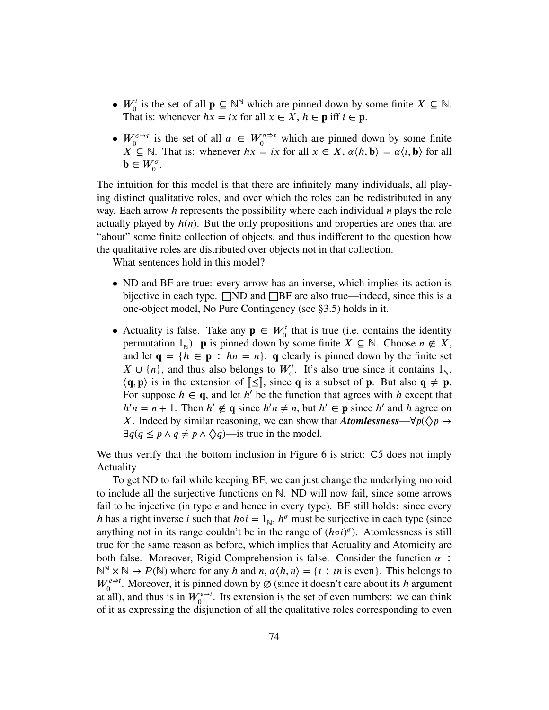- $W_0^t$  is the set of all  $\mathbf{p} \subseteq \mathbb{N}^{\mathbb{N}}$  which are pinned down by some finite  $X \subseteq \mathbb{N}$ . That is: whenever  $hx = ix$  for all  $x \in X$ ,  $h \in \mathbf{p}$  iff  $i \in \mathbf{p}$ .
- $W_0^{\sigma \to \tau}$  is the set of all  $\alpha \in W_0^{\sigma \to \tau}$  which are pinned down by some finite *X* ⊆ ℕ. That is: whenever *hx* = *ix* for all *x* ∈ *X*,  $\alpha \langle h, \mathbf{b} \rangle = \alpha \langle i, \mathbf{b} \rangle$  for all  $\mathbf{b} \in W_0^{\sigma}$ .

The intuition for this model is that there are infinitely many individuals, all playing distinct qualitative roles, and over which the roles can be redistributed in any way. Each arrow *h* represents the possibility where each individual *n* plays the role actually played by  $h(n)$ . But the only propositions and properties are ones that are "about" some finite collection of objects, and thus indifferent to the question how the qualitative roles are distributed over objects not in that collection.

What sentences hold in this model?

- ND and BF are true: every arrow has an inverse, which implies its action is bijective in each type.  $\Box$ ND and  $\Box$ BF are also true—indeed, since this is a one-object model, No Pure Contingency (see [§3.5\)](#page-56-0) holds in it.
- Actuality is false. Take any  $\mathbf{p} \in W_0^t$  that is true (i.e. contains the identity permutation  $1_{\mathbb{N}}$ ). **p** is pinned down by some finite  $X \subseteq \mathbb{N}$ . Choose  $n \notin X$ , and let  $\mathbf{q} = \{h \in \mathbf{p} : hn = n\}$ . **q** clearly is pinned down by the finite set  $X \cup \{n\}$ , and thus also belongs to  $W_0^t$ . It's also true since it contains  $1_{\mathbb{N}}$ .  $\langle q, p \rangle$  is in the extension of  $\llbracket \leq \rrbracket$ , since **q** is a subset of **p**. But also **q**  $\neq$  **p**. For suppose  $h \in \mathbf{q}$ , and let  $h'$  be the function that agrees with  $h$  except that  $h'n = n + 1$ . Then  $h' \notin \mathbf{q}$  since  $h'n \neq n$ , but  $h' \in \mathbf{p}$  since  $h'$  and  $h$  agree on *X*. Indeed by similar reasoning, we can show that *Atomlessness—* $\forall p(\Diamond p \rightarrow \Diamond p)$  $\exists q (q \leq p \land q \neq p \land \Diamond q)$ —is true in the model.

We thus verify that the bottom inclusion in Figure  $6$  is strict:  $C5$  does not imply Actuality.

To get ND to fail while keeping BF, we can just change the underlying monoid to include all the surjective functions on ℕ. ND will now fail, since some arrows fail to be injective (in type *e* and hence in every type). BF still holds: since every *h* has a right inverse *i* such that  $ho = 1_N$ ,  $h^{\sigma}$  must be surjective in each type (since anything not in its range couldn't be in the range of  $(h \circ i)^{\sigma}$ ). Atomlessness is still true for the same reason as before, which implies that Actuality and Atomicity are both false. Moreover, Rigid Comprehension is false. Consider the function  $\alpha$ :  $\mathbb{N}^{\mathbb{N}} \times \mathbb{N} \to \mathcal{P}(\mathbb{N})$  where for any *h* and *n*,  $\alpha \langle h, n \rangle = \{i : in \text{ is even}\}.$  This belongs to  $W_0^{e\Rightarrow t}$ . Moreover, it is pinned down by  $\varnothing$  (since it doesn't care about its *h* argument at all), and thus is in  $W_0^{e \to t}$ . Its extension is the set of even numbers: we can think of it as expressing the disjunction of all the qualitative roles corresponding to even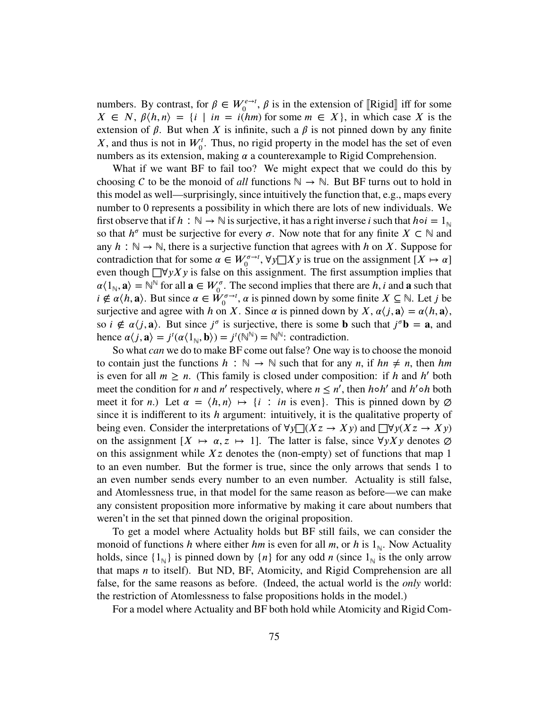numbers. By contrast, for  $\beta \in W_0^{e \to t}$ ,  $\beta$  is in the extension of [Rigid] iff for some  $X \subseteq N$ ,  $\beta / h$ ,  $\alpha > 1$  is the some  $\beta > 0$ .  $X \in N$ ,  $\beta \langle h, n \rangle = \{i \mid in = i(hm) \text{ for some } m \in X\}$ , in which case *X* is the extension of  $\beta$ . But when *X* is infinite, such a  $\beta$  is not pinned down by any finite  $X$ , and thus is not in  $W_0^t$ . Thus, no rigid property in the model has the set of even numbers as its extension, making  $\alpha$  a counterexample to Rigid Comprehension.

What if we want BF to fail too? We might expect that we could do this by choosing C to be the monoid of *all* functions  $\mathbb{N} \to \mathbb{N}$ . But BF turns out to hold in this model as well—surprisingly, since intuitively the function that, e.g., maps every number to 0 represents a possibility in which there are lots of new individuals. We first observe that if  $h : \mathbb{N} \to \mathbb{N}$  is surjective, it has a right inverse *i* such that  $h \circ i = 1_{\mathbb{N}}$ so that  $h^{\sigma}$  must be surjective for every  $\sigma$ . Now note that for any finite  $X \subset \mathbb{N}$  and any  $h : \mathbb{N} \to \mathbb{N}$ , there is a surjective function that agrees with *h* on *X*. Suppose for contradiction that for some  $\alpha \in W_0^{\sigma \to t}$ ,  $\forall y \square X y$  is true on the assignment  $[X \mapsto \alpha]$ even though  $\Box$ ∀*yXy* is false on this assignment. The first assumption implies that  $\alpha\langle 1_{\mathbb{N}}, \mathbf{a} \rangle = \mathbb{N}^{\mathbb{N}}$  for all  $\mathbf{a} \in W_0^{\sigma}$ . The second implies that there are *h*, *i* and **a** such that  $i \notin \alpha \langle h, \mathbf{a} \rangle$ . But since  $\alpha \in \mathring{W}^{\sigma \to \mathbf{f}}_0$ ,  $\alpha$  is pinned down by some finite  $X \subseteq \mathbb{N}$ . Let *j* be surjective and agree with *h* on *X*. Since  $\alpha$  is pinned down by *X*,  $\alpha \langle j, \mathbf{a} \rangle = \alpha \langle h, \mathbf{a} \rangle$ , so  $i \notin \alpha \langle j, \mathbf{a} \rangle$ . But since  $j^{\sigma}$  is surjective, there is some **b** such that  $j^{\sigma} \mathbf{b} = \mathbf{a}$ , and hence  $\alpha \langle j, \mathbf{a} \rangle = j^t(\alpha \langle 1_{\mathbb{N}}, \mathbf{b} \rangle) = j^t(\mathbb{N}^{\mathbb{N}}) = \mathbb{N}^{\mathbb{N}}$ : contradiction.

So what *can* we do to make BF come out false? One way is to choose the monoid to contain just the functions  $h : \mathbb{N} \to \mathbb{N}$  such that for any *n*, if  $hn \neq n$ , then *hm* is even for all  $m \ge n$ . (This family is closed under composition: if *h* and *h'* both meet the condition for *n* and *n'* respectively, where  $n \leq n'$ , then *h* o *h'* and *h'* o *h* both meet it for *n*.) Let  $\alpha = \langle h, n \rangle \mapsto \{i : in \text{ is even}\}.$  This is pinned down by  $\emptyset$ since it is indifferent to its *ℎ* argument: intuitively, it is the qualitative property of being even. Consider the interpretations of  $\forall y \exists (Xz \rightarrow Xy)$  and  $\exists \forall y (Xz \rightarrow Xy)$ on the assignment  $[X \mapsto \alpha, z \mapsto 1]$ . The latter is false, since  $\forall y \, Y \, y$  denotes  $\varnothing$ on this assignment while  $Xz$  denotes the (non-empty) set of functions that map 1 to an even number. But the former is true, since the only arrows that sends 1 to an even number sends every number to an even number. Actuality is still false, and Atomlessness true, in that model for the same reason as before—we can make any consistent proposition more informative by making it care about numbers that weren't in the set that pinned down the original proposition.

To get a model where Actuality holds but BF still fails, we can consider the monoid of functions *h* where either *hm* is even for all *m*, or *h* is  $1_N$ . Now Actuality holds, since  $\{1_{\mathbb{N}}\}$  is pinned down by  $\{n\}$  for any odd *n* (since  $1_{\mathbb{N}}$  is the only arrow that maps *n* to itself). But ND, BF, Atomicity, and Rigid Comprehension are all false, for the same reasons as before. (Indeed, the actual world is the *only* world: the restriction of Atomlessness to false propositions holds in the model.)

For a model where Actuality and BF both hold while Atomicity and Rigid Com-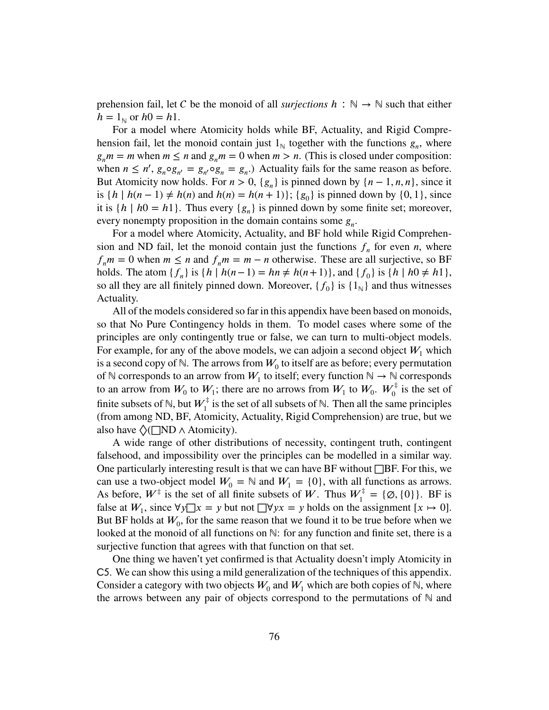prehension fail, let C be the monoid of all *surjections*  $h : \mathbb{N} \to \mathbb{N}$  such that either  $h = 1_{\mathbb{N}}$  or  $h0 = h1$ .

For a model where Atomicity holds while BF, Actuality, and Rigid Comprehension fail, let the monoid contain just  $1_{\mathbb{N}}$  together with the functions  $g_n$ , where  $g_n m = m$  when  $m \le n$  and  $g_n m = 0$  when  $m > n$ . (This is closed under composition: when  $n \leq n'$ ,  $g_n \circ g_{n'} = g_{n'} \circ g_n = g_n$ . Actuality fails for the same reason as before. But Atomicity now holds. For  $n > 0$ ,  $\{g_n\}$  is pinned down by  $\{n-1, n, n\}$ , since it is  $\{h \mid h(n-1) \neq h(n) \text{ and } h(n) = h(n+1)\}; \{g_0\} \text{ is pinned down by } \{0, 1\}, \text{ since }$ it is  $\{h \mid h0 = h1\}$ . Thus every  $\{g_n\}$  is pinned down by some finite set; moreover, every nonempty proposition in the domain contains some  $g_n$ .

For a model where Atomicity, Actuality, and BF hold while Rigid Comprehension and ND fail, let the monoid contain just the functions  $f_n$  for even *n*, where  $f_n m = 0$  when  $m \leq n$  and  $f_n m = m - n$  otherwise. These are all surjective, so BF holds. The atom  $\{f_n\}$  is  $\{h | h(n-1) = hn \neq h(n+1)\}$ , and  $\{f_0\}$  is  $\{h | h0 \neq h1\}$ , so all they are all finitely pinned down. Moreover,  $\{f_0\}$  is  $\{1_\aleph\}$  and thus witnesses Actuality.

All of the models considered so far in this appendix have been based on monoids, so that No Pure Contingency holds in them. To model cases where some of the principles are only contingently true or false, we can turn to multi-object models. For example, for any of the above models, we can adjoin a second object  $W_1$  which is a second copy of  $\mathbb N$ . The arrows from  $W_0$  to itself are as before; every permutation of  $\mathbb N$  corresponds to an arrow from  $W_1$  to itself; every function  $\mathbb N \to \mathbb N$  corresponds to an arrow from  $W_0$  to  $W_1$ ; there are no arrows from  $W_1$  to  $W_0$ .  $W_0^{\ddagger}$  $\int_0^{\tau}$  is the set of finite subsets of  $\mathbb{N}$ , but  $W_1^{\ddagger}$  $\int_1^{\tau}$  is the set of all subsets of N. Then all the same principles (from among ND, BF, Atomicity, Actuality, Rigid Comprehension) are true, but we also have  $\Diamond$  ( $\Box$ ND  $\land$  Atomicity).

A wide range of other distributions of necessity, contingent truth, contingent falsehood, and impossibility over the principles can be modelled in a similar way. One particularly interesting result is that we can have BF without  $\Box$ BF. For this, we can use a two-object model  $W_0 = \mathbb{N}$  and  $W_1 = \{0\}$ , with all functions as arrows. As before,  $W^{\ddagger}$  is the set of all finite subsets of W. Thus  $W_1^{\ddagger}$  $I_1^{\tau} = {\emptyset, \{0\}}$ . BF is false at  $W_1$ , since  $\forall y \exists x = y$  but not  $\exists \forall y x = y$  holds on the assignment  $[x \mapsto 0]$ . But BF holds at  $W_0$ , for the same reason that we found it to be true before when we looked at the monoid of all functions on ℕ: for any function and finite set, there is a surjective function that agrees with that function on that set.

One thing we haven't yet confirmed is that Actuality doesn't imply Atomicity in C5. We can show this using a mild generalization of the techniques of this appendix. Consider a category with two objects  $W_0$  and  $W_1$  which are both copies of  $\mathbb N$ , where the arrows between any pair of objects correspond to the permutations of  $\mathbb N$  and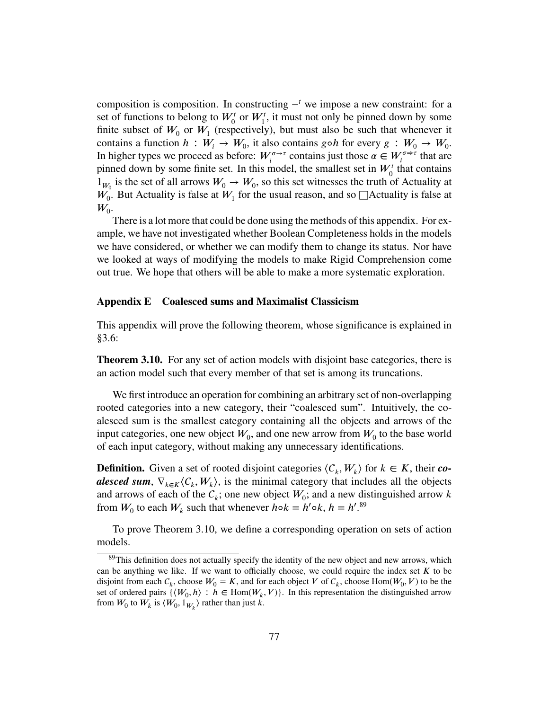composition is composition. In constructing  $-<sup>t</sup>$  we impose a new constraint: for a set of functions to belong to  $W_0^t$  or  $W_1^t$ , it must not only be pinned down by some finite subset of  $W_0$  or  $W_1$  (respectively), but must also be such that whenever it contains a function  $h: W_i \to W_0$ , it also contains  $g \circ h$  for every  $g: W_0 \to W_0$ . In higher types we proceed as before:  $W_i^{\sigma \to \tau}$  contains just those  $\alpha \in W_i^{\sigma \to \tau}$  that are pinned down by some finite set. In this model, the smallest set in  $W_0^t$  that contains  $1_{W_0}$  is the set of all arrows  $W_0 \to W_0$ , so this set witnesses the truth of Actuality at  $W_0$ . But Actuality is false at  $W_1$  for the usual reason, and so  $\Box$ Actuality is false at  $W_0$ .

There is a lot more that could be done using the methods of this appendix. For example, we have not investigated whether Boolean Completeness holds in the models we have considered, or whether we can modify them to change its status. Nor have we looked at ways of modifying the models to make Rigid Comprehension come out true. We hope that others will be able to make a more systematic exploration.

## **Appendix E Coalesced sums and Maximalist Classicism**

This appendix will prove the following theorem, whose significance is explained in [§3.6:](#page-60-0)

**[Theorem 3.10.](#page-61-0)** For any set of action models with disjoint base categories, there is an action model such that every member of that set is among its truncations.

We first introduce an operation for combining an arbitrary set of non-overlapping rooted categories into a new category, their "coalesced sum". Intuitively, the coalesced sum is the smallest category containing all the objects and arrows of the input categories, one new object  $W_0$ , and one new arrow from  $W_0$  to the base world of each input category, without making any unnecessary identifications.

**Definition.** Given a set of rooted disjoint categories  $\langle C_k, W_k \rangle$  for  $k \in K$ , their *coalesced sum*,  $\nabla_{k \in K} \langle C_k, W_k \rangle$ , is the minimal category that includes all the objects and arrows of each of the  $\mathcal{C}_k$ ; one new object  $W_0$ ; and a new distinguished arrow k from  $W_0$  to each  $W_k$  such that whenever  $h \circ k = h' \circ k$ ,  $h = h' \cdot 89$  $h = h' \cdot 89$ 

To prove [Theorem 3.10,](#page-61-0) we define a corresponding operation on sets of action models.

<span id="page-76-0"></span><sup>&</sup>lt;sup>89</sup>This definition does not actually specify the identity of the new object and new arrows, which can be anything we like. If we want to officially choose, we could require the index set  $K$  to be disjoint from each  $C_k$ , choose  $W_0 = K$ , and for each object *V* of  $C_k$ , choose Hom( $W_0$ , *V*) to be the set of ordered pairs  $\{\langle W_0, h \rangle : h \in \text{Hom}(W_k, V)\}$ . In this representation the distinguished arrow from  $W_0$  to  $W_k$  is  $\langle W_0, 1_{W_k} \rangle$  rather than just *k*.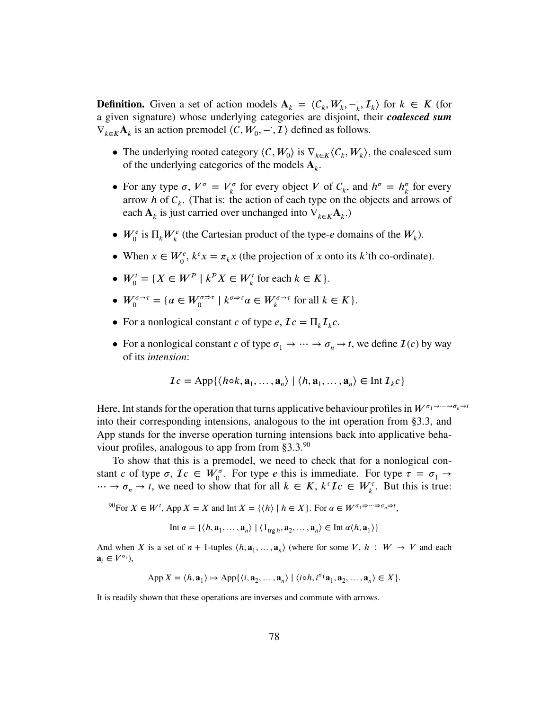**Definition.** Given a set of action models  $A_k = \langle C_k, W_k, -\rangle$  $\langle f_k, \mathcal{I}_k \rangle$  for  $k \in K$  (for a given signature) whose underlying categories are disjoint, their *coalesced sum*  $\nabla_{k \in K} \mathbf{A}_k$  is an action premodel  $\langle C, W_0, -\rangle$ ,  $\mathcal{I}$  are defined as follows.

- The underlying rooted category  $\langle C, W_0 \rangle$  is  $\nabla_{k \in K} \langle C_k, W_k \rangle$ , the coalesced sum of the underlying categories of the models  $A_k$ .
- For any type  $\sigma$ ,  $V^{\sigma} = V^{\sigma}_{\iota}$  $\mathcal{L}_{k}^{\sigma}$  for every object *V* of  $C_{k}$ , and  $h^{\sigma} = h_{k}^{\sigma}$  $\frac{\sigma}{k}$  for every arrow *h* of  $C_k$ . (That is: the action of each type on the objects and arrows of each  $\mathbf{A}_k$  is just carried over unchanged into  $\nabla_{k \in K} \mathbf{A}_k$ .)
- $W_0^e$  is  $\Pi_k W_k^e$  (the Cartesian product of the type-*e* domains of the  $W_k$ ).
- When  $x \in W_0^e$ ,  $k^e x = \pi_k x$  (the projection of *x* onto its *k*'th co-ordinate).
- $W_0^t = \{ X \in W^p \mid k^p X \in W_k^t \text{ for each } k \in K \}.$
- $W_0^{\sigma \to \tau} = {\alpha \in W_0^{\sigma \Rightarrow \tau} \mid k^{\sigma \Rightarrow \tau} \alpha \in W_k^{\sigma \to \tau} \text{ for all } k \in K}.$
- For a nonlogical constant *c* of type *e*,  $\mathcal{I}c = \prod_k \mathcal{I}_k c$ .
- For a nonlogical constant *c* of type  $\sigma_1 \rightarrow \cdots \rightarrow \sigma_n \rightarrow t$ , we define  $\mathcal{I}(c)$  by way of its *intension*:

$$
\mathcal{I}c = \mathrm{App}\{\langle h \circ k, \mathbf{a}_1, \dots, \mathbf{a}_n \rangle \mid \langle h, \mathbf{a}_1, \dots, \mathbf{a}_n \rangle \in \mathrm{Int}\,\mathcal{I}_k c\}
$$

Here, Int stands for the operation that turns applicative behaviour profiles in  $W^{\sigma_1 \to \cdots \to \sigma_n \to t}$ into their corresponding intensions, analogous to the int operation from [§3.3,](#page-47-0) and App stands for the inverse operation turning intensions back into applicative behaviour profiles, analogous to app from from  $\S 3.3$ .<sup>[90](#page-77-0)</sup>

To show that this is a premodel, we need to check that for a nonlogical constant *c* of type  $\sigma$ ,  $Ic \in W_0^{\sigma}$ . For type *e* this is immediate. For type  $\tau = \sigma_1 \rightarrow$  $\cdots \rightarrow \sigma_n \rightarrow t$ , we need to show that for all *k* ∈ *K*,  $k^{\tau}I_c$  ∈  $W_k^{\tau}$ . But this is true:

<span id="page-77-0"></span> $^{90}$ For  $X \in W^t$ , App  $X = X$  and Int  $X = \{ \langle h \rangle \mid h \in X \}$ . For  $\alpha \in W^{\sigma_1 \Rightarrow \dots \Rightarrow \sigma_n \Rightarrow t}$ ,

$$
\text{Int } \alpha = \{ \langle h, \mathbf{a}_1, \dots, \mathbf{a}_n \rangle \mid \langle 1_{\text{trg } h}, \mathbf{a}_2, \dots, \mathbf{a}_n \rangle \in \text{Int } \alpha \langle h, \mathbf{a}_1 \rangle \}
$$

And when *X* is a set of  $n + 1$ -tuples  $\langle h, \mathbf{a}_1, ..., \mathbf{a}_n \rangle$  (where for some *V*,  $h : W \to V$  and each  $\mathbf{a}_i \in V^{\sigma_i}$ ),

$$
\operatorname{App} X = \langle h, \mathbf{a}_1 \rangle \mapsto \operatorname{App}\{\langle i, \mathbf{a}_2, \dots, \mathbf{a}_n \rangle \mid \langle i \circ h, i^{\sigma_1} \mathbf{a}_1, \mathbf{a}_2, \dots, \mathbf{a}_n \rangle \in X\}.
$$

It is readily shown that these operations are inverses and commute with arrows.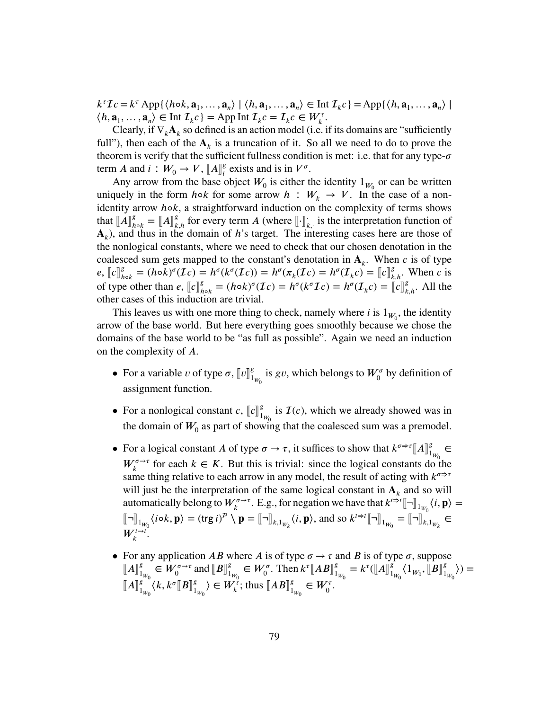$k^{\tau}Ic = k^{\tau} \operatorname{App}\{\langle h \circ k, \mathbf{a}_1, \ldots, \mathbf{a}_n \rangle \mid \langle h, \mathbf{a}_1, \ldots, \mathbf{a}_n \rangle \in \text{Int } \mathcal{I}_k c\} = \operatorname{App}\{\langle h, \mathbf{a}_1, \ldots, \mathbf{a}_n \rangle \mid$  $\langle h, \mathbf{a}_1, \dots, \mathbf{a}_n \rangle \in \text{Int } \mathcal{I}_k c$  = App Int  $\mathcal{I}_k c = \mathcal{I}_k c \in W_k^{\tau}$ .

Clearly, if  $\nabla_k \mathbf{A}_k$  so defined is an action model (i.e. if its domains are "sufficiently") full"), then each of the  $A_k$  is a truncation of it. So all we need to do to prove the theorem is verify that the sufficient fullness condition is met: i.e. that for any type- $\sigma$ term *A* and *i* :  $W_0 \to V$ ,  $\llbracket A \rrbracket_i^g$ <br>Any errow from the base  $\int_{i}^{g}$  exists and is in  $V^{\sigma}$ .

Any arrow from the base object  $W_0$  is either the identity  $1_{W_0}$  or can be written uniquely in the form *h*∘*k* for some arrow *h* :  $W_k \to V$ . In the case of a nonidentity arrow *h*∘*k*, a straightforward induction on the complexity of terms shows that  $\llbracket A \rrbracket^g_h$  $\mathbf{A}_{h \circ k}^g = [A]_{k,h}^g$  for every term *A* (where  $[\cdot]_k^g$  $\mathbf{k}_k$ , is the interpretation function of  ${\bf A}_k$ ), and thus in the domain of *h*'s target. The interesting cases here are those of the nonlogical constants, where we need to check that our chosen denotation in the coalesced sum gets mapped to the constant's denotation in  $A_k$ . When *c* is of type  $e, [c]_h^g$  $\kappa_{h \circ k}^{g} = (h \circ k)^{\sigma} (\mathcal{I}c) = h^{\sigma}(k^{\sigma}(\mathcal{I}c)) = h^{\sigma}(\pi_{k}(\mathcal{I}c)) = h^{\sigma}(\mathcal{I}_{k}c) = [c]_{k,h}^{g}$ . When c is of type other than  $e$ ,  $\llbracket c \rrbracket_h^g$ <br>other cases of this induct  $\int_{h \circ k}^{g} = (h \circ k)^{\sigma} (Ic) = h^{\sigma}(k^{\sigma} Ic) = h^{\sigma}(I_{k}c) = ||c||_{k,h}^{g}$ . All the tion are trivial other cases of this induction are trivial.

This leaves us with one more thing to check, namely where  $i$  is  $1_{W_0}$ , the identity arrow of the base world. But here everything goes smoothly because we chose the domains of the base world to be "as full as possible". Again we need an induction on the complexity of A.

- For a variable *v* of type  $\sigma$ ,  $[$ *v* $]\]_1^g$  $\int_{1_{W_0}}^{g}$  is *gv*, which belongs to  $W_0^{\sigma}$  by definition of assignment function.
- For a nonlogical constant  $c$ ,  $\llbracket c \rrbracket_1^g$  $\int_{1_{W_0}}^g$  is  $\mathcal{I}(c)$ , which we already showed was in the domain of  $W_0$  as part of showing that the coalesced sum was a premodel.
- For a logical constant *A* of type  $\sigma \to \tau$ , it suffices to show that  $k^{\sigma \to \tau} [A]_1^g$  $\frac{g}{1_{W_0}}$  ∈  $W_k^{\sigma \to \tau}$  for each  $k \in K$ . But this is trivial: since the logical constants do the same thing relative to each arrow in any model, the result of acting with  $k^{\sigma \rightarrow \tau}$ will just be the interpretation of the same logical constant in  $A_k$  and so will automatically belong to  $W_k^{\sigma \to \tau}$ . E.g., for negation we have that  $k^{t \to t} [\![\neg]\!]_{1_{W_0}} \langle i, \mathbf{p} \rangle =$  $\llbracket \neg \rrbracket_{1_{W_0}} \langle i \circ k, \mathbf{p} \rangle = (\text{trg} \, i)^p \setminus \mathbf{p} = \llbracket \neg \rrbracket_{k, 1_{W_k}} \langle i, \mathbf{p} \rangle, \text{ and so } k^{t \Rightarrow t} \llbracket \neg \rrbracket_{1_{W_0}} = \llbracket \neg \rrbracket_{k, 1_{W_k}} \in \mathbb{R}$  $W_k^{t\to t}$ .
- For any application *AB* where *A* is of type  $\sigma \rightarrow \tau$  and *B* is of type  $\sigma$ , suppose  $\llbracket A \rrbracket_1^g$  $\frac{g}{1_{W_0}} \in W_0^{\sigma \to \tau}$  and  $[[B]]_1^g$  $\sum_{1_{W_0}}^{g} \in W_0^{\sigma}$ . Then  $k^{\tau} [AB]_1^g$  $\int_{1_{W_0}}^g = k^{\tau} (\llbracket A \rrbracket_1^g)$  $\int_{1_{W_0}}^{g} \langle 1_{W_0}, \llbracket B \rrbracket_{1}^{g}$  $\binom{g}{1_{W_0}}$ ) =  $\llbracket A \rrbracket_1^g$  $\int_{1_{W_0}}^{g} \langle k, k^{\sigma}[[B]]_{1}^{g}$  $\binom{g}{1_{W_0}} \in W_k^{\tau}$ ; thus  $\llbracket AB \rrbracket_1^g$  $S_{1_{W_0}}^g \in W_0^{\tau}.$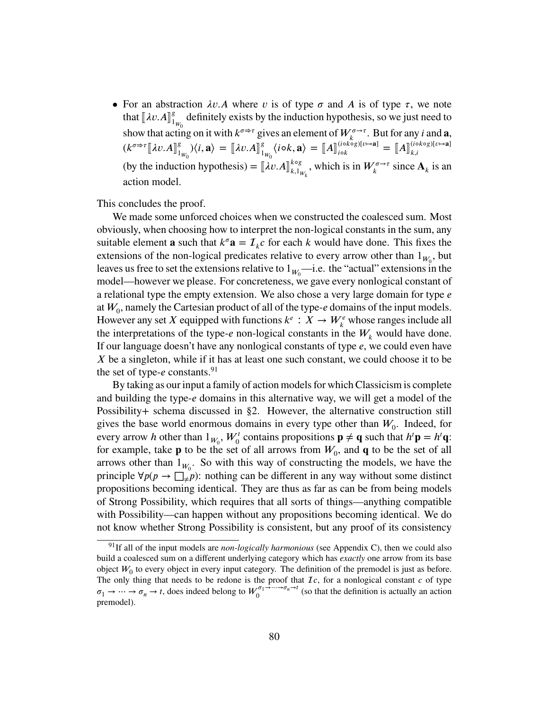• For an abstraction  $\lambda v.A$  where *v* is of type  $\sigma$  and *A* is of type  $\tau$ , we note that  $[\![\lambda v \cdot A]\!]_1^g$  $\frac{g}{1_{W_0}}$  definitely exists by the induction hypothesis, so we just need to show that acting on it with  $k^{\sigma \Rightarrow \tau}$  gives an element of  $W_k^{\sigma \to \tau}$ . But for any *i* and **a**,  $(k^{\sigma \Rightarrow \tau} [\![ \lambda v. A ]\!]^g_1$  $\binom{g}{1_{W_0}}\langle i,\mathbf{a}\rangle = [\![\lambda v.A]\!]_1^g$  $\binom{g}{1_{W_0}}\langle i\circ k,\mathbf{a}\rangle = \llbracket A \rrbracket_{i\circ k}^{(i\circ k\circ g)[v\mapsto \mathbf{a}]}$  $\begin{bmatrix} (i \circ k \circ g)[v \mapsto \mathbf{a} \end{bmatrix} = \llbracket A \rrbracket_{k,i}^{(i \circ k \circ g)[v \mapsto \mathbf{a}]}$  $_{k,i}$ (by the induction hypothesis) =  $[\![\lambda v.A]\!]_{k,1}^{k \circ g}$  $_{k,1_{W_k}}^{k \text{og}}$ , which is in  $W_k^{\sigma \rightarrow \tau}$  since  $\mathbf{A}_k$  is an action model.

This concludes the proof.

We made some unforced choices when we constructed the coalesced sum. Most obviously, when choosing how to interpret the non-logical constants in the sum, any suitable element **a** such that  $k^{\sigma} \mathbf{a} = \mathcal{I}_k c$  for each *k* would have done. This fixes the extensions of the non-logical predicates relative to every arrow other than  $1_{W_0}$ , but leaves us free to set the extensions relative to  $1_{W_0}$ —i.e. the "actual" extensions in the model—however we please. For concreteness, we gave every nonlogical constant of a relational type the empty extension. We also chose a very large domain for type *e* at  $W_0$ , namely the Cartesian product of all of the type- $e$  domains of the input models. However any set *X* equipped with functions  $k^e : X \to W^e_k$  whose ranges include all the interpretations of the type- $e$  non-logical constants in the  $W_k$  would have done. If our language doesn't have any nonlogical constants of type *e*, we could even have *X* be a singleton, while if it has at least one such constant, we could choose it to be the set of type-*e* constants.<sup>[91](#page-79-0)</sup>

By taking as our input a family of action models for which Classicism is complete and building the type-*e* domains in this alternative way, we will get a model of the Possibility+ schema discussed in [§2.](#page-19-0) However, the alternative construction still gives the base world enormous domains in every type other than  $W_0$ . Indeed, for every arrow *h* other than  $1_{W_0}$ ,  $W_0^t$  contains propositions  $\mathbf{p} \neq \mathbf{q}$  such that  $h^t \mathbf{p} = h^t \mathbf{q}$ : for example, take  $\bf{p}$  to be the set of all arrows from  $W_0$ , and  $\bf{q}$  to be the set of all arrows other than  $1_{W_0}$ . So with this way of constructing the models, we have the principle  $\forall p(p \rightarrow \Box_{\neq} p)$ : nothing can be different in any way without some distinct propositions becoming identical. They are thus as far as can be from being models of Strong Possibility, which requires that all sorts of things—anything compatible with Possibility—can happen without any propositions becoming identical. We do not know whether Strong Possibility is consistent, but any proof of its consistency

<span id="page-79-0"></span><sup>&</sup>lt;sup>91</sup>If all of the input models are *non-logically harmonious* (see [Appendix C\)](#page-68-0), then we could also build a coalesced sum on a different underlying category which has *exactly* one arrow from its base object  $W_0$  to every object in every input category. The definition of the premodel is just as before. The only thing that needs to be redone is the proof that  $I_c$ , for a nonlogical constant  $c$  of type  $\sigma_1 \rightarrow \cdots \rightarrow \sigma_n \rightarrow t$ , does indeed belong to  $W_0^{\sigma_1 \rightarrow \cdots \rightarrow \sigma_n \rightarrow t}$  $\int_0^{\infty}$   $\int_0^{\infty}$  (so that the definition is actually an action premodel).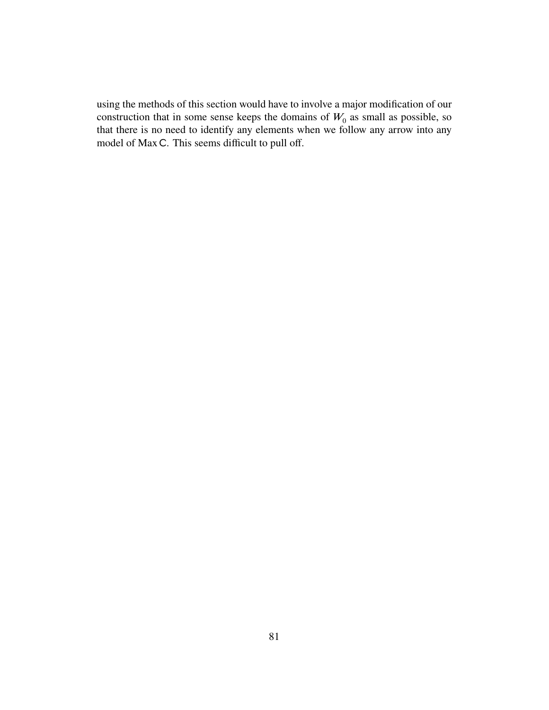using the methods of this section would have to involve a major modification of our construction that in some sense keeps the domains of  $W_0$  as small as possible, so that there is no need to identify any elements when we follow any arrow into any model of Max C. This seems difficult to pull off.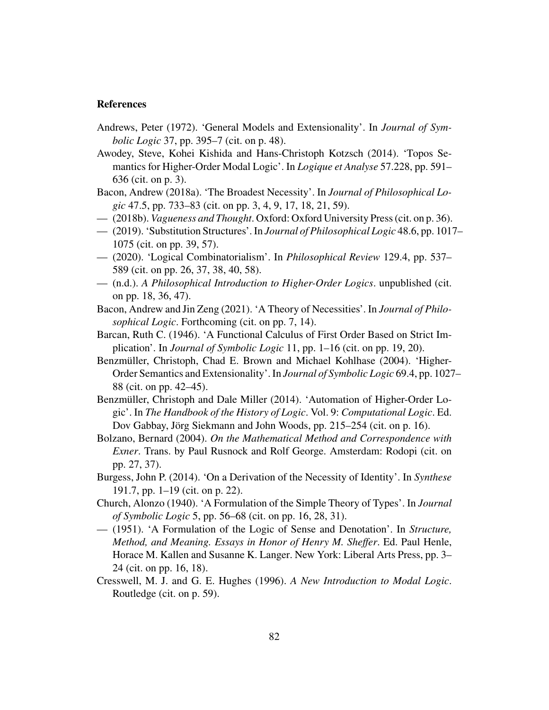## **References**

- Andrews, Peter (1972). 'General Models and Extensionality'. In *Journal of Symbolic Logic* 37, pp. 395–7 (cit. on p. [48\)](#page-47-1).
- Awodey, Steve, Kohei Kishida and Hans-Christoph Kotzsch (2014). 'Topos Semantics for Higher-Order Modal Logic'. In *Logique et Analyse* 57.228, pp. 591– 636 (cit. on p. [3\)](#page-2-0).
- Bacon, Andrew (2018a). 'The Broadest Necessity'. In *Journal of Philosophical Logic* 47.5, pp. 733–83 (cit. on pp. [3,](#page-2-0) [4,](#page-3-0) [9,](#page-8-0) [17,](#page-16-0) [18,](#page-17-0) [21,](#page-20-0) [59\)](#page-58-0).
- (2018b). *Vagueness and Thought*. Oxford: Oxford University Press (cit. on p. [36\)](#page-35-0).
- (2019). 'Substitution Structures'. In *Journal of Philosophical Logic* 48.6, pp. 1017– 1075 (cit. on pp. [39,](#page-38-0) [57\)](#page-56-1).
- (2020). 'Logical Combinatorialism'. In *Philosophical Review* 129.4, pp. 537– 589 (cit. on pp. [26,](#page-25-0) [37,](#page-36-0) [38,](#page-37-0) [40,](#page-39-0) [58\)](#page-57-0).
- (n.d.). *A Philosophical Introduction to Higher-Order Logics*. unpublished (cit. on pp. [18,](#page-17-0) [36,](#page-35-0) [47\)](#page-46-0).
- Bacon, Andrew and Jin Zeng (2021). 'A Theory of Necessities'. In *Journal of Philosophical Logic*. Forthcoming (cit. on pp. [7,](#page-6-0) [14\)](#page-13-0).
- Barcan, Ruth C. (1946). 'A Functional Calculus of First Order Based on Strict Implication'. In *Journal of Symbolic Logic* 11, pp. 1–16 (cit. on pp. [19,](#page-18-0) [20\)](#page-19-1).
- Benzmüller, Christoph, Chad E. Brown and Michael Kohlhase (2004). 'Higher-Order Semantics and Extensionality'. In *Journal of Symbolic Logic* 69.4, pp. 1027– 88 (cit. on pp. [42](#page-41-0)[–45\)](#page-44-0).
- Benzmüller, Christoph and Dale Miller (2014). 'Automation of Higher-Order Logic'. In *The Handbook of the History of Logic*. Vol. 9: *Computational Logic*. Ed. Dov Gabbay, Jörg Siekmann and John Woods, pp. 215–254 (cit. on p. [16\)](#page-15-0).
- Bolzano, Bernard (2004). *On the Mathematical Method and Correspondence with Exner*. Trans. by Paul Rusnock and Rolf George. Amsterdam: Rodopi (cit. on pp. [27,](#page-26-0) [37\)](#page-36-0).
- Burgess, John P. (2014). 'On a Derivation of the Necessity of Identity'. In *Synthese* 191.7, pp. 1–19 (cit. on p. [22\)](#page-21-0).
- Church, Alonzo (1940). 'A Formulation of the Simple Theory of Types'. In *Journal of Symbolic Logic* 5, pp. 56–68 (cit. on pp. [16,](#page-15-0) [28,](#page-27-0) [31\)](#page-30-0).
- (1951). 'A Formulation of the Logic of Sense and Denotation'. In *Structure, Method, and Meaning. Essays in Honor of Henry M. Sheffer*. Ed. Paul Henle, Horace M. Kallen and Susanne K. Langer. New York: Liberal Arts Press, pp. 3– 24 (cit. on pp. [16,](#page-15-0) [18\)](#page-17-0).
- Cresswell, M. J. and G. E. Hughes (1996). *A New Introduction to Modal Logic*. Routledge (cit. on p. [59\)](#page-58-0).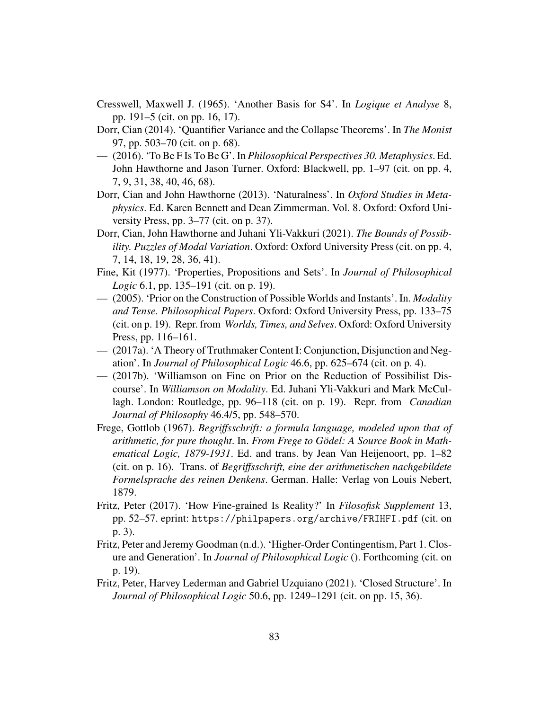- Cresswell, Maxwell J. (1965). 'Another Basis for S4'. In *Logique et Analyse* 8, pp. 191–5 (cit. on pp. [16,](#page-15-0) [17\)](#page-16-0).
- Dorr, Cian (2014). 'Quantifier Variance and the Collapse Theorems'. In *The Monist* 97, pp. 503–70 (cit. on p. [68\)](#page-67-0).
- (2016). 'To Be F Is To Be G'. In *Philosophical Perspectives 30. Metaphysics*. Ed. John Hawthorne and Jason Turner. Oxford: Blackwell, pp. 1–97 (cit. on pp. [4,](#page-3-0) [7,](#page-6-0) [9,](#page-8-0) [31,](#page-30-0) [38,](#page-37-0) [40,](#page-39-0) [46,](#page-45-0) [68\)](#page-67-0).
- Dorr, Cian and John Hawthorne (2013). 'Naturalness'. In *Oxford Studies in Metaphysics*. Ed. Karen Bennett and Dean Zimmerman. Vol. 8. Oxford: Oxford University Press, pp. 3–77 (cit. on p. [37\)](#page-36-0).
- Dorr, Cian, John Hawthorne and Juhani Yli-Vakkuri (2021). *The Bounds of Possibility. Puzzles of Modal Variation*. Oxford: Oxford University Press (cit. on pp. [4,](#page-3-0) [7,](#page-6-0) [14,](#page-13-0) [18,](#page-17-0) [19,](#page-18-0) [28,](#page-27-0) [36,](#page-35-0) [41\)](#page-40-0).
- Fine, Kit (1977). 'Properties, Propositions and Sets'. In *Journal of Philosophical Logic* 6.1, pp. 135–191 (cit. on p. [19\)](#page-18-0).
- (2005). 'Prior on the Construction of Possible Worlds and Instants'. In. *Modality and Tense. Philosophical Papers*. Oxford: Oxford University Press, pp. 133–75 (cit. on p. [19\)](#page-18-0). Repr. from *Worlds, Times, and Selves*. Oxford: Oxford University Press, pp. 116–161.
- (2017a). 'A Theory of Truthmaker Content I: Conjunction, Disjunction and Negation'. In *Journal of Philosophical Logic* 46.6, pp. 625–674 (cit. on p. [4\)](#page-3-0).
- (2017b). 'Williamson on Fine on Prior on the Reduction of Possibilist Discourse'. In *Williamson on Modality*. Ed. Juhani Yli-Vakkuri and Mark McCullagh. London: Routledge, pp. 96–118 (cit. on p. [19\)](#page-18-0). Repr. from *Canadian Journal of Philosophy* 46.4/5, pp. 548–570.
- Frege, Gottlob (1967). *Begriffsschrift: a formula language, modeled upon that of arithmetic, for pure thought*. In. *From Frege to Gödel: A Source Book in Mathematical Logic, 1879-1931*. Ed. and trans. by Jean Van Heijenoort, pp. 1–82 (cit. on p. [16\)](#page-15-0). Trans. of *Begriffsschrift, eine der arithmetischen nachgebildete Formelsprache des reinen Denkens*. German. Halle: Verlag von Louis Nebert, 1879.
- Fritz, Peter (2017). 'How Fine-grained Is Reality?' In *Filosofisk Supplement* 13, pp. 52–57. eprint: <https://philpapers.org/archive/FRIHFI.pdf> (cit. on p. [3\)](#page-2-0).
- Fritz, Peter and Jeremy Goodman (n.d.). 'Higher-Order Contingentism, Part 1. Closure and Generation'. In *Journal of Philosophical Logic* (). Forthcoming (cit. on p. [19\)](#page-18-0).
- Fritz, Peter, Harvey Lederman and Gabriel Uzquiano (2021). 'Closed Structure'. In *Journal of Philosophical Logic* 50.6, pp. 1249–1291 (cit. on pp. [15,](#page-14-0) [36\)](#page-35-0).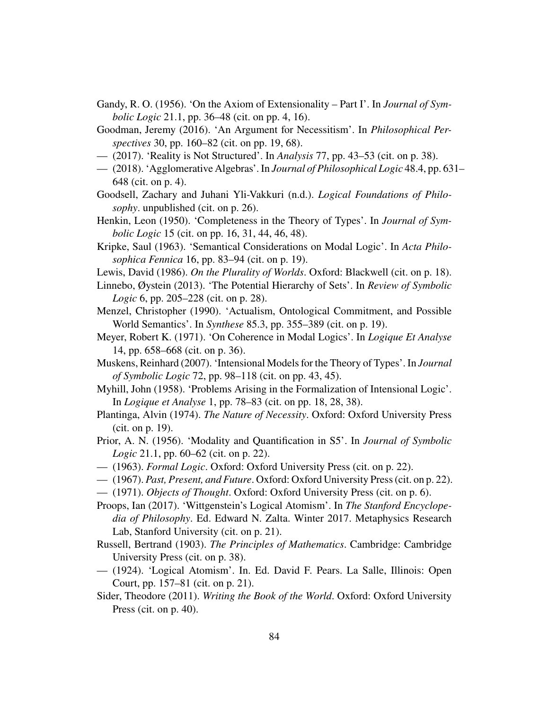- Gandy, R. O. (1956). 'On the Axiom of Extensionality Part I'. In *Journal of Symbolic Logic* 21.1, pp. 36–48 (cit. on pp. [4,](#page-3-0) [16\)](#page-15-0).
- Goodman, Jeremy (2016). 'An Argument for Necessitism'. In *Philosophical Perspectives* 30, pp. 160–82 (cit. on pp. [19,](#page-18-0) [68\)](#page-67-0).
- (2017). 'Reality is Not Structured'. In *Analysis* 77, pp. 43–53 (cit. on p. [38\)](#page-37-0).
- (2018). 'Agglomerative Algebras'. In *Journal of Philosophical Logic* 48.4, pp. 631– 648 (cit. on p. [4\)](#page-3-0).
- Goodsell, Zachary and Juhani Yli-Vakkuri (n.d.). *Logical Foundations of Philosophy*. unpublished (cit. on p. [26\)](#page-25-0).
- Henkin, Leon (1950). 'Completeness in the Theory of Types'. In *Journal of Symbolic Logic* 15 (cit. on pp. [16,](#page-15-0) [31,](#page-30-0) [44,](#page-43-0) [46,](#page-45-0) [48\)](#page-47-1).
- Kripke, Saul (1963). 'Semantical Considerations on Modal Logic'. In *Acta Philosophica Fennica* 16, pp. 83–94 (cit. on p. [19\)](#page-18-0).
- Lewis, David (1986). *On the Plurality of Worlds*. Oxford: Blackwell (cit. on p. [18\)](#page-17-0).
- Linnebo, Øystein (2013). 'The Potential Hierarchy of Sets'. In *Review of Symbolic Logic* 6, pp. 205–228 (cit. on p. [28\)](#page-27-0).
- Menzel, Christopher (1990). 'Actualism, Ontological Commitment, and Possible World Semantics'. In *Synthese* 85.3, pp. 355–389 (cit. on p. [19\)](#page-18-0).
- Meyer, Robert K. (1971). 'On Coherence in Modal Logics'. In *Logique Et Analyse* 14, pp. 658–668 (cit. on p. [36\)](#page-35-0).
- Muskens, Reinhard (2007). 'Intensional Models for the Theory of Types'. In *Journal of Symbolic Logic* 72, pp. 98–118 (cit. on pp. [43,](#page-42-0) [45\)](#page-44-0).
- Myhill, John (1958). 'Problems Arising in the Formalization of Intensional Logic'. In *Logique et Analyse* 1, pp. 78–83 (cit. on pp. [18,](#page-17-0) [28,](#page-27-0) [38\)](#page-37-0).
- Plantinga, Alvin (1974). *The Nature of Necessity*. Oxford: Oxford University Press (cit. on p. [19\)](#page-18-0).
- Prior, A. N. (1956). 'Modality and Quantification in S5'. In *Journal of Symbolic Logic* 21.1, pp. 60–62 (cit. on p. [22\)](#page-21-0).
- (1963). *Formal Logic*. Oxford: Oxford University Press (cit. on p. [22\)](#page-21-0).
- (1967). *Past, Present, and Future*. Oxford: Oxford University Press (cit. on p. [22\)](#page-21-0).
- (1971). *Objects of Thought*. Oxford: Oxford University Press (cit. on p. [6\)](#page-5-0).
- Proops, Ian (2017). 'Wittgenstein's Logical Atomism'. In *The Stanford Encyclopedia of Philosophy*. Ed. Edward N. Zalta. Winter 2017. Metaphysics Research Lab, Stanford University (cit. on p. [21\)](#page-20-0).
- Russell, Bertrand (1903). *The Principles of Mathematics*. Cambridge: Cambridge University Press (cit. on p. [38\)](#page-37-0).
- (1924). 'Logical Atomism'. In. Ed. David F. Pears. La Salle, Illinois: Open Court, pp. 157–81 (cit. on p. [21\)](#page-20-0).
- Sider, Theodore (2011). *Writing the Book of the World*. Oxford: Oxford University Press (cit. on p. [40\)](#page-39-0).